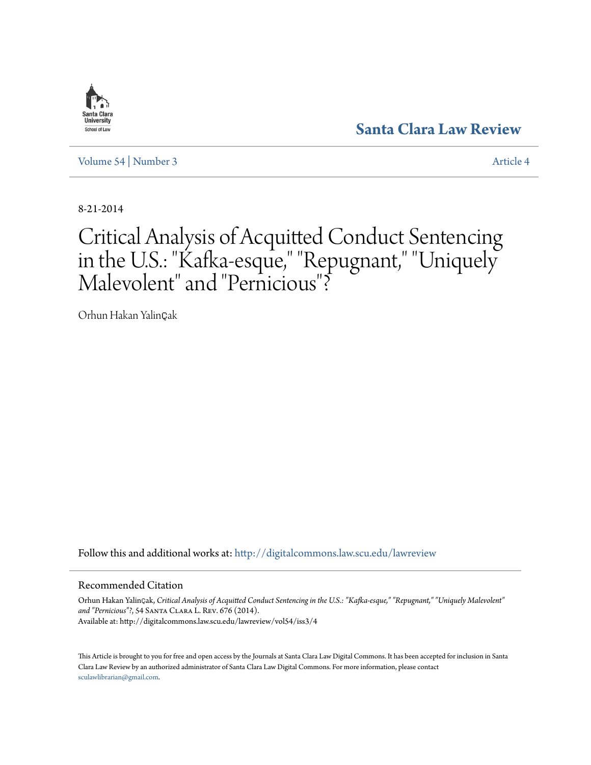

**[Santa Clara Law Review](http://digitalcommons.law.scu.edu/lawreview?utm_source=digitalcommons.law.scu.edu%2Flawreview%2Fvol54%2Fiss3%2F4&utm_medium=PDF&utm_campaign=PDFCoverPages)**

[Volume 54](http://digitalcommons.law.scu.edu/lawreview/vol54?utm_source=digitalcommons.law.scu.edu%2Flawreview%2Fvol54%2Fiss3%2F4&utm_medium=PDF&utm_campaign=PDFCoverPages) | [Number 3](http://digitalcommons.law.scu.edu/lawreview/vol54/iss3?utm_source=digitalcommons.law.scu.edu%2Flawreview%2Fvol54%2Fiss3%2F4&utm_medium=PDF&utm_campaign=PDFCoverPages) [Article 4](http://digitalcommons.law.scu.edu/lawreview/vol54/iss3/4?utm_source=digitalcommons.law.scu.edu%2Flawreview%2Fvol54%2Fiss3%2F4&utm_medium=PDF&utm_campaign=PDFCoverPages)

8-21-2014

# Critical Analysis of Acquitted Conduct Sentencing in the U.S.: "Kafka-esque," "Repugnant," "Uniquely Malevolent" and "Pernicious"?

Orhun Hakan Yalincak

Follow this and additional works at: [http://digitalcommons.law.scu.edu/lawreview](http://digitalcommons.law.scu.edu/lawreview?utm_source=digitalcommons.law.scu.edu%2Flawreview%2Fvol54%2Fiss3%2F4&utm_medium=PDF&utm_campaign=PDFCoverPages)

# Recommended Citation

Orhun Hakan Yalinҫak, *Critical Analysis of Acquitted Conduct Sentencing in the U.S.: "Kafka-esque," "Repugnant," "Uniquely Malevolent" and "Pernicious"?*, 54 Santa Clara L. Rev. 676 (2014). Available at: http://digitalcommons.law.scu.edu/lawreview/vol54/iss3/4

This Article is brought to you for free and open access by the Journals at Santa Clara Law Digital Commons. It has been accepted for inclusion in Santa Clara Law Review by an authorized administrator of Santa Clara Law Digital Commons. For more information, please contact [sculawlibrarian@gmail.com](mailto:sculawlibrarian@gmail.com).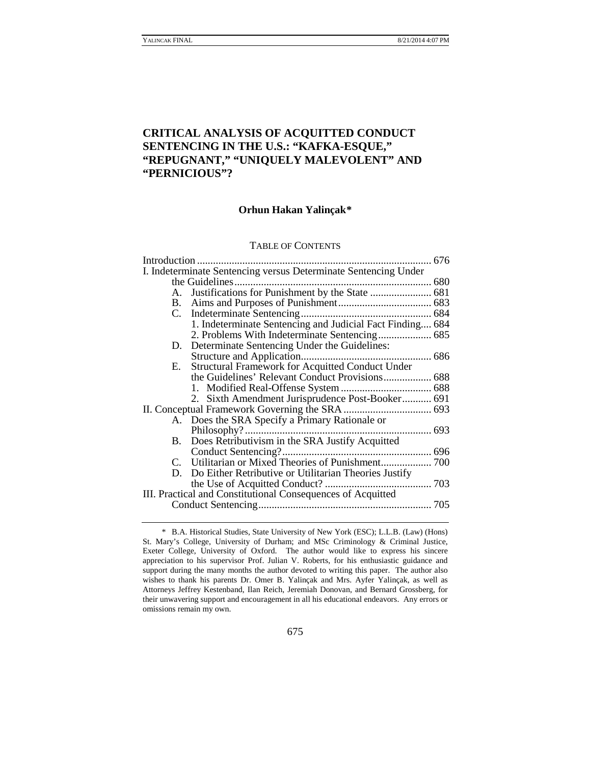# **CRITICAL ANALYSIS OF ACQUITTED CONDUCT SENTENCING IN THE U.S.: "KAFKA-ESQUE," "REPUGNANT," "UNIQUELY MALEVOLENT" AND "PERNICIOUS"?**

#### **Orhun Hakan Yalinçak[\\*](#page-1-0)**

#### TABLE OF CONTENTS

| Introduction<br>676                                             |                                                           |  |  |
|-----------------------------------------------------------------|-----------------------------------------------------------|--|--|
| I. Indeterminate Sentencing versus Determinate Sentencing Under |                                                           |  |  |
|                                                                 |                                                           |  |  |
|                                                                 |                                                           |  |  |
| В.                                                              |                                                           |  |  |
|                                                                 |                                                           |  |  |
|                                                                 | 1. Indeterminate Sentencing and Judicial Fact Finding 684 |  |  |
|                                                                 |                                                           |  |  |
|                                                                 | D. Determinate Sentencing Under the Guidelines:           |  |  |
|                                                                 |                                                           |  |  |
| E.                                                              | Structural Framework for Acquitted Conduct Under          |  |  |
|                                                                 |                                                           |  |  |
|                                                                 |                                                           |  |  |
|                                                                 | 2. Sixth Amendment Jurisprudence Post-Booker 691          |  |  |
|                                                                 |                                                           |  |  |
|                                                                 | A. Does the SRA Specify a Primary Rationale or            |  |  |
|                                                                 | Philosophy?                                               |  |  |
|                                                                 | B. Does Retributivism in the SRA Justify Acquitted        |  |  |
|                                                                 |                                                           |  |  |
|                                                                 |                                                           |  |  |
| D.                                                              | Do Either Retributive or Utilitarian Theories Justify     |  |  |
|                                                                 |                                                           |  |  |
| III. Practical and Constitutional Consequences of Acquitted     |                                                           |  |  |
| 705                                                             |                                                           |  |  |
|                                                                 |                                                           |  |  |

<span id="page-1-0"></span><sup>\*</sup> B.A. Historical Studies, State University of New York (ESC); L.L.B. (Law) (Hons) St. Mary's College, University of Durham; and MSc Criminology & Criminal Justice, Exeter College, University of Oxford. The author would like to express his sincere appreciation to his supervisor Prof. Julian V. Roberts, for his enthusiastic guidance and support during the many months the author devoted to writing this paper. The author also wishes to thank his parents Dr. Omer B. Yalinçak and Mrs. Ayfer Yalinçak, as well as Attorneys Jeffrey Kestenband, Ilan Reich, Jeremiah Donovan, and Bernard Grossberg, for their unwavering support and encouragement in all his educational endeavors. Any errors or omissions remain my own.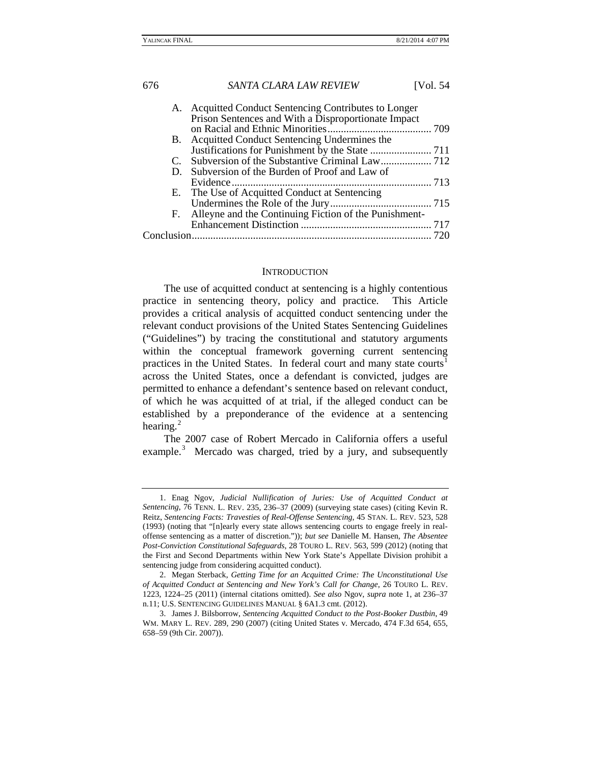# 676 *SANTA CLARA LAW REVIEW* [Vol. 54 A. Acquitted Conduct Sentencing Contributes to Longer Prison Sentences and With a Disproportionate Impact on Racial and Ethnic Minorities....................................... 709 B. Acquitted Conduct Sentencing Undermines the Justifications for Punishment by the State ....................... 711 C. Subversion of the Substantive Criminal Law................... 712 D. Subversion of the Burden of Proof and Law of

| E. The Use of Acquitted Conduct at Sentencing            |  |
|----------------------------------------------------------|--|
|                                                          |  |
| F. Alleyne and the Continuing Fiction of the Punishment- |  |
|                                                          |  |
|                                                          |  |

#### **INTRODUCTION**

The use of acquitted conduct at sentencing is a highly contentious practice in sentencing theory, policy and practice. This Article provides a critical analysis of acquitted conduct sentencing under the relevant conduct provisions of the United States Sentencing Guidelines ("Guidelines") by tracing the constitutional and statutory arguments within the conceptual framework governing current sentencing practices in the United States. In federal court and many state courts<sup>[1](#page-2-0)</sup> across the United States, once a defendant is convicted, judges are permitted to enhance a defendant's sentence based on relevant conduct, of which he was acquitted of at trial, if the alleged conduct can be established by a preponderance of the evidence at a sentencing hearing. $2$ 

The 2007 case of Robert Mercado in California offers a useful example. $3$  Mercado was charged, tried by a jury, and subsequently

<span id="page-2-0"></span><sup>1.</sup> Enag Ngov, *Judicial Nullification of Juries: Use of Acquitted Conduct at Sentencing*, 76 TENN. L. REV. 235, 236–37 (2009) (surveying state cases) (citing Kevin R. Reitz, *Sentencing Facts: Travesties of Real-Offense Sentencing*, 45 STAN. L. REV. 523, 528 (1993) (noting that "[n]early every state allows sentencing courts to engage freely in realoffense sentencing as a matter of discretion.")); *but see* Danielle M. Hansen, *The Absentee Post-Conviction Constitutional Safeguards*, 28 TOURO L. REV. 563, 599 (2012) (noting that the First and Second Departments within New York State's Appellate Division prohibit a sentencing judge from considering acquitted conduct).

<span id="page-2-1"></span><sup>2.</sup> Megan Sterback, *Getting Time for an Acquitted Crime: The Unconstitutional Use of Acquitted Conduct at Sentencing and New York's Call for Change*, 26 TOURO L. REV. 1223, 1224–25 (2011) (internal citations omitted). *See also* Ngov, *supra* note 1, at 236–37 n.11; U.S. SENTENCING GUIDELINES MANUAL § 6A1.3 cmt. (2012).

<span id="page-2-2"></span><sup>3.</sup> James J. Bilsborrow, *Sentencing Acquitted Conduct to the Post-Booker Dustbin*, 49 WM. MARY L. REV. 289, 290 (2007) (citing United States v. Mercado, 474 F.3d 654, 655, 658–59 (9th Cir. 2007)).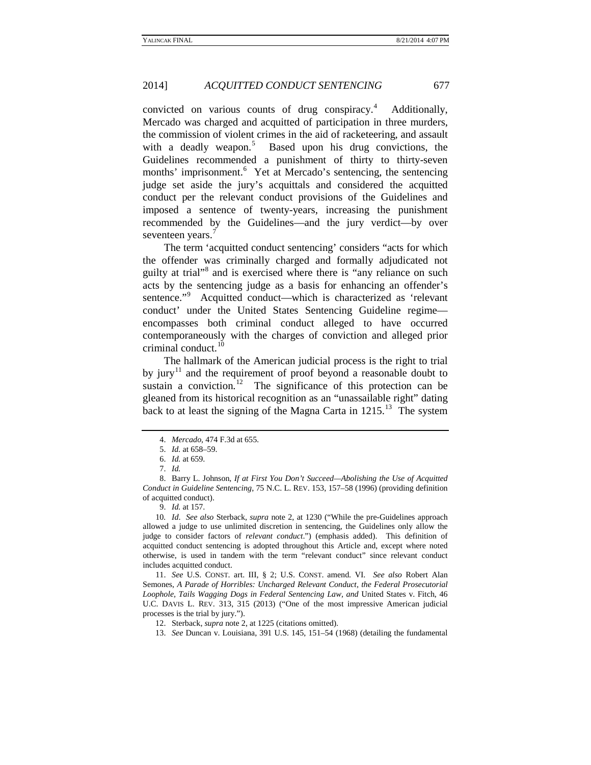convicted on various counts of drug conspiracy.<sup>[4](#page-3-0)</sup> Additionally, Mercado was charged and acquitted of participation in three murders, the commission of violent crimes in the aid of racketeering, and assault with a deadly weapon.<sup>[5](#page-3-1)</sup> Based upon his drug convictions, the Guidelines recommended a punishment of thirty to thirty-seven months' imprisonment.<sup>[6](#page-3-2)</sup> Yet at Mercado's sentencing, the sentencing judge set aside the jury's acquittals and considered the acquitted conduct per the relevant conduct provisions of the Guidelines and imposed a sentence of twenty-years, increasing the punishment recommended by the Guidelines—and the jury verdict—by over seventeen years.

The term 'acquitted conduct sentencing' considers "acts for which the offender was criminally charged and formally adjudicated not guilty at trial"<sup>[8](#page-3-4)</sup> and is exercised where there is "any reliance on such acts by the sentencing judge as a basis for enhancing an offender's sentence."<sup>[9](#page-3-5)</sup> Acquitted conduct—which is characterized as 'relevant conduct' under the United States Sentencing Guideline regime encompasses both criminal conduct alleged to have occurred contemporaneously with the charges of conviction and alleged prior criminal conduct. $10$ 

The hallmark of the American judicial process is the right to trial by jury<sup>[11](#page-3-7)</sup> and the requirement of proof beyond a reasonable doubt to sustain a conviction.<sup>[12](#page-3-8)</sup> The significance of this protection can be gleaned from its historical recognition as an "unassailable right" dating back to at least the signing of the Magna Carta in  $1215$ .<sup>[13](#page-3-9)</sup> The system

<span id="page-3-9"></span><span id="page-3-8"></span><span id="page-3-7"></span>11. *See* U.S. CONST. art. III, § 2; U.S. CONST. amend. VI. *See also* Robert Alan Semones, *A Parade of Horribles: Uncharged Relevant Conduct, the Federal Prosecutorial Loophole, Tails Wagging Dogs in Federal Sentencing Law, and* United States v. Fitch, 46 U.C. DAVIS L. REV. 313, 315 (2013) ("One of the most impressive American judicial processes is the trial by jury.").

<sup>4.</sup> *Mercado,* 474 F.3d at 655*.*

<sup>5.</sup> *Id.* at 658–59.

<sup>6.</sup> *Id.* at 659.

<sup>7.</sup> *Id.*

<span id="page-3-4"></span><span id="page-3-3"></span><span id="page-3-2"></span><span id="page-3-1"></span><span id="page-3-0"></span><sup>8.</sup> Barry L. Johnson, *If at First You Don't Succeed—Abolishing the Use of Acquitted Conduct in Guideline Sentencing*, 75 N.C. L. REV. 153, 157–58 (1996) (providing definition of acquitted conduct).

<sup>9.</sup> *Id.* at 157.

<span id="page-3-6"></span><span id="page-3-5"></span><sup>10</sup>*. Id*. *See also* Sterback, *supra* note 2, at 1230 ("While the pre-Guidelines approach allowed a judge to use unlimited discretion in sentencing, the Guidelines only allow the judge to consider factors of *relevant conduct*.") (emphasis added). This definition of acquitted conduct sentencing is adopted throughout this Article and, except where noted otherwise, is used in tandem with the term "relevant conduct" since relevant conduct includes acquitted conduct.

<sup>12.</sup> Sterback, *supra* note 2, at 1225 (citations omitted).

<sup>13.</sup> *See* Duncan v. Louisiana, 391 U.S. 145, 151–54 (1968) (detailing the fundamental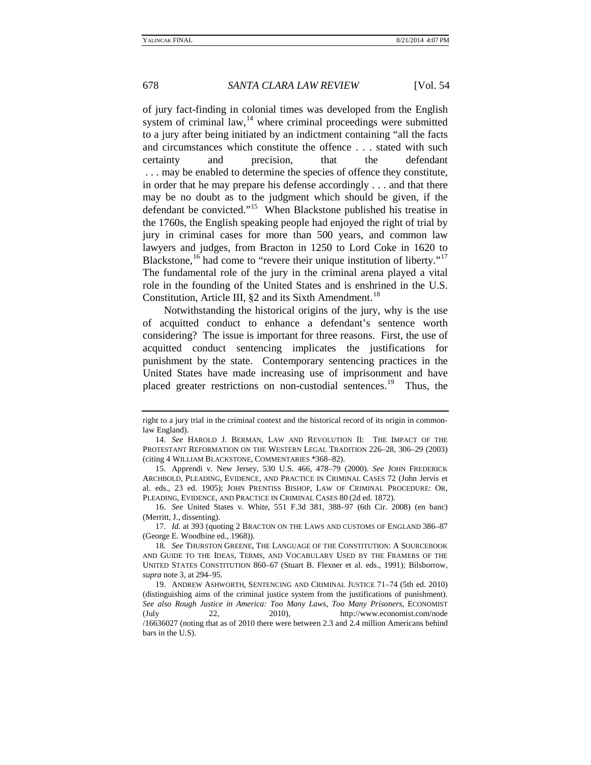of jury fact-finding in colonial times was developed from the English system of criminal law, $14$  where criminal proceedings were submitted to a jury after being initiated by an indictment containing "all the facts and circumstances which constitute the offence . . . stated with such certainty and precision, that the defendant . . . may be enabled to determine the species of offence they constitute, in order that he may prepare his defense accordingly . . . and that there may be no doubt as to the judgment which should be given, if the defendant be convicted."[15](#page-4-1) When Blackstone published his treatise in the 1760s, the English speaking people had enjoyed the right of trial by jury in criminal cases for more than 500 years, and common law lawyers and judges, from Bracton in 1250 to Lord Coke in 1620 to Blackstone,<sup>[16](#page-4-2)</sup> had come to "revere their unique institution of liberty."<sup>[17](#page-4-3)</sup> The fundamental role of the jury in the criminal arena played a vital role in the founding of the United States and is enshrined in the U.S. Constitution, Article III,  $\S$ 2 and its Sixth Amendment.<sup>[18](#page-4-4)</sup>

Notwithstanding the historical origins of the jury, why is the use of acquitted conduct to enhance a defendant's sentence worth considering? The issue is important for three reasons. First, the use of acquitted conduct sentencing implicates the justifications for punishment by the state. Contemporary sentencing practices in the United States have made increasing use of imprisonment and have placed greater restrictions on non-custodial sentences.<sup>[19](#page-4-5)</sup> Thus, the

right to a jury trial in the criminal context and the historical record of its origin in commonlaw England).

<span id="page-4-0"></span><sup>14.</sup> *See* HAROLD J. BERMAN, LAW AND REVOLUTION II: THE IMPACT OF THE PROTESTANT REFORMATION ON THE WESTERN LEGAL TRADITION 226–28, 306–29 (2003) (citing 4 WILLIAM BLACKSTONE, COMMENTARIES \*368–82).

<span id="page-4-1"></span><sup>15.</sup> Apprendi v. New Jersey, 530 U.S. 466, 478–79 (2000). *See* JOHN FREDERICK ARCHBOLD, PLEADING, EVIDENCE, AND PRACTICE IN CRIMINAL CASES 72 (John Jervis et al. eds., 23 ed. 1905); JOHN PRENTISS BISHOP, LAW OF CRIMINAL PROCEDURE: OR, PLEADING, EVIDENCE, AND PRACTICE IN CRIMINAL CASES 80 (2d ed. 1872).

<span id="page-4-2"></span><sup>16.</sup> *See* United States v. White, 551 F.3d 381, 388–97 (6th Cir. 2008) (en banc) (Merritt, J., dissenting).

<span id="page-4-3"></span><sup>17.</sup> *Id.* at 393 (quoting 2 BRACTON ON THE LAWS AND CUSTOMS OF ENGLAND 386–87 (George E. Woodbine ed., 1968)).

<span id="page-4-4"></span><sup>18</sup>*. See* THURSTON GREENE, THE LANGUAGE OF THE CONSTITUTION: A SOURCEBOOK AND GUIDE TO THE IDEAS, TERMS, AND VOCABULARY USED BY THE FRAMERS OF THE UNITED STATES CONSTITUTION 860–67 (Stuart B. Flexner et al. eds., 1991); Bilsborrow, *supra* note 3, at 294–95.

<span id="page-4-5"></span><sup>19.</sup> ANDREW ASHWORTH, SENTENCING AND CRIMINAL JUSTICE 71–74 (5th ed. 2010) (distinguishing aims of the criminal justice system from the justifications of punishment). *See also Rough Justice in America: Too Many Laws, Too Many Prisoners*, ECONOMIST (July 22, 2010), http://www.economist.com/node /16636027 (noting that as of 2010 there were between 2.3 and 2.4 million Americans behind bars in the U.S).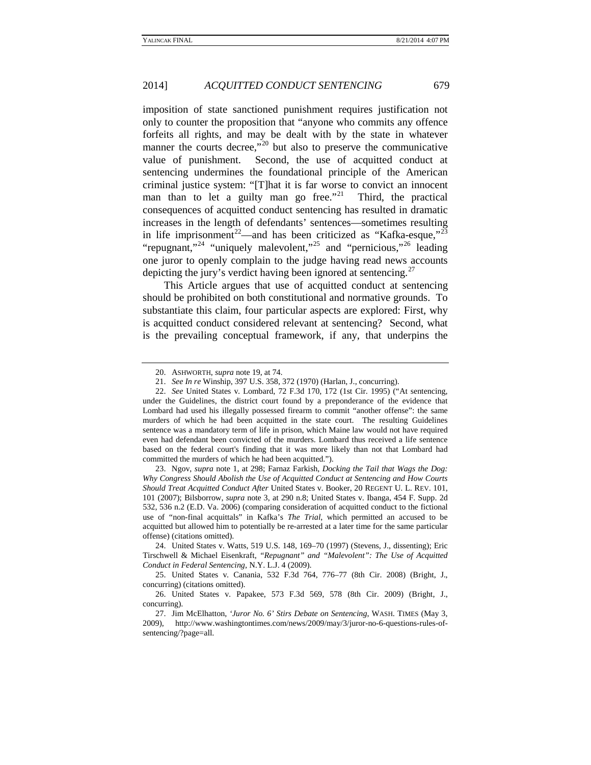imposition of state sanctioned punishment requires justification not only to counter the proposition that "anyone who commits any offence forfeits all rights, and may be dealt with by the state in whatever manner the courts decree,"<sup>[20](#page-5-0)</sup> but also to preserve the communicative value of punishment. Second, the use of acquitted conduct at sentencing undermines the foundational principle of the American criminal justice system: "[T]hat it is far worse to convict an innocent man than to let a guilty man go free."<sup>[21](#page-5-1)</sup> Third, the practical consequences of acquitted conduct sentencing has resulted in dramatic increases in the length of defendants' sentences—sometimes resulting in life imprisonment<sup>[22](#page-5-2)</sup>—and has been criticized as "Kafka-esque,"<sup>[23](#page-5-3)</sup> "repugnant,"<sup>[24](#page-5-4)</sup> "uniquely malevolent,"<sup>[25](#page-5-5)</sup> and "pernicious,"<sup>[26](#page-5-6)</sup> leading one juror to openly complain to the judge having read news accounts depicting the jury's verdict having been ignored at sentencing.<sup>[27](#page-5-7)</sup>

This Article argues that use of acquitted conduct at sentencing should be prohibited on both constitutional and normative grounds. To substantiate this claim, four particular aspects are explored: First, why is acquitted conduct considered relevant at sentencing? Second, what is the prevailing conceptual framework, if any, that underpins the

<span id="page-5-3"></span>23. Ngov, *supra* note 1, at 298; Farnaz Farkish, *Docking the Tail that Wags the Dog: Why Congress Should Abolish the Use of Acquitted Conduct at Sentencing and How Courts Should Treat Acquitted Conduct After* United States v. Booker, 20 REGENT U. L. REV. 101, 101 (2007); Bilsborrow, *supra* note 3, at 290 n.8; United States v. Ibanga, 454 F. Supp. 2d 532, 536 n.2 (E.D. Va. 2006) (comparing consideration of acquitted conduct to the fictional use of "non-final acquittals" in Kafka's *The Trial*, which permitted an accused to be acquitted but allowed him to potentially be re-arrested at a later time for the same particular offense) (citations omitted).

<span id="page-5-4"></span>24. United States v. Watts, 519 U.S. 148, 169–70 (1997) (Stevens, J., dissenting); Eric Tirschwell & Michael Eisenkraft, *"Repugnant" and "Malevolent": The Use of Acquitted Conduct in Federal Sentencing*, N.Y. L.J. 4 (2009).

<span id="page-5-5"></span>25. United States v. Canania, 532 F.3d 764, 776–77 (8th Cir. 2008) (Bright, J., concurring) (citations omitted).

<span id="page-5-6"></span>26. United States v. Papakee, 573 F.3d 569, 578 (8th Cir. 2009) (Bright, J., concurring).

<sup>20.</sup> ASHWORTH, *supra* note 19, at 74.

<sup>21.</sup> *See In re* Winship, 397 U.S. 358, 372 (1970) (Harlan, J., concurring).

<span id="page-5-2"></span><span id="page-5-1"></span><span id="page-5-0"></span><sup>22.</sup> *See* United States v. Lombard, 72 F.3d 170, 172 (1st Cir. 1995) ("At sentencing, under the Guidelines, the district court found by a preponderance of the evidence that Lombard had used his illegally possessed firearm to commit "another offense": the same murders of which he had been acquitted in the state court. The resulting Guidelines sentence was a mandatory term of life in prison, which Maine law would not have required even had defendant been convicted of the murders. Lombard thus received a life sentence based on the federal court's finding that it was more likely than not that Lombard had committed the murders of which he had been acquitted.").

<span id="page-5-7"></span><sup>27.</sup> Jim McElhatton, *'Juror No. 6' Stirs Debate on Sentencing*, WASH. TIMES (May 3, 2009), http://www.washingtontimes.com/news/2009/may/3/juror-no-6-questions-rules-ofsentencing/?page=all.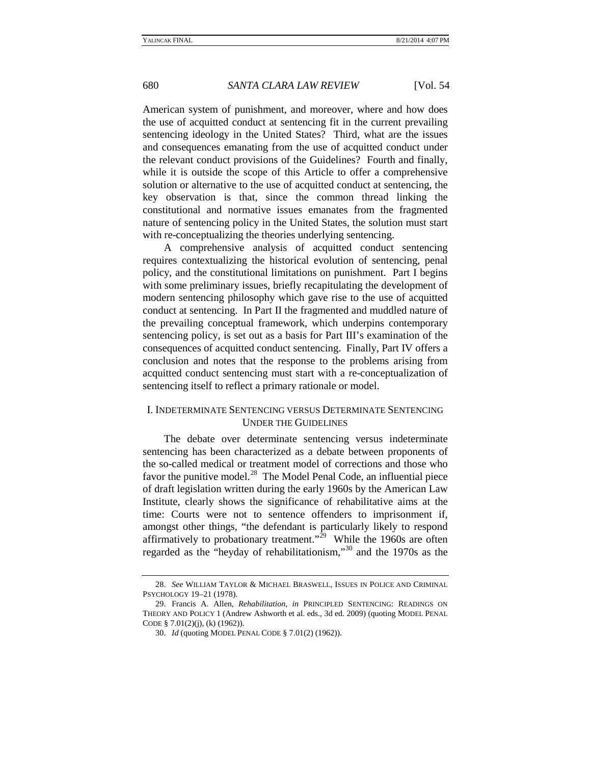American system of punishment, and moreover, where and how does the use of acquitted conduct at sentencing fit in the current prevailing sentencing ideology in the United States? Third, what are the issues and consequences emanating from the use of acquitted conduct under the relevant conduct provisions of the Guidelines? Fourth and finally, while it is outside the scope of this Article to offer a comprehensive solution or alternative to the use of acquitted conduct at sentencing, the key observation is that, since the common thread linking the constitutional and normative issues emanates from the fragmented nature of sentencing policy in the United States, the solution must start with re-conceptualizing the theories underlying sentencing.

A comprehensive analysis of acquitted conduct sentencing requires contextualizing the historical evolution of sentencing, penal policy, and the constitutional limitations on punishment. Part I begins with some preliminary issues, briefly recapitulating the development of modern sentencing philosophy which gave rise to the use of acquitted conduct at sentencing. In Part II the fragmented and muddled nature of the prevailing conceptual framework, which underpins contemporary sentencing policy, is set out as a basis for Part III's examination of the consequences of acquitted conduct sentencing. Finally, Part IV offers a conclusion and notes that the response to the problems arising from acquitted conduct sentencing must start with a re-conceptualization of sentencing itself to reflect a primary rationale or model.

# I. INDETERMINATE SENTENCING VERSUS DETERMINATE SENTENCING UNDER THE GUIDELINES

The debate over determinate sentencing versus indeterminate sentencing has been characterized as a debate between proponents of the so-called medical or treatment model of corrections and those who favor the punitive model. $^{28}$  $^{28}$  $^{28}$  The Model Penal Code, an influential piece of draft legislation written during the early 1960s by the American Law Institute, clearly shows the significance of rehabilitative aims at the time: Courts were not to sentence offenders to imprisonment if, amongst other things, "the defendant is particularly likely to respond affirmatively to probationary treatment."<sup>[29](#page-6-1)</sup> While the 1960s are often regarded as the "heyday of rehabilitationism,"[30](#page-6-2) and the 1970s as the

<span id="page-6-0"></span><sup>28.</sup> *See* WILLIAM TAYLOR & MICHAEL BRASWELL, ISSUES IN POLICE AND CRIMINAL PSYCHOLOGY 19–21 (1978).

<span id="page-6-2"></span><span id="page-6-1"></span><sup>29.</sup> Francis A. Allen, *Rehabilitation*, *in* PRINCIPLED SENTENCING: READINGS ON THEORY AND POLICY 1 (Andrew Ashworth et al. eds., 3d ed. 2009) (quoting MODEL PENAL CODE § 7.01(2)(j), (k) (1962)).

<sup>30.</sup> *Id* (quoting MODEL PENAL CODE § 7.01(2) (1962)).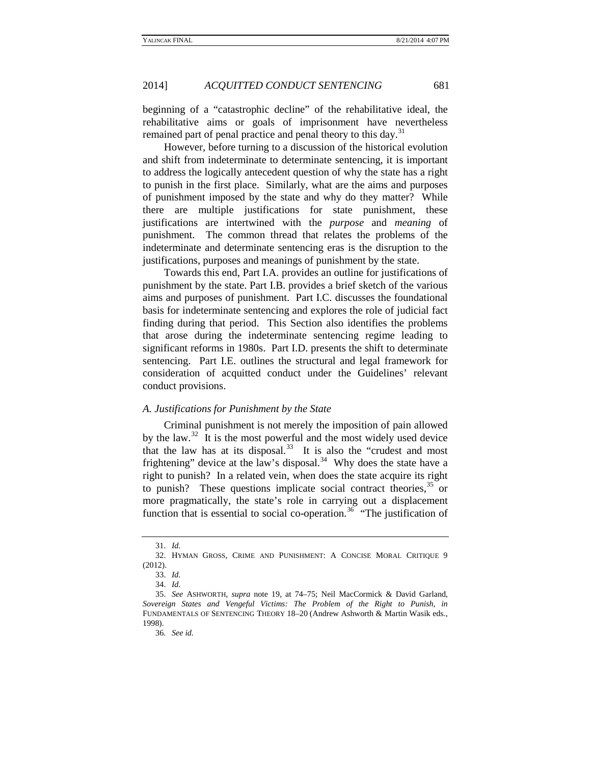beginning of a "catastrophic decline" of the rehabilitative ideal, the rehabilitative aims or goals of imprisonment have nevertheless remained part of penal practice and penal theory to this day.<sup>[31](#page-7-0)</sup>

However, before turning to a discussion of the historical evolution and shift from indeterminate to determinate sentencing, it is important to address the logically antecedent question of why the state has a right to punish in the first place. Similarly, what are the aims and purposes of punishment imposed by the state and why do they matter? While there are multiple justifications for state punishment, these justifications are intertwined with the *purpose* and *meaning* of punishment. The common thread that relates the problems of the indeterminate and determinate sentencing eras is the disruption to the justifications, purposes and meanings of punishment by the state.

Towards this end, Part I.A. provides an outline for justifications of punishment by the state. Part I.B. provides a brief sketch of the various aims and purposes of punishment. Part I.C. discusses the foundational basis for indeterminate sentencing and explores the role of judicial fact finding during that period. This Section also identifies the problems that arose during the indeterminate sentencing regime leading to significant reforms in 1980s. Part I.D. presents the shift to determinate sentencing. Part I.E. outlines the structural and legal framework for consideration of acquitted conduct under the Guidelines' relevant conduct provisions.

# *A. Justifications for Punishment by the State*

Criminal punishment is not merely the imposition of pain allowed by the law. $32$  It is the most powerful and the most widely used device that the law has at its disposal.<sup>[33](#page-7-2)</sup> It is also the "crudest and most" frightening" device at the law's disposal.<sup>[34](#page-7-3)</sup> Why does the state have a right to punish? In a related vein, when does the state acquire its right to punish? These questions implicate social contract theories,  $35$  or more pragmatically, the state's role in carrying out a displacement function that is essential to social co-operation.<sup>[36](#page-7-5)</sup> "The justification of

<sup>31.</sup> *Id.*

<span id="page-7-1"></span><span id="page-7-0"></span><sup>32.</sup> HYMAN GROSS, CRIME AND PUNISHMENT: A CONCISE MORAL CRITIQUE 9 (2012).

<sup>33.</sup> *Id.*

<sup>34.</sup> *Id.*

<span id="page-7-5"></span><span id="page-7-4"></span><span id="page-7-3"></span><span id="page-7-2"></span><sup>35.</sup> *See* ASHWORTH, *supra* note 19, at 74–75; Neil MacCormick & David Garland, *Sovereign States and Vengeful Victims: The Problem of the Right to Punish*, *in*  FUNDAMENTALS OF SENTENCING THEORY 18–20 (Andrew Ashworth & Martin Wasik eds., 1998).

<sup>36</sup>*. See id.*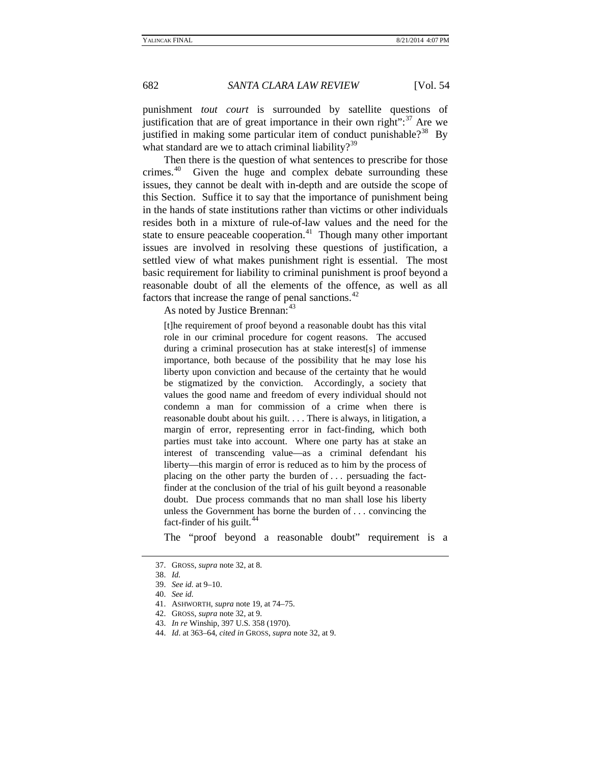punishment *tout court* is surrounded by satellite questions of justification that are of great importance in their own right": $37$  Are we justified in making some particular item of conduct punishable?<sup>[38](#page-8-1)</sup> By what standard are we to attach criminal liability? $39$ 

Then there is the question of what sentences to prescribe for those crimes. $40$  Given the huge and complex debate surrounding these issues, they cannot be dealt with in-depth and are outside the scope of this Section. Suffice it to say that the importance of punishment being in the hands of state institutions rather than victims or other individuals resides both in a mixture of rule-of-law values and the need for the state to ensure peaceable cooperation.<sup>[41](#page-8-4)</sup> Though many other important issues are involved in resolving these questions of justification, a settled view of what makes punishment right is essential. The most basic requirement for liability to criminal punishment is proof beyond a reasonable doubt of all the elements of the offence, as well as all factors that increase the range of penal sanctions.<sup>[42](#page-8-5)</sup>

As noted by Justice Brennan: <sup>[43](#page-8-6)</sup>

[t]he requirement of proof beyond a reasonable doubt has this vital role in our criminal procedure for cogent reasons. The accused during a criminal prosecution has at stake interest[s] of immense importance, both because of the possibility that he may lose his liberty upon conviction and because of the certainty that he would be stigmatized by the conviction. Accordingly, a society that values the good name and freedom of every individual should not condemn a man for commission of a crime when there is reasonable doubt about his guilt. . . . There is always, in litigation, a margin of error, representing error in fact-finding, which both parties must take into account. Where one party has at stake an interest of transcending value—as a criminal defendant his liberty—this margin of error is reduced as to him by the process of placing on the other party the burden of . . . persuading the factfinder at the conclusion of the trial of his guilt beyond a reasonable doubt. Due process commands that no man shall lose his liberty unless the Government has borne the burden of . . . convincing the fact-finder of his guilt. $44$ 

The "proof beyond a reasonable doubt" requirement is a

<sup>37.</sup> GROSS, *supra* note 32, at 8.

<span id="page-8-3"></span><span id="page-8-2"></span><span id="page-8-1"></span><span id="page-8-0"></span><sup>38.</sup> *Id.*

<sup>39.</sup> *See id.* at 9–10.

<sup>40.</sup> *See id.*

<span id="page-8-4"></span><sup>41.</sup> ASHWORTH, *supra* note 19, at 74–75.

<span id="page-8-5"></span><sup>42.</sup> GROSS, *supra* note 32, at 9.

<span id="page-8-6"></span><sup>43.</sup> *In re* Winship, 397 U.S. 358 (1970).

<span id="page-8-7"></span><sup>44.</sup> *Id*. at 363–64, *cited in* GROSS, *supra* note 32, at 9.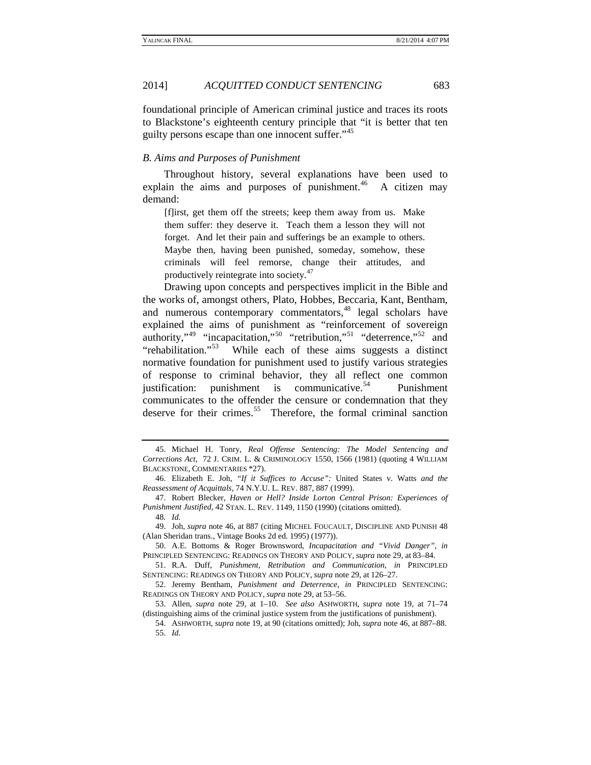foundational principle of American criminal justice and traces its roots to Blackstone's eighteenth century principle that "it is better that ten guilty persons escape than one innocent suffer."<sup>[45](#page-9-0)</sup>

#### *B. Aims and Purposes of Punishment*

Throughout history, several explanations have been used to explain the aims and purposes of punishment.<sup>[46](#page-9-1)</sup> A citizen may demand:

[f]irst, get them off the streets; keep them away from us. Make them suffer: they deserve it. Teach them a lesson they will not forget. And let their pain and sufferings be an example to others. Maybe then, having been punished, someday, somehow, these criminals will feel remorse, change their attitudes, and productively reintegrate into society.<sup>[47](#page-9-2)</sup>

Drawing upon concepts and perspectives implicit in the Bible and the works of, amongst others, Plato, Hobbes, Beccaria, Kant, Bentham, and numerous contemporary commentators,<sup>[48](#page-9-3)</sup> legal scholars have explained the aims of punishment as "reinforcement of sovereign authority,"<sup>[49](#page-9-4)</sup> "incapacitation,"<sup>[50](#page-9-5)</sup> "retribution,"<sup>[51](#page-9-6)</sup> "deterrence,"<sup>[52](#page-9-7)</sup> and "rehabilitation."<sup>[53](#page-9-8)</sup> While each of these aims suggests a distinct normative foundation for punishment used to justify various strategies of response to criminal behavior, they all reflect one common justification: punishment is communicative. $54$  Punishment communicates to the offender the censure or condemnation that they deserve for their crimes.<sup>[55](#page-9-10)</sup> Therefore, the formal criminal sanction

48*. Id.*

<span id="page-9-4"></span><span id="page-9-3"></span>49. Joh, *supra* note 46, at 887 (citing MICHEL FOUCAULT, DISCIPLINE AND PUNISH 48 (Alan Sheridan trans., Vintage Books 2d ed. 1995) (1977)).

<span id="page-9-0"></span><sup>45.</sup> Michael H. Tonry, *Real Offense Sentencing: The Model Sentencing and Corrections Act*, 72 J. CRIM. L. & CRIMINOLOGY 1550, 1566 (1981) (quoting 4 WILLIAM BLACKSTONE, COMMENTARIES \*27).

<span id="page-9-1"></span><sup>46.</sup> Elizabeth E. Joh, *"If it Suffices to Accuse":* United States v. Watts *and the Reassessment of Acquittals*, 74 N.Y.U. L. REV. 887, 887 (1999).

<span id="page-9-2"></span><sup>47.</sup> Robert Blecker, *Haven or Hell? Inside Lorton Central Prison: Experiences of Punishment Justified*, 42 STAN. L. REV. 1149, 1150 (1990) (citations omitted).

<span id="page-9-5"></span><sup>50.</sup> A.E. Bottoms & Roger Brownsword, *Incapacitation and "Vivid Danger"*, *in* PRINCIPLED SENTENCING: READINGS ON THEORY AND POLICY, *supra* note 29, at 83–84.

<span id="page-9-6"></span><sup>51.</sup> R.A. Duff, *Punishment, Retribution and Communication*, *in* PRINCIPLED SENTENCING: READINGS ON THEORY AND POLICY, *supra* note 29, at 126–27.

<span id="page-9-7"></span><sup>52.</sup> Jeremy Bentham, *Punishment and Deterrence*, *in* PRINCIPLED SENTENCING: READINGS ON THEORY AND POLICY, *supra* note 29, at 53–56.

<span id="page-9-10"></span><span id="page-9-9"></span><span id="page-9-8"></span><sup>53.</sup> Allen, *supra* note 29, at 1–10. *See also* ASHWORTH, *supra* note 19, at 71–74 (distinguishing aims of the criminal justice system from the justifications of punishment).

<sup>54.</sup> ASHWORTH, *supra* note 19, at 90 (citations omitted); Joh, *supra* note 46, at 887–88. 55. *Id.*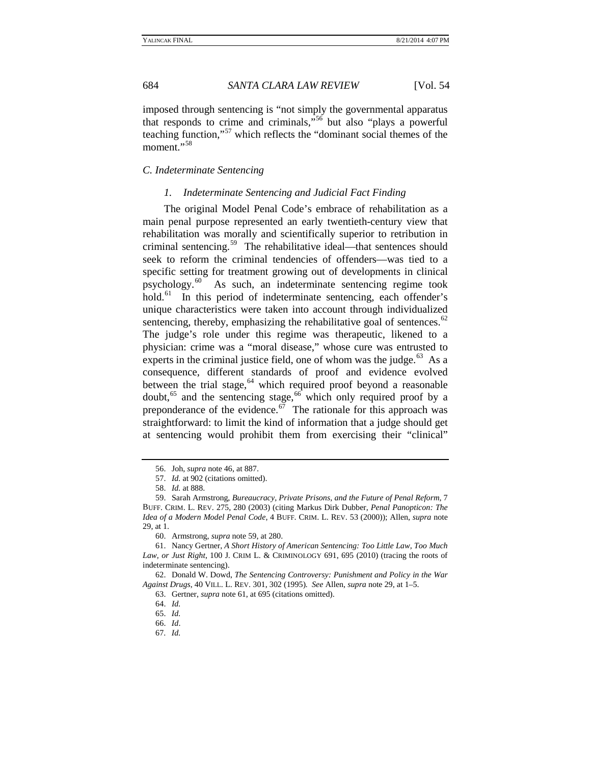imposed through sentencing is "not simply the governmental apparatus that responds to crime and criminals,"[56](#page-10-0) but also "plays a powerful teaching function,"[57](#page-10-1) which reflects the "dominant social themes of the moment."<sup>[58](#page-10-2)</sup>

#### *C. Indeterminate Sentencing*

#### *1. Indeterminate Sentencing and Judicial Fact Finding*

The original Model Penal Code's embrace of rehabilitation as a main penal purpose represented an early twentieth-century view that rehabilitation was morally and scientifically superior to retribution in criminal sentencing.<sup>[59](#page-10-3)</sup> The rehabilitative ideal—that sentences should seek to reform the criminal tendencies of offenders—was tied to a specific setting for treatment growing out of developments in clinical psychology. $60$  As such, an indeterminate sentencing regime took hold.<sup>[61](#page-10-5)</sup> In this period of indeterminate sentencing, each offender's unique characteristics were taken into account through individualized sentencing, thereby, emphasizing the rehabilitative goal of sentences. $62$ The judge's role under this regime was therapeutic, likened to a physician: crime was a "moral disease," whose cure was entrusted to experts in the criminal justice field, one of whom was the judge. $63$  As a consequence, different standards of proof and evidence evolved between the trial stage,<sup>[64](#page-10-8)</sup> which required proof beyond a reasonable doubt,  $65$  and the sentencing stage,  $66$  which only required proof by a preponderance of the evidence. $\overline{67}$  $\overline{67}$  $\overline{67}$  The rationale for this approach was straightforward: to limit the kind of information that a judge should get at sentencing would prohibit them from exercising their "clinical"

<sup>56.</sup> Joh, *supra* note 46, at 887.

<sup>57.</sup> *Id.* at 902 (citations omitted).

<sup>58.</sup> *Id.* at 888.

<span id="page-10-3"></span><span id="page-10-2"></span><span id="page-10-1"></span><span id="page-10-0"></span><sup>59.</sup> Sarah Armstrong, *Bureaucracy, Private Prisons, and the Future of Penal Reform*, 7 BUFF. CRIM. L. REV. 275, 280 (2003) (citing Markus Dirk Dubber, *Penal Panopticon: The Idea of a Modern Model Penal Code*, 4 BUFF. CRIM. L. REV. 53 (2000)); Allen, *supra* note 29, at 1.

<sup>60.</sup> Armstrong, *supra* note 59, at 280.

<span id="page-10-5"></span><span id="page-10-4"></span><sup>61.</sup> Nancy Gertner, *A Short History of American Sentencing: Too Little Law, Too Much Law, or Just Right*, 100 J. CRIM L. & CRIMINOLOGY 691, 695 (2010) (tracing the roots of indeterminate sentencing).

<span id="page-10-11"></span><span id="page-10-10"></span><span id="page-10-9"></span><span id="page-10-8"></span><span id="page-10-7"></span><span id="page-10-6"></span><sup>62.</sup> Donald W. Dowd, *The Sentencing Controversy: Punishment and Policy in the War Against Drugs*, 40 VILL. L. REV. 301, 302 (1995)*. See* Allen, *supra* note 29, at 1–5.

<sup>63.</sup> Gertner, *supra* note 61, at 695 (citations omitted).

<sup>64.</sup> *Id.*

<sup>65.</sup> *Id.*

<sup>66.</sup> *Id*.

<sup>67.</sup> *Id.*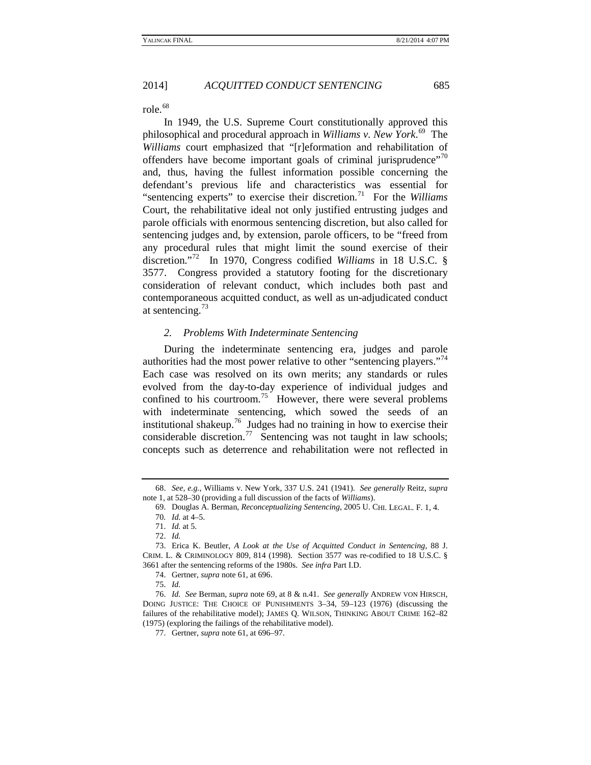role.<sup>[68](#page-11-0)</sup>

In 1949, the U.S. Supreme Court constitutionally approved this philosophical and procedural approach in *Williams v. New York*. [69](#page-11-1) The *Williams* court emphasized that "[r]eformation and rehabilitation of offenders have become important goals of criminal jurisprudence"<sup>[70](#page-11-2)</sup> and, thus, having the fullest information possible concerning the defendant's previous life and characteristics was essential for "sentencing experts" to exercise their discretion.<sup>71</sup> For the *Williams* Court, the rehabilitative ideal not only justified entrusting judges and parole officials with enormous sentencing discretion, but also called for sentencing judges and, by extension, parole officers, to be "freed from any procedural rules that might limit the sound exercise of their discretion."[72](#page-11-4) In 1970, Congress codified *Williams* in 18 U.S.C. § 3577. Congress provided a statutory footing for the discretionary consideration of relevant conduct, which includes both past and contemporaneous acquitted conduct, as well as un-adjudicated conduct at sentencing. $^{73}$  $^{73}$  $^{73}$ 

#### *2. Problems With Indeterminate Sentencing*

During the indeterminate sentencing era, judges and parole authorities had the most power relative to other "sentencing players."[74](#page-11-6) Each case was resolved on its own merits; any standards or rules evolved from the day-to-day experience of individual judges and confined to his courtroom.<sup>[75](#page-11-7)</sup> However, there were several problems with indeterminate sentencing, which sowed the seeds of an institutional shakeup.<sup>[76](#page-11-8)</sup> Judges had no training in how to exercise their considerable discretion.<sup>[77](#page-11-9)</sup> Sentencing was not taught in law schools; concepts such as deterrence and rehabilitation were not reflected in

<span id="page-11-2"></span><span id="page-11-1"></span><span id="page-11-0"></span><sup>68.</sup> *See, e.g.*, Williams v. New York, 337 U.S. 241 (1941). *See generally* Reitz, *supra*  note 1, at 528–30 (providing a full discussion of the facts of *Williams*).

<sup>69.</sup> Douglas A. Berman*, Reconceptualizing Sentencing*, 2005 U. CHI. LEGAL. F. 1, 4.

<sup>70</sup>*. Id.* at 4–5.

<sup>71.</sup> *Id.* at 5.

<sup>72.</sup> *Id.*

<span id="page-11-5"></span><span id="page-11-4"></span><span id="page-11-3"></span><sup>73.</sup> Erica K. Beutler, *A Look at the Use of Acquitted Conduct in Sentencing*, 88 J. CRIM. L. & CRIMINOLOGY 809, 814 (1998). Section 3577 was re-codified to 18 U.S.C. § 3661 after the sentencing reforms of the 1980s. *See infra* Part I.D.

<sup>74.</sup> Gertner, *supra* note 61, at 696.

<sup>75.</sup> *Id.*

<span id="page-11-9"></span><span id="page-11-8"></span><span id="page-11-7"></span><span id="page-11-6"></span><sup>76.</sup> *Id. See* Berman, *supra* note 69, at 8 & n.41. *See generally* ANDREW VON HIRSCH, DOING JUSTICE: THE CHOICE OF PUNISHMENTS 3–34, 59–123 (1976) (discussing the failures of the rehabilitative model); JAMES Q. WILSON, THINKING ABOUT CRIME 162–82 (1975) (exploring the failings of the rehabilitative model).

<sup>77.</sup> Gertner, *supra* note 61, at 696–97.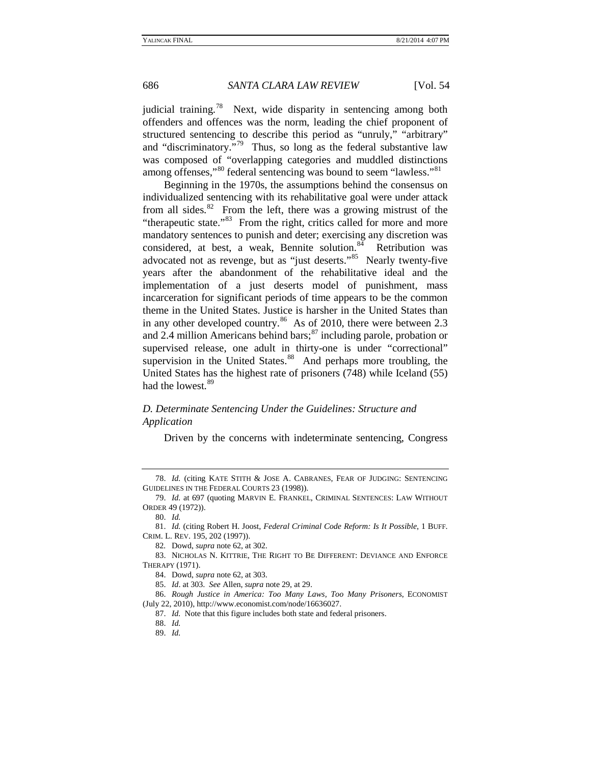judicial training.<sup>[78](#page-12-0)</sup> Next, wide disparity in sentencing among both offenders and offences was the norm, leading the chief proponent of structured sentencing to describe this period as "unruly," "arbitrary" and "discriminatory."<sup>[79](#page-12-1)</sup> Thus, so long as the federal substantive law was composed of "overlapping categories and muddled distinctions among offenses,"<sup>[80](#page-12-2)</sup> federal sentencing was bound to seem "lawless."<sup>[81](#page-12-3)</sup>

Beginning in the 1970s, the assumptions behind the consensus on individualized sentencing with its rehabilitative goal were under attack from all sides. $82$  From the left, there was a growing mistrust of the "therapeutic state."<sup>[83](#page-12-5)</sup> From the right, critics called for more and more mandatory sentences to punish and deter; exercising any discretion was considered, at best, a weak, Bennite solution.<sup>[84](#page-12-6)</sup> Retribution was advocated not as revenge, but as "just deserts."<sup>[85](#page-12-7)</sup> Nearly twenty-five years after the abandonment of the rehabilitative ideal and the implementation of a just deserts model of punishment, mass incarceration for significant periods of time appears to be the common theme in the United States. Justice is harsher in the United States than in any other developed country.<sup>[86](#page-12-8)</sup> As of 2010, there were between 2.3 and 2.4 million Americans behind bars; $^{87}$  $^{87}$  $^{87}$  including parole, probation or supervised release, one adult in thirty-one is under "correctional" supervision in the United States.<sup>[88](#page-12-10)</sup> And perhaps more troubling, the United States has the highest rate of prisoners (748) while Iceland (55) had the lowest.<sup>[89](#page-12-11)</sup>

# *D. Determinate Sentencing Under the Guidelines: Structure and Application*

Driven by the concerns with indeterminate sentencing, Congress

<span id="page-12-0"></span><sup>78.</sup> *Id.* (citing KATE STITH & JOSE A. CABRANES, FEAR OF JUDGING: SENTENCING GUIDELINES IN THE FEDERAL COURTS 23 (1998)).

<span id="page-12-1"></span><sup>79.</sup> *Id.* at 697 (quoting MARVIN E. FRANKEL, CRIMINAL SENTENCES: LAW WITHOUT ORDER 49 (1972)).

<sup>80.</sup> *Id.*

<span id="page-12-3"></span><span id="page-12-2"></span><sup>81.</sup> *Id.* (citing Robert H. Joost, *Federal Criminal Code Reform: Is It Possible*, 1 BUFF. CRIM. L. REV. 195, 202 (1997)).

<sup>82</sup>*.* Dowd, *supra* note 62, at 302.

<span id="page-12-6"></span><span id="page-12-5"></span><span id="page-12-4"></span><sup>83.</sup> NICHOLAS N. KITTRIE, THE RIGHT TO BE DIFFERENT: DEVIANCE AND ENFORCE THERAPY (1971).

<sup>84.</sup> Dowd, *supra* note 62, at 303.

<sup>85.</sup> *Id*. at 303. *See* Allen, *supra* note 29, at 29.

<span id="page-12-11"></span><span id="page-12-10"></span><span id="page-12-9"></span><span id="page-12-8"></span><span id="page-12-7"></span><sup>86.</sup> *Rough Justice in America: Too Many Laws, Too Many Prisoners*, ECONOMIST (July 22, 2010), http://www.economist.com/node/16636027.

<sup>87.</sup> *Id.* Note that this figure includes both state and federal prisoners.

<sup>88.</sup> *Id.*

<sup>89.</sup> *Id.*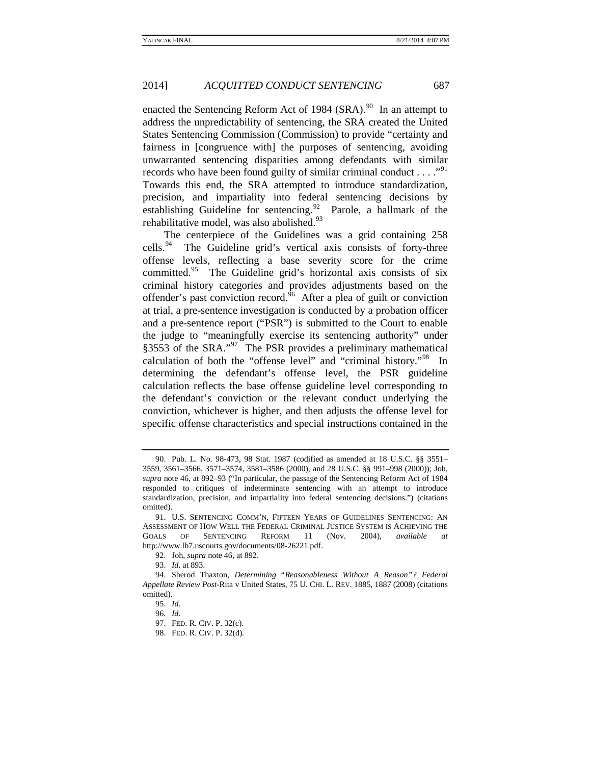enacted the Sentencing Reform Act of 1984 (SRA).<sup>[90](#page-13-0)</sup> In an attempt to address the unpredictability of sentencing, the SRA created the United States Sentencing Commission (Commission) to provide "certainty and fairness in [congruence with] the purposes of sentencing, avoiding unwarranted sentencing disparities among defendants with similar records who have been found guilty of similar criminal conduct  $\dots$ ."<sup>91</sup> Towards this end, the SRA attempted to introduce standardization, precision, and impartiality into federal sentencing decisions by establishing Guideline for sentencing.<sup>[92](#page-13-2)</sup> Parole, a hallmark of the rehabilitative model, was also abolished.<sup>[93](#page-13-3)</sup>

The centerpiece of the Guidelines was a grid containing 258 cells.<sup>[94](#page-13-4)</sup> The Guideline grid's vertical axis consists of forty-three offense levels, reflecting a base severity score for the crime committed.<sup>[95](#page-13-5)</sup> The Guideline grid's horizontal axis consists of six criminal history categories and provides adjustments based on the offender's past conviction record.<sup>[96](#page-13-6)</sup> After a plea of guilt or conviction at trial, a pre-sentence investigation is conducted by a probation officer and a pre-sentence report ("PSR") is submitted to the Court to enable the judge to "meaningfully exercise its sentencing authority" under  $§3553$  of the SRA."<sup>[97](#page-13-7)</sup> The PSR provides a preliminary mathematical calculation of both the "offense level" and "criminal history."[98](#page-13-8) In determining the defendant's offense level, the PSR guideline calculation reflects the base offense guideline level corresponding to the defendant's conviction or the relevant conduct underlying the conviction, whichever is higher, and then adjusts the offense level for specific offense characteristics and special instructions contained in the

<span id="page-13-0"></span><sup>90.</sup> Pub. L. No. 98-473, 98 Stat. 1987 (codified as amended at 18 U.S.C. §§ 3551– 3559, 3561–3566, 3571–3574, 3581–3586 (2000), and 28 U.S.C. §§ 991–998 (2000)); Joh, *supra* note 46, at 892–93 ("In particular, the passage of the Sentencing Reform Act of 1984 responded to critiques of indeterminate sentencing with an attempt to introduce standardization, precision, and impartiality into federal sentencing decisions.") (citations omitted).

<span id="page-13-1"></span><sup>91.</sup> U.S. SENTENCING COMM'N, FIFTEEN YEARS OF GUIDELINES SENTENCING: AN ASSESSMENT OF HOW WELL THE FEDERAL CRIMINAL JUSTICE SYSTEM IS ACHIEVING THE GOALS OF SENTENCING REFORM 11 (Nov. 2004), *available at* http://www.lb7.uscourts.gov/documents/08-26221.pdf.

<sup>92.</sup> Joh, *supra* note 46, at 892.

<sup>93.</sup> *Id.* at 893.

<span id="page-13-8"></span><span id="page-13-7"></span><span id="page-13-6"></span><span id="page-13-5"></span><span id="page-13-4"></span><span id="page-13-3"></span><span id="page-13-2"></span><sup>94.</sup> Sherod Thaxton, *Determining* "*Reasonableness Without A Reason"? Federal Appellate Review Post-*Rita v United States, 75 U. CHI. L. REV. 1885, 1887 (2008) (citations omitted).

<sup>95.</sup> *Id.*

<sup>96</sup>*. Id.*

<sup>97.</sup> FED. R. CIV. P. 32(c).

<sup>98.</sup> FED. R. CIV. P. 32(d).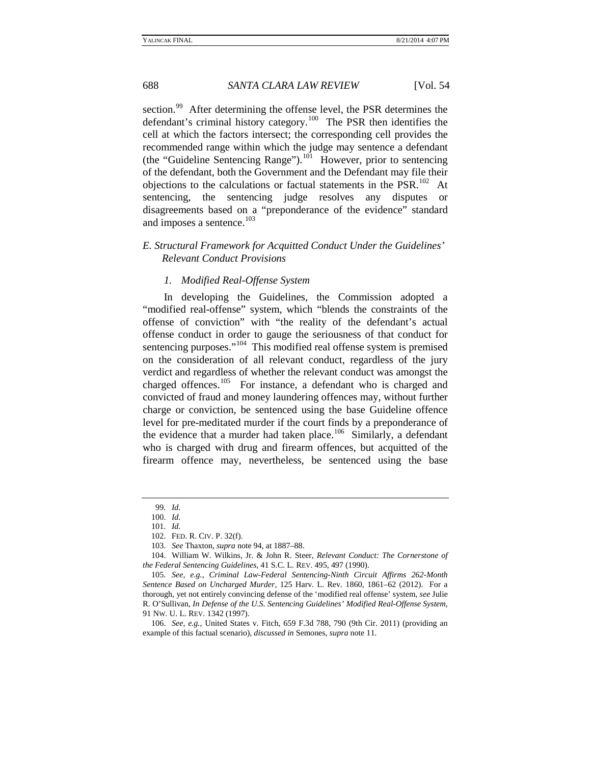section.<sup>[99](#page-14-0)</sup> After determining the offense level, the PSR determines the defendant's criminal history category.<sup>[100](#page-14-1)</sup> The PSR then identifies the cell at which the factors intersect; the corresponding cell provides the recommended range within which the judge may sentence a defendant (the "Guideline Sentencing Range").<sup>[101](#page-14-2)</sup> However, prior to sentencing of the defendant, both the Government and the Defendant may file their objections to the calculations or factual statements in the PSR.<sup>[102](#page-14-3)</sup> At sentencing, the sentencing judge resolves any disputes or disagreements based on a "preponderance of the evidence" standard and imposes a sentence.<sup>[103](#page-14-4)</sup>

# *E. Structural Framework for Acquitted Conduct Under the Guidelines' Relevant Conduct Provisions*

# *1. Modified Real-Offense System*

In developing the Guidelines, the Commission adopted a "modified real-offense" system, which "blends the constraints of the offense of conviction" with "the reality of the defendant's actual offense conduct in order to gauge the seriousness of that conduct for sentencing purposes."<sup>[104](#page-14-5)</sup> This modified real offense system is premised on the consideration of all relevant conduct, regardless of the jury verdict and regardless of whether the relevant conduct was amongst the charged offences.<sup>[105](#page-14-6)</sup> For instance, a defendant who is charged and convicted of fraud and money laundering offences may, without further charge or conviction, be sentenced using the base Guideline offence level for pre-meditated murder if the court finds by a preponderance of the evidence that a murder had taken place.<sup>[106](#page-14-7)</sup> Similarly, a defendant who is charged with drug and firearm offences, but acquitted of the firearm offence may, nevertheless, be sentenced using the base

<sup>99</sup>*. Id.*

<sup>100.</sup> *Id.*

<sup>101</sup>*. Id.*

<sup>102.</sup> FED. R. CIV. P. 32(f).

<sup>103.</sup> *See* Thaxton, *supra* note 94, at 1887–88.

<span id="page-14-5"></span><span id="page-14-4"></span><span id="page-14-3"></span><span id="page-14-2"></span><span id="page-14-1"></span><span id="page-14-0"></span><sup>104.</sup> William W. Wilkins, Jr. & John R. Steer, *Relevant Conduct: The Cornerstone of the Federal Sentencing Guidelines*, 41 S.C. L. REV. 495, 497 (1990).

<span id="page-14-6"></span><sup>105</sup>*. See, e.g.*, *Criminal Law-Federal Sentencing-Ninth Circuit Affirms 262-Month Sentence Based on Uncharged Murder*, 125 Harv. L. Rev. 1860, 1861–62 (2012). For a thorough, yet not entirely convincing defense of the 'modified real offense' system, *see* Julie R. O'Sullivan, *In Defense of the U.S. Sentencing Guidelines' Modified Real-Offense System*, 91 NW. U. L. REV. 1342 (1997).

<span id="page-14-7"></span><sup>106.</sup> *See, e.g.*, United States v. Fitch, 659 F.3d 788, 790 (9th Cir. 2011) (providing an example of this factual scenario), *discussed in* Semones, *supra* note 11.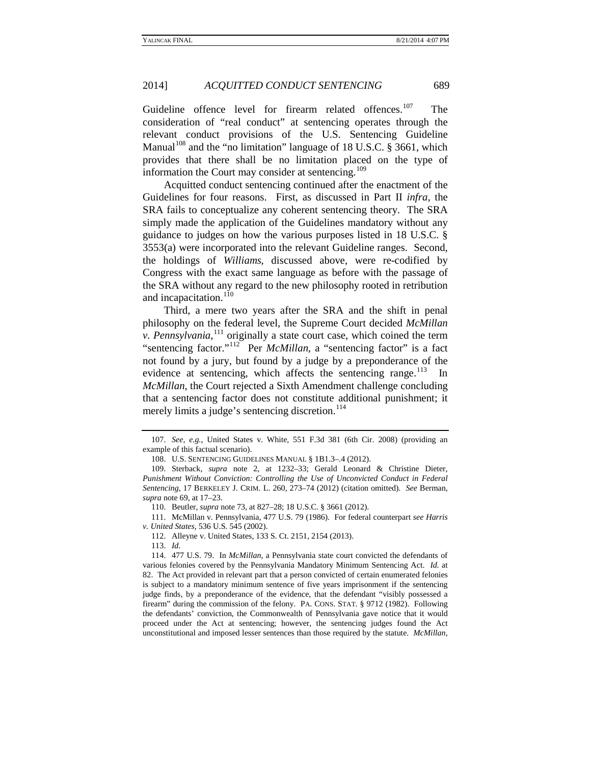Guideline offence level for firearm related offences.<sup>[107](#page-15-0)</sup> The consideration of "real conduct" at sentencing operates through the relevant conduct provisions of the U.S. Sentencing Guideline Manual<sup>[108](#page-15-1)</sup> and the "no limitation" language of 18 U.S.C. § 3661, which provides that there shall be no limitation placed on the type of information the Court may consider at sentencing.<sup>[109](#page-15-2)</sup>

Acquitted conduct sentencing continued after the enactment of the Guidelines for four reasons. First, as discussed in Part II *infra*, the SRA fails to conceptualize any coherent sentencing theory. The SRA simply made the application of the Guidelines mandatory without any guidance to judges on how the various purposes listed in 18 U.S.C. § 3553(a) were incorporated into the relevant Guideline ranges. Second, the holdings of *Williams*, discussed above, were re-codified by Congress with the exact same language as before with the passage of the SRA without any regard to the new philosophy rooted in retribution and incapacitation.<sup>[110](#page-15-3)</sup>

Third, a mere two years after the SRA and the shift in penal philosophy on the federal level, the Supreme Court decided *McMillan v. Pennsylvania*, [111](#page-15-4) originally a state court case, which coined the term "sentencing factor."<sup>[112](#page-15-5)</sup> Per *McMillan*, a "sentencing factor" is a fact not found by a jury, but found by a judge by a preponderance of the evidence at sentencing, which affects the sentencing range.<sup>[113](#page-15-6)</sup> In *McMillan*, the Court rejected a Sixth Amendment challenge concluding that a sentencing factor does not constitute additional punishment; it merely limits a judge's sentencing discretion.<sup>[114](#page-15-7)</sup>

113. *Id.*

<span id="page-15-0"></span><sup>107.</sup> *See, e.g.*, United States v. White, 551 F.3d 381 (6th Cir. 2008) (providing an example of this factual scenario).

<sup>108.</sup> U.S. SENTENCING GUIDELINES MANUAL § 1B1.3–.4 (2012).

<span id="page-15-2"></span><span id="page-15-1"></span><sup>109.</sup> Sterback, *supra* note 2, at 1232–33; Gerald Leonard & Christine Dieter, *Punishment Without Conviction: Controlling the Use of Unconvicted Conduct in Federal Sentencing*, 17 BERKELEY J. CRIM. L. 260, 273–74 (2012) (citation omitted). *See* Berman, *supra* note 69, at 17–23.

<sup>110.</sup> Beutler, *supra* note 73, at 827–28; 18 U.S.C. § 3661 (2012).

<span id="page-15-5"></span><span id="page-15-4"></span><span id="page-15-3"></span><sup>111.</sup> McMillan v. Pennsylvania, 477 U.S. 79 (1986). For federal counterpart *see Harris v. United States*, 536 U.S. 545 (2002).

<sup>112.</sup> Alleyne v. United States, 133 S. Ct. 2151, 2154 (2013).

<span id="page-15-7"></span><span id="page-15-6"></span><sup>114.</sup> 477 U.S. 79. In *McMillan*, a Pennsylvania state court convicted the defendants of various felonies covered by the Pennsylvania Mandatory Minimum Sentencing Act. *Id.* at 82. The Act provided in relevant part that a person convicted of certain enumerated felonies is subject to a mandatory minimum sentence of five years imprisonment if the sentencing judge finds, by a preponderance of the evidence, that the defendant "visibly possessed a firearm" during the commission of the felony. PA. CONS. STAT. § 9712 (1982). Following the defendants' conviction, the Commonwealth of Pennsylvania gave notice that it would proceed under the Act at sentencing; however, the sentencing judges found the Act unconstitutional and imposed lesser sentences than those required by the statute. *McMillan,*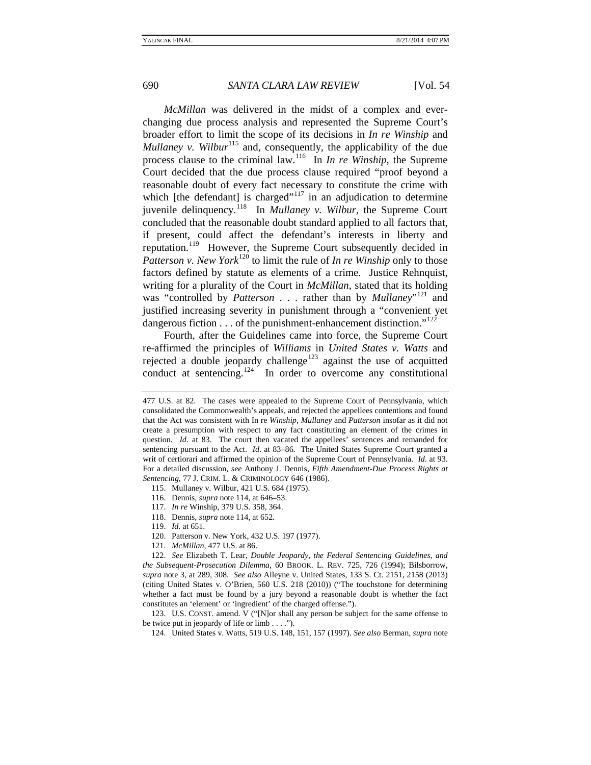*McMillan* was delivered in the midst of a complex and everchanging due process analysis and represented the Supreme Court's broader effort to limit the scope of its decisions in *In re Winship* and *Mullaney v. Wilbur*<sup>[115](#page-16-0)</sup> and, consequently, the applicability of the due process clause to the criminal law.[116](#page-16-1) In *In re Winship*, the Supreme Court decided that the due process clause required "proof beyond a reasonable doubt of every fact necessary to constitute the crime with which [the defendant] is charged"<sup>[117](#page-16-2)</sup> in an adjudication to determine juvenile delinquency.<sup>[118](#page-16-3)</sup> In *Mullaney v. Wilbur*, the Supreme Court concluded that the reasonable doubt standard applied to all factors that, if present, could affect the defendant's interests in liberty and reputation.<sup>[119](#page-16-4)</sup> However, the Supreme Court subsequently decided in *Patterson v. New York*<sup>[120](#page-16-5)</sup> to limit the rule of *In re Winship* only to those factors defined by statute as elements of a crime. Justice Rehnquist, writing for a plurality of the Court in *McMillan*, stated that its holding was "controlled by *Patterson* . . . rather than by *Mullaney*"<sup>[121](#page-16-6)</sup> and justified increasing severity in punishment through a "convenient yet dangerous fiction . . . of the punishment-enhancement distinction."<sup>[122](#page-16-7)</sup>

Fourth, after the Guidelines came into force, the Supreme Court re-affirmed the principles of *Williams* in *United States v. Watts* and rejected a double jeopardy challenge<sup>[123](#page-16-8)</sup> against the use of acquitted conduct at sentencing.<sup>[124](#page-16-9)</sup> In order to overcome any constitutional

- <span id="page-16-1"></span>116. Dennis, *supra* note 114, at 646–53.
- 117. *In re* Winship, 379 U.S. 358, 364.
- 118. Dennis, *supra* note 114, at 652.
- 119. *Id.* at 651.
- 120. Patterson v. New York, 432 U.S. 197 (1977).
- 121. *McMillan*, 477 U.S. at 86.

<span id="page-16-9"></span><span id="page-16-8"></span>123. U.S. CONST. amend. V ("[N]or shall any person be subject for the same offense to be twice put in jeopardy of life or limb  $\dots$ .").

124. United States v. Watts, 519 U.S. 148, 151, 157 (1997). *See also* Berman, *supra* note

<sup>477</sup> U.S. at 82. The cases were appealed to the Supreme Court of Pennsylvania, which consolidated the Commonwealth's appeals, and rejected the appellees contentions and found that the Act was consistent with In re *Winship*, *Mullaney* and *Patterson* insofar as it did not create a presumption with respect to any fact constituting an element of the crimes in question. *Id*. at 83. The court then vacated the appellees' sentences and remanded for sentencing pursuant to the Act. *Id*. at 83–86. The United States Supreme Court granted a writ of certiorari and affirmed the opinion of the Supreme Court of Pennsylvania. *Id.* at 93. For a detailed discussion, *see* Anthony J. Dennis, *Fifth Amendment-Due Process Rights at Sentencing*, 77 J. CRIM. L. & CRIMINOLOGY 646 (1986).

<span id="page-16-0"></span><sup>115.</sup> Mullaney v. Wilbur, 421 U.S. 684 (1975).

<span id="page-16-7"></span><span id="page-16-6"></span><span id="page-16-5"></span><span id="page-16-4"></span><span id="page-16-3"></span><span id="page-16-2"></span><sup>122.</sup> *See* Elizabeth T. Lear, *Double Jeopardy, the Federal Sentencing Guidelines, and the Subsequent-Prosecution Dilemma*, 60 BROOK. L. REV. 725, 726 (1994); Bilsborrow, *supra* note 3, at 289, 308. *See also* Alleyne v. United States, 133 S. Ct. 2151, 2158 (2013) (citing United States v. O'Brien, 560 U.S. 218 (2010)) ("The touchstone for determining whether a fact must be found by a jury beyond a reasonable doubt is whether the fact constitutes an 'element' or 'ingredient' of the charged offense.").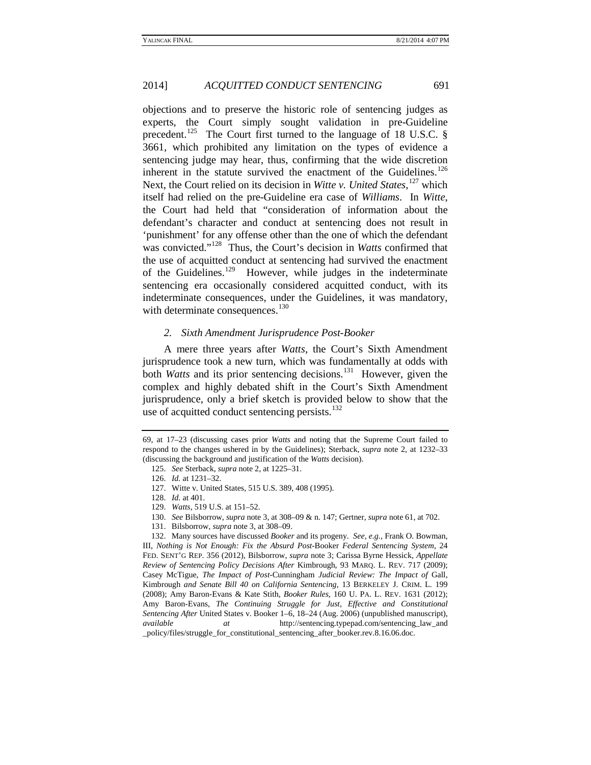objections and to preserve the historic role of sentencing judges as experts, the Court simply sought validation in pre-Guideline precedent.<sup>[125](#page-17-0)</sup> The Court first turned to the language of 18 U.S.C. § 3661, which prohibited any limitation on the types of evidence a sentencing judge may hear, thus, confirming that the wide discretion inherent in the statute survived the enactment of the Guidelines. $126$ Next, the Court relied on its decision in *Witte v. United States*,<sup>[127](#page-17-2)</sup> which itself had relied on the pre-Guideline era case of *Williams*. In *Witte*, the Court had held that "consideration of information about the defendant's character and conduct at sentencing does not result in 'punishment' for any offense other than the one of which the defendant was convicted."[128](#page-17-3) Thus, the Court's decision in *Watts* confirmed that the use of acquitted conduct at sentencing had survived the enactment of the Guidelines.<sup>[129](#page-17-4)</sup> However, while judges in the indeterminate sentencing era occasionally considered acquitted conduct, with its indeterminate consequences, under the Guidelines, it was mandatory, with determinate consequences. $130$ 

#### *2. Sixth Amendment Jurisprudence Post-Booker*

A mere three years after *Watts*, the Court's Sixth Amendment jurisprudence took a new turn, which was fundamentally at odds with both *Watts* and its prior sentencing decisions.<sup>[131](#page-17-6)</sup> However, given the complex and highly debated shift in the Court's Sixth Amendment jurisprudence, only a brief sketch is provided below to show that the use of acquitted conduct sentencing persists. $132$ 

- 130. *See* Bilsborrow, *supra* note 3, at 308–09 & n. 147; Gertner, *supra* note 61, at 702.
- 131. Bilsborrow, *supra* note 3, at 308–09.

<span id="page-17-2"></span><span id="page-17-1"></span><span id="page-17-0"></span><sup>69,</sup> at 17–23 (discussing cases prior *Watts* and noting that the Supreme Court failed to respond to the changes ushered in by the Guidelines); Sterback, *supra* note 2, at 1232–33 (discussing the background and justification of the *Watts* decision).

<sup>125.</sup> *See* Sterback, *supra* note 2, at 1225–31.

<sup>126.</sup> *Id.* at 1231–32.

<sup>127.</sup> Witte v. United States, 515 U.S. 389, 408 (1995).

<sup>128.</sup> *Id.* at 401.

<sup>129.</sup> *Watts*, 519 U.S. at 151–52.

<span id="page-17-7"></span><span id="page-17-6"></span><span id="page-17-5"></span><span id="page-17-4"></span><span id="page-17-3"></span><sup>132.</sup> Many sources have discussed *Booker* and its progeny. *See, e.g.*, Frank O. Bowman, III, *Nothing is Not Enough: Fix the Absurd Post-*Booker *Federal Sentencing System*, 24 FED. SENT'G REP. 356 (2012), Bilsborrow, *supra* note 3; Carissa Byrne Hessick, *Appellate Review of Sentencing Policy Decisions After* Kimbrough, 93 MARQ. L. REV. 717 (2009); Casey McTigue, *The Impact of Post*-Cunningham *Judicial Review: The Impact of* Gall, Kimbrough *and Senate Bill 40 on California Sentencing*, 13 BERKELEY J. CRIM. L. 199 (2008); Amy Baron-Evans & Kate Stith, *Booker Rules*, 160 U. PA. L. REV. 1631 (2012); Amy Baron-Evans, *The Continuing Struggle for Just, Effective and Constitutional Sentencing After* United States v. Booker 1–6, 18–24 (Aug. 2006) (unpublished manuscript), *available at* http://sentencing.typepad.com/sentencing\_law\_and \_policy/files/struggle\_for\_constitutional\_sentencing\_after\_booker.rev.8.16.06.doc.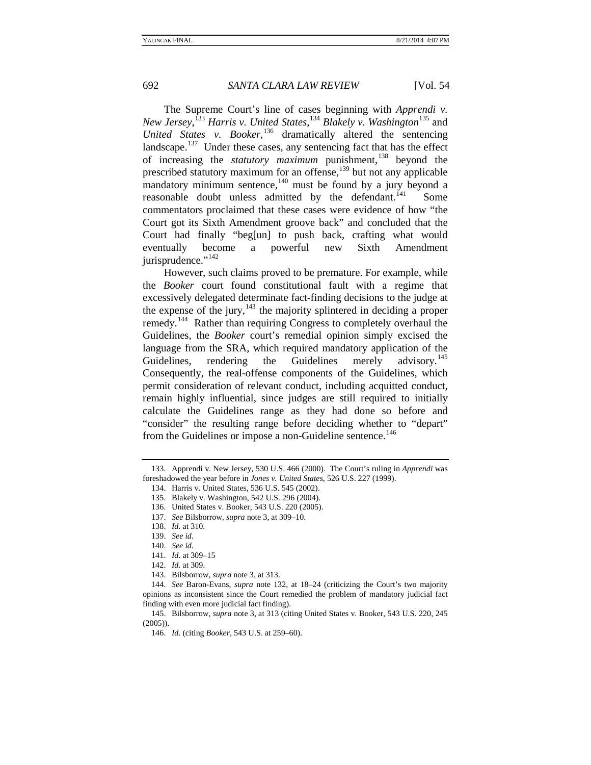The Supreme Court's line of cases beginning with *Apprendi v. New Jersey*, [133](#page-18-0) *Harris v. United States*, [134](#page-18-1) *Blakely v. Washington*[135](#page-18-2) and United States v. Booker,<sup>[136](#page-18-3)</sup> dramatically altered the sentencing landscape. $137$  Under these cases, any sentencing fact that has the effect of increasing the *statutory maximum* punishment,<sup>[138](#page-18-5)</sup> beyond the prescribed statutory maximum for an offense, [139](#page-18-6) but not any applicable mandatory minimum sentence, $140$  must be found by a jury beyond a reasonable doubt unless admitted by the defendant. $141$  Some commentators proclaimed that these cases were evidence of how "the Court got its Sixth Amendment groove back" and concluded that the Court had finally "beg[un] to push back, crafting what would eventually become a powerful new Sixth Amendment jurisprudence."<sup>[142](#page-18-9)</sup>

However, such claims proved to be premature. For example, while the *Booker* court found constitutional fault with a regime that excessively delegated determinate fact-finding decisions to the judge at the expense of the jury,  $^{143}$  $^{143}$  $^{143}$  the majority splintered in deciding a proper remedy.<sup>[144](#page-18-11)</sup> Rather than requiring Congress to completely overhaul the Guidelines, the *Booker* court's remedial opinion simply excised the language from the SRA, which required mandatory application of the Guidelines, rendering the Guidelines merely advisory.<sup>[145](#page-18-12)</sup> Consequently, the real-offense components of the Guidelines, which permit consideration of relevant conduct, including acquitted conduct, remain highly influential, since judges are still required to initially calculate the Guidelines range as they had done so before and "consider" the resulting range before deciding whether to "depart" from the Guidelines or impose a non-Guideline sentence.<sup>[146](#page-18-13)</sup>

<span id="page-18-4"></span><span id="page-18-3"></span><span id="page-18-2"></span><span id="page-18-1"></span><span id="page-18-0"></span><sup>133.</sup> Apprendi v. New Jersey, 530 U.S. 466 (2000). The Court's ruling in *Apprendi* was foreshadowed the year before in *Jones v. United States*, 526 U.S. 227 (1999).

<sup>134.</sup> Harris v. United States, 536 U.S. 545 (2002).

<sup>135.</sup> Blakely v. Washington, 542 U.S. 296 (2004).

<sup>136.</sup> United States v. Booker, 543 U.S. 220 (2005).

<sup>137.</sup> *See* Bilsborrow, *supra* note 3, at 309–10.

<span id="page-18-5"></span><sup>138.</sup> *Id.* at 310.

<sup>139.</sup> *See id.*

<sup>140.</sup> *See id.*

<sup>141.</sup> *Id.* at 309–15

<sup>142.</sup> *Id.* at 309.

<sup>143.</sup> Bilsborrow, *supra* note 3, at 313.

<span id="page-18-11"></span><span id="page-18-10"></span><span id="page-18-9"></span><span id="page-18-8"></span><span id="page-18-7"></span><span id="page-18-6"></span><sup>144.</sup> *See* Baron-Evans, *supra* note 132, at 18–24 (criticizing the Court's two majority opinions as inconsistent since the Court remedied the problem of mandatory judicial fact finding with even more judicial fact finding).

<span id="page-18-13"></span><span id="page-18-12"></span><sup>145.</sup> Bilsborrow, *supra* note 3, at 313 (citing United States v. Booker, 543 U.S. 220, 245 (2005)).

<sup>146.</sup> *Id.* (citing *Booker*, 543 U.S. at 259–60).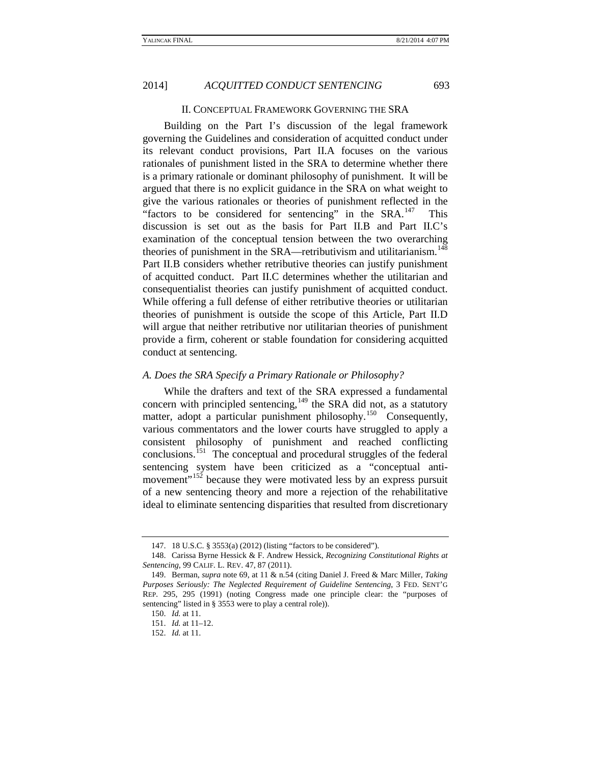#### II. CONCEPTUAL FRAMEWORK GOVERNING THE SRA

Building on the Part I's discussion of the legal framework governing the Guidelines and consideration of acquitted conduct under its relevant conduct provisions, Part II.A focuses on the various rationales of punishment listed in the SRA to determine whether there is a primary rationale or dominant philosophy of punishment. It will be argued that there is no explicit guidance in the SRA on what weight to give the various rationales or theories of punishment reflected in the "factors to be considered for sentencing" in the  $SRA$ .<sup>[147](#page-19-0)</sup> This discussion is set out as the basis for Part II.B and Part II.C's examination of the conceptual tension between the two overarching theories of punishment in the SRA—retributivism and utilitarianism.<sup>[148](#page-19-1)</sup> Part II.B considers whether retributive theories can justify punishment of acquitted conduct. Part II.C determines whether the utilitarian and consequentialist theories can justify punishment of acquitted conduct. While offering a full defense of either retributive theories or utilitarian theories of punishment is outside the scope of this Article, Part II.D will argue that neither retributive nor utilitarian theories of punishment provide a firm, coherent or stable foundation for considering acquitted conduct at sentencing.

#### *A. Does the SRA Specify a Primary Rationale or Philosophy?*

While the drafters and text of the SRA expressed a fundamental concern with principled sentencing, $149$  the SRA did not, as a statutory matter, adopt a particular punishment philosophy.<sup>[150](#page-19-3)</sup> Consequently, various commentators and the lower courts have struggled to apply a consistent philosophy of punishment and reached conflicting conclusions.[151](#page-19-4) The conceptual and procedural struggles of the federal sentencing system have been criticized as a "conceptual anti-movement"<sup>[152](#page-19-5)</sup> because they were motivated less by an express pursuit of a new sentencing theory and more a rejection of the rehabilitative ideal to eliminate sentencing disparities that resulted from discretionary

<sup>147.</sup> 18 U.S.C. § 3553(a) (2012) (listing "factors to be considered").

<span id="page-19-1"></span><span id="page-19-0"></span><sup>148.</sup> Carissa Byrne Hessick & F. Andrew Hessick, *Recognizing Constitutional Rights at Sentencing*, 99 CALIF. L. REV. 47, 87 (2011).

<span id="page-19-4"></span><span id="page-19-3"></span><span id="page-19-2"></span><sup>149.</sup> Berman, *supra* note 69, at 11 & n.54 (citing Daniel J. Freed & Marc Miller, *Taking Purposes Seriously: The Neglected Requirement of Guideline Sentencing*, 3 FED. SENT'G REP. 295, 295 (1991) (noting Congress made one principle clear: the "purposes of sentencing" listed in § 3553 were to play a central role)).

<sup>150.</sup> *Id.* at 11.

<span id="page-19-5"></span><sup>151.</sup> *Id.* at 11–12.

<sup>152.</sup> *Id.* at 11.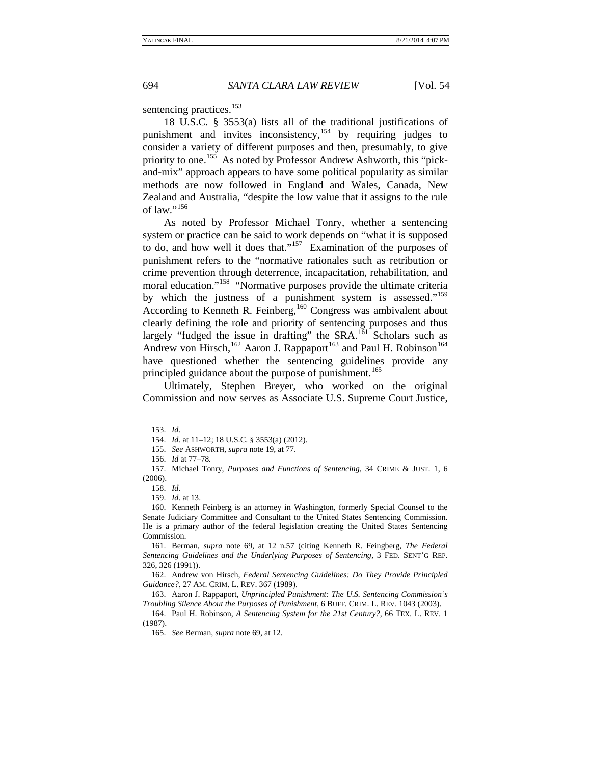sentencing practices.<sup>[153](#page-20-0)</sup>

18 U.S.C. § 3553(a) lists all of the traditional justifications of punishment and invites inconsistency,  $154$  by requiring judges to consider a variety of different purposes and then, presumably, to give priority to one.<sup>[155](#page-20-2)</sup> As noted by Professor Andrew Ashworth, this "pickand-mix" approach appears to have some political popularity as similar methods are now followed in England and Wales, Canada, New Zealand and Australia, "despite the low value that it assigns to the rule of law." $156$ 

As noted by Professor Michael Tonry, whether a sentencing system or practice can be said to work depends on "what it is supposed to do, and how well it does that."[157](#page-20-4) Examination of the purposes of punishment refers to the "normative rationales such as retribution or crime prevention through deterrence, incapacitation, rehabilitation, and moral education."<sup>[158](#page-20-5)</sup> "Normative purposes provide the ultimate criteria by which the justness of a punishment system is assessed."[159](#page-20-6) According to Kenneth R. Feinberg,<sup>[160](#page-20-7)</sup> Congress was ambivalent about clearly defining the role and priority of sentencing purposes and thus largely "fudged the issue in drafting" the  $SRA$ <sup> $161$ </sup> Scholars such as Andrew von Hirsch,<sup>[162](#page-20-9)</sup> Aaron J. Rappaport<sup>[163](#page-20-10)</sup> and Paul H. Robinson<sup>[164](#page-20-11)</sup> have questioned whether the sentencing guidelines provide any principled guidance about the purpose of punishment.<sup>[165](#page-20-12)</sup>

Ultimately, Stephen Breyer, who worked on the original Commission and now serves as Associate U.S. Supreme Court Justice,

<sup>153.</sup> *Id.*

<sup>154.</sup> *Id.* at 11–12; 18 U.S.C. § 3553(a) (2012).

<sup>155.</sup> *See* ASHWORTH, *supra* note 19, at 77.

<sup>156.</sup> *Id* at 77–78*.*

<span id="page-20-5"></span><span id="page-20-4"></span><span id="page-20-3"></span><span id="page-20-2"></span><span id="page-20-1"></span><span id="page-20-0"></span><sup>157.</sup> Michael Tonry, *Purposes and Functions of Sentencing*, 34 CRIME & JUST. 1, 6 (2006).

<sup>158.</sup> *Id.*

<sup>159.</sup> *Id.* at 13.

<span id="page-20-7"></span><span id="page-20-6"></span><sup>160.</sup> Kenneth Feinberg is an attorney in Washington, formerly Special Counsel to the Senate Judiciary Committee and Consultant to the United States Sentencing Commission. He is a primary author of the federal legislation creating the United States Sentencing Commission.

<span id="page-20-8"></span><sup>161.</sup> Berman, *supra* note 69, at 12 n.57 (citing Kenneth R. Feingberg, *The Federal Sentencing Guidelines and the Underlying Purposes of Sentencing*, 3 FED. SENT'G REP. 326, 326 (1991)).

<span id="page-20-9"></span><sup>162.</sup> Andrew von Hirsch, *Federal Sentencing Guidelines: Do They Provide Principled Guidance?*, 27 AM. CRIM. L. REV. 367 (1989).

<span id="page-20-10"></span><sup>163.</sup> Aaron J. Rappaport, *Unprincipled Punishment: The U.S. Sentencing Commission's Troubling Silence About the Purposes of Punishment*, 6 BUFF. CRIM. L. REV. 1043 (2003).

<span id="page-20-12"></span><span id="page-20-11"></span><sup>164.</sup> Paul H. Robinson, *A Sentencing System for the 21st Century?*, 66 TEX. L. REV. 1 (1987).

<sup>165.</sup> *See* Berman, *supra* note 69, at 12.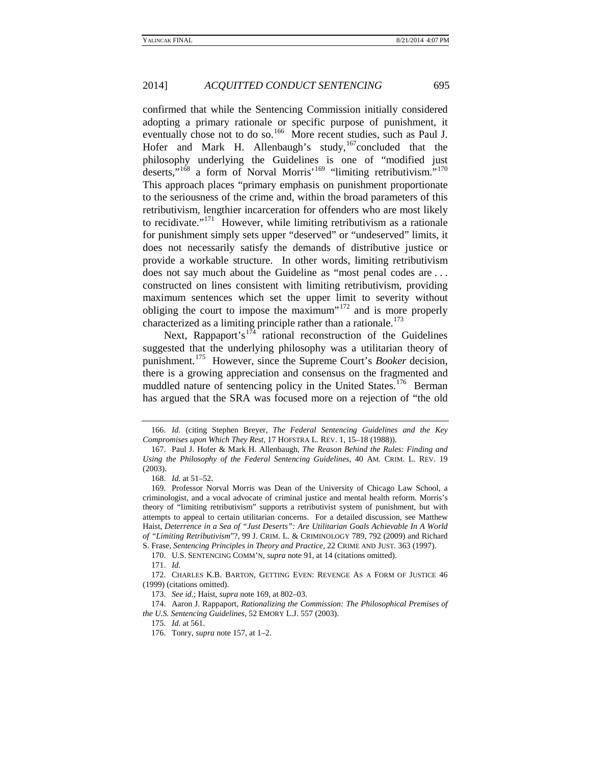confirmed that while the Sentencing Commission initially considered adopting a primary rationale or specific purpose of punishment, it eventually chose not to do so.<sup>[166](#page-21-0)</sup> More recent studies, such as Paul J. Hofer and Mark H. Allenbaugh's study,<sup>[167](#page-21-1)</sup>concluded that the philosophy underlying the Guidelines is one of "modified just deserts, $\frac{168}{168}$  $\frac{168}{168}$  $\frac{168}{168}$  a form of Norval Morris<sup>'[169](#page-21-3)</sup> "limiting retributivism."<sup>[170](#page-21-4)</sup> This approach places "primary emphasis on punishment proportionate to the seriousness of the crime and, within the broad parameters of this retributivism, lengthier incarceration for offenders who are most likely to recidivate."[171](#page-21-5) However, while limiting retributivism as a rationale for punishment simply sets upper "deserved" or "undeserved" limits, it does not necessarily satisfy the demands of distributive justice or provide a workable structure. In other words, limiting retributivism does not say much about the Guideline as "most penal codes are . . . constructed on lines consistent with limiting retributivism, providing maximum sentences which set the upper limit to severity without obliging the court to impose the maximum"[172](#page-21-6) and is more properly characterized as a limiting principle rather than a rationale.<sup>[173](#page-21-7)</sup>

Next, Rappaport's<sup>[174](#page-21-8)</sup> rational reconstruction of the Guidelines suggested that the underlying philosophy was a utilitarian theory of punishment.[175](#page-21-9) However, since the Supreme Court's *Booker* decision, there is a growing appreciation and consensus on the fragmented and muddled nature of sentencing policy in the United States.<sup>[176](#page-21-10)</sup> Berman has argued that the SRA was focused more on a rejection of "the old

170. U.S. SENTENCING COMM'N, *supra* note 91, at 14 (citations omitted).

<span id="page-21-0"></span><sup>166.</sup> *Id.* (citing Stephen Breyer, *The Federal Sentencing Guidelines and the Key Compromises upon Which They Rest*, 17 HOFSTRA L. REV. 1, 15–18 (1988)).

<span id="page-21-1"></span><sup>167.</sup> Paul J. Hofer & Mark H. Allenbaugh, *The Reason Behind the Rules: Finding and Using the Philosophy of the Federal Sentencing Guidelines*, 40 AM. CRIM. L. REV. 19 (2003).

<sup>168.</sup> *Id.* at 51–52.

<span id="page-21-3"></span><span id="page-21-2"></span><sup>169.</sup> Professor Norval Morris was Dean of the University of Chicago Law School, a criminologist, and a vocal advocate of criminal justice and mental health reform. Morris's theory of "limiting retributivism" supports a retributivist system of punishment, but with attempts to appeal to certain utilitarian concerns. For a detailed discussion, see Matthew Haist, *Deterrence in a Sea of "Just Deserts": Are Utilitarian Goals Achievable In A World of "Limiting Retributivism*"?, 99 J. CRIM. L. & CRIMINOLOGY 789, 792 (2009) and Richard S. Frase, *Sentencing Principles in Theory and Practice*, 22 CRIME AND JUST. 363 (1997).

<sup>171.</sup> *Id.*

<span id="page-21-6"></span><span id="page-21-5"></span><span id="page-21-4"></span><sup>172.</sup> CHARLES K.B. BARTON, GETTING EVEN: REVENGE AS A FORM OF JUSTICE 46 (1999) (citations omitted).

<sup>173.</sup> *See id.*; Haist, *supra* note 169, at 802–03.

<span id="page-21-10"></span><span id="page-21-9"></span><span id="page-21-8"></span><span id="page-21-7"></span><sup>174.</sup> Aaron J. Rappaport, *Rationalizing the Commission: The Philosophical Premises of the U.S. Sentencing Guidelines*, 52 EMORY L.J. 557 (2003).

<sup>175.</sup> *Id*. at 561.

<sup>176.</sup> Tonry, *supra* note 157, at 1–2.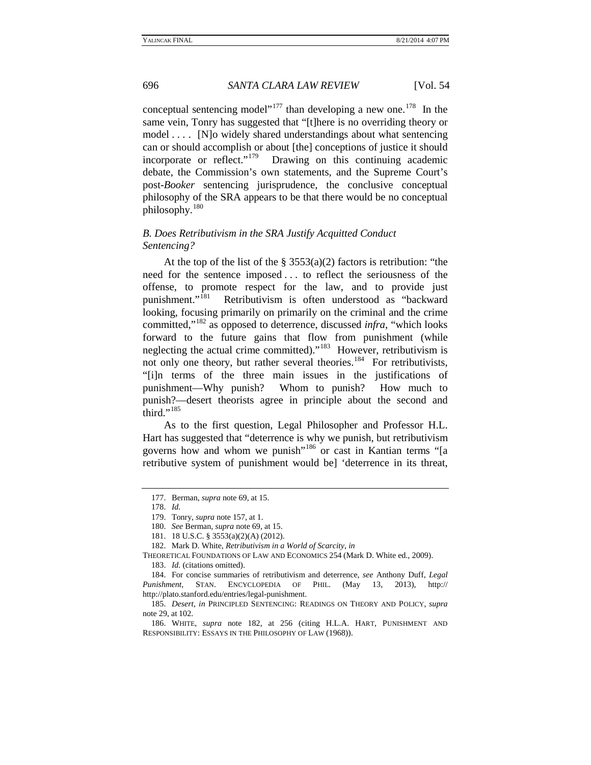conceptual sentencing model"<sup>[177](#page-22-0)</sup> than developing a new one.<sup>[178](#page-22-1)</sup> In the same vein, Tonry has suggested that "[t]here is no overriding theory or model . . . . [N]o widely shared understandings about what sentencing can or should accomplish or about [the] conceptions of justice it should incorporate or reflect."<sup>[179](#page-22-2)</sup> Drawing on this continuing academic debate, the Commission's own statements, and the Supreme Court's post-*Booker* sentencing jurisprudence, the conclusive conceptual philosophy of the SRA appears to be that there would be no conceptual philosophy.[180](#page-22-3)

# *B. Does Retributivism in the SRA Justify Acquitted Conduct Sentencing?*

At the top of the list of the  $\S$  3553(a)(2) factors is retribution: "the need for the sentence imposed . . . to reflect the seriousness of the offense, to promote respect for the law, and to provide just punishment."<sup>181</sup> Retributivism is often understood as "backward" Retributivism is often understood as "backward" looking, focusing primarily on primarily on the criminal and the crime committed,"[182](#page-22-5) as opposed to deterrence, discussed *infra*, "which looks forward to the future gains that flow from punishment (while neglecting the actual crime committed)."<sup>[183](#page-22-6)</sup> However, retributivism is not only one theory, but rather several theories.<sup>[184](#page-22-7)</sup> For retributivists, "[i]n terms of the three main issues in the justifications of punishment—Why punish? Whom to punish? How much to punish?—desert theorists agree in principle about the second and third." $185$ 

As to the first question, Legal Philosopher and Professor H.L. Hart has suggested that "deterrence is why we punish, but retributivism governs how and whom we punish"[186](#page-22-9) or cast in Kantian terms "[a retributive system of punishment would be] 'deterrence in its threat,

<span id="page-22-0"></span><sup>177.</sup> Berman, *supra* note 69, at 15.

<sup>178.</sup> *Id.*

<sup>179.</sup> Tonry, *supra* note 157, at 1.

<sup>180.</sup> *See* Berman, *supra* note 69, at 15.

<sup>181.</sup> 18 U.S.C. § 3553(a)(2)(A) (2012).

<sup>182.</sup> Mark D. White, *Retributivism in a World of Scarcity*, *in*

<span id="page-22-6"></span><span id="page-22-5"></span><span id="page-22-4"></span><span id="page-22-3"></span><span id="page-22-2"></span><span id="page-22-1"></span>THEORETICAL FOUNDATIONS OF LAW AND ECONOMICS 254 (Mark D. White ed., 2009). 183. *Id.* (citations omitted).

<span id="page-22-7"></span><sup>184.</sup> For concise summaries of retributivism and deterrence, *see* Anthony Duff, *Legal Punishment*, STAN. ENCYCLOPEDIA OF PHIL. (May 13, 2013), http:// http://plato.stanford.edu/entries/legal-punishment.

<span id="page-22-8"></span><sup>185.</sup> *Desert*, *in* PRINCIPLED SENTENCING: READINGS ON THEORY AND POLICY, *supra* note 29, at 102.

<span id="page-22-9"></span><sup>186.</sup> WHITE, *supra* note 182, at 256 (citing H.L.A. HART, PUNISHMENT AND RESPONSIBILITY: ESSAYS IN THE PHILOSOPHY OF LAW (1968)).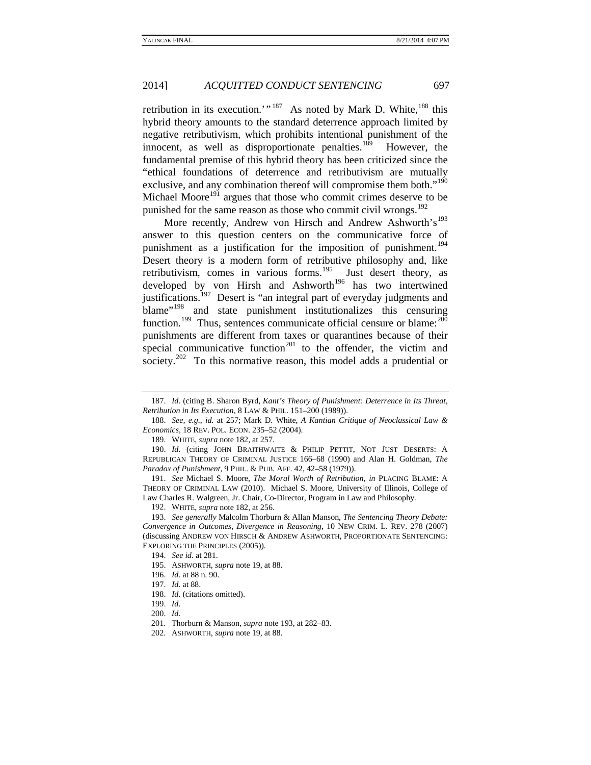retribution in its execution.'"<sup>[187](#page-23-0)</sup> As noted by Mark D. White,<sup>[188](#page-23-1)</sup> this hybrid theory amounts to the standard deterrence approach limited by negative retributivism, which prohibits intentional punishment of the innocent, as well as disproportionate penalties.<sup>[189](#page-23-2)</sup> However, the fundamental premise of this hybrid theory has been criticized since the "ethical foundations of deterrence and retributivism are mutually exclusive, and any combination thereof will compromise them both."<sup>[190](#page-23-3)</sup> Michael Moore<sup>[191](#page-23-4)</sup> argues that those who commit crimes deserve to be punished for the same reason as those who commit civil wrongs. $192$ 

More recently, Andrew von Hirsch and Andrew Ashworth's<sup>[193](#page-23-6)</sup> answer to this question centers on the communicative force of punishment as a justification for the imposition of punishment.<sup>[194](#page-23-7)</sup> Desert theory is a modern form of retributive philosophy and, like retributivism, comes in various forms.<sup>[195](#page-23-8)</sup> Just desert theory, as developed by von Hirsh and Ashworth<sup>[196](#page-23-9)</sup> has two intertwined justifications.<sup>[197](#page-23-10)</sup> Desert is "an integral part of everyday judgments and blame"<sup>[198](#page-23-11)</sup> and state punishment institutionalizes this censuring function.<sup>[199](#page-23-12)</sup> Thus, sentences communicate official censure or blame: $^{200}$  $^{200}$  $^{200}$ punishments are different from taxes or quarantines because of their special communicative function<sup>[201](#page-23-14)</sup> to the offender, the victim and society.<sup>[202](#page-23-15)</sup> To this normative reason, this model adds a prudential or

<span id="page-23-0"></span><sup>187.</sup> *Id.* (citing B. Sharon Byrd, *Kant's Theory of Punishment: Deterrence in Its Threat, Retribution in Its Execution*, 8 LAW & PHIL. 151–200 (1989)).

<span id="page-23-1"></span><sup>188.</sup> *See, e.g.*, *id.* at 257; Mark D. White, *A Kantian Critique of Neoclassical Law & Economics*, 18 REV. POL. ECON. 235–52 (2004).

<sup>189.</sup> WHITE, *supra* note 182, at 257.

<span id="page-23-3"></span><span id="page-23-2"></span><sup>190.</sup> *Id.* (citing JOHN BRAITHWAITE & PHILIP PETTIT, NOT JUST DESERTS: A REPUBLICAN THEORY OF CRIMINAL JUSTICE 166–68 (1990) and Alan H. Goldman, *The Paradox of Punishment*, 9 PHIL. & PUB. AFF. 42, 42–58 (1979)).

<span id="page-23-4"></span><sup>191.</sup> *See* Michael S. Moore, *The Moral Worth of Retribution*, *in* PLACING BLAME: A THEORY OF CRIMINAL LAW (2010). Michael S. Moore, University of Illinois, College of Law Charles R. Walgreen, Jr. Chair, Co-Director, Program in Law and Philosophy.

<sup>192.</sup> WHITE, *supra* note 182, at 256.

<span id="page-23-8"></span><span id="page-23-7"></span><span id="page-23-6"></span><span id="page-23-5"></span><sup>193.</sup> *See generally* Malcolm Thorburn & Allan Manson, *The Sentencing Theory Debate: Convergence in Outcomes, Divergence in Reasoning*, 10 NEW CRIM. L. REV. 278 (2007) (discussing ANDREW VON HIRSCH & ANDREW ASHWORTH, PROPORTIONATE SENTENCING: EXPLORING THE PRINCIPLES (2005)).

<sup>194.</sup> *See id.* at 281.

<sup>195.</sup> ASHWORTH, *supra* note 19, at 88.

<span id="page-23-11"></span><span id="page-23-10"></span><span id="page-23-9"></span><sup>196.</sup> *Id.* at 88 n. 90.

<sup>197.</sup> *Id.* at 88.

<sup>198.</sup> *Id.* (citations omitted).

<sup>199.</sup> *Id.*

<span id="page-23-14"></span><span id="page-23-13"></span><span id="page-23-12"></span><sup>200.</sup> *Id.*

<sup>201.</sup> Thorburn & Manson, *supra* note 193, at 282–83.

<span id="page-23-15"></span><sup>202.</sup> ASHWORTH, *supra* note 19, at 88.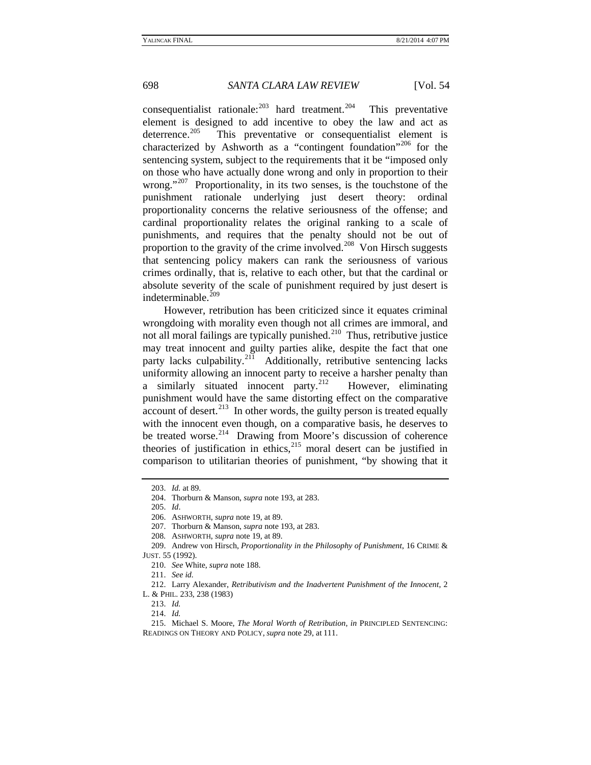consequentialist rationale: $^{203}$  $^{203}$  $^{203}$  hard treatment.<sup>[204](#page-24-1)</sup> This preventative element is designed to add incentive to obey the law and act as deterrence. $^{205}$  $^{205}$  $^{205}$  This preventative or consequentialist element is characterized by Ashworth as a "contingent foundation"[206](#page-24-3) for the sentencing system, subject to the requirements that it be "imposed only on those who have actually done wrong and only in proportion to their wrong."<sup>[207](#page-24-4)</sup> Proportionality, in its two senses, is the touchstone of the punishment rationale underlying just desert theory: ordinal proportionality concerns the relative seriousness of the offense; and cardinal proportionality relates the original ranking to a scale of punishments, and requires that the penalty should not be out of proportion to the gravity of the crime involved.<sup>[208](#page-24-5)</sup> Von Hirsch suggests that sentencing policy makers can rank the seriousness of various crimes ordinally, that is, relative to each other, but that the cardinal or absolute severity of the scale of punishment required by just desert is indeterminable.<sup>[209](#page-24-6)</sup>

However, retribution has been criticized since it equates criminal wrongdoing with morality even though not all crimes are immoral, and not all moral failings are typically punished. $^{210}$  $^{210}$  $^{210}$  Thus, retributive justice may treat innocent and guilty parties alike, despite the fact that one party lacks culpability.<sup>[211](#page-24-8)</sup> Additionally, retributive sentencing lacks uniformity allowing an innocent party to receive a harsher penalty than a similarly situated innocent party. $212$  However, eliminating punishment would have the same distorting effect on the comparative account of desert. $^{213}$  $^{213}$  $^{213}$  In other words, the guilty person is treated equally with the innocent even though, on a comparative basis, he deserves to be treated worse.<sup>[214](#page-24-11)</sup> Drawing from Moore's discussion of coherence theories of justification in ethics,<sup>[215](#page-24-12)</sup> moral desert can be justified in comparison to utilitarian theories of punishment, "by showing that it

<span id="page-24-10"></span><span id="page-24-9"></span><span id="page-24-8"></span>212. Larry Alexander, *Retributivism and the Inadvertent Punishment of the Innocent*, 2 L. & PHIL. 233, 238 (1983)

<span id="page-24-0"></span><sup>203.</sup> *Id.* at 89.

<sup>204.</sup> Thorburn & Manson, *supra* note 193, at 283.

<sup>205.</sup> *Id*.

<sup>206.</sup> ASHWORTH, *supra* note 19, at 89.

<sup>207.</sup> Thorburn & Manson, *supra* note 193, at 283.

<sup>208</sup>*.* ASHWORTH, *supra* note 19, at 89.

<span id="page-24-7"></span><span id="page-24-6"></span><span id="page-24-5"></span><span id="page-24-4"></span><span id="page-24-3"></span><span id="page-24-2"></span><span id="page-24-1"></span><sup>209.</sup> Andrew von Hirsch, *Proportionality in the Philosophy of Punishment*, 16 CRIME & JUST. 55 (1992).

<sup>210.</sup> *See* White, *supra* note 188.

<sup>211.</sup> *See id.*

<sup>213.</sup> *Id.*

<sup>214.</sup> *Id.*

<span id="page-24-12"></span><span id="page-24-11"></span><sup>215.</sup> Michael S. Moore, *The Moral Worth of Retribution*, *in* PRINCIPLED SENTENCING: READINGS ON THEORY AND POLICY, *supra* note 29, at 111.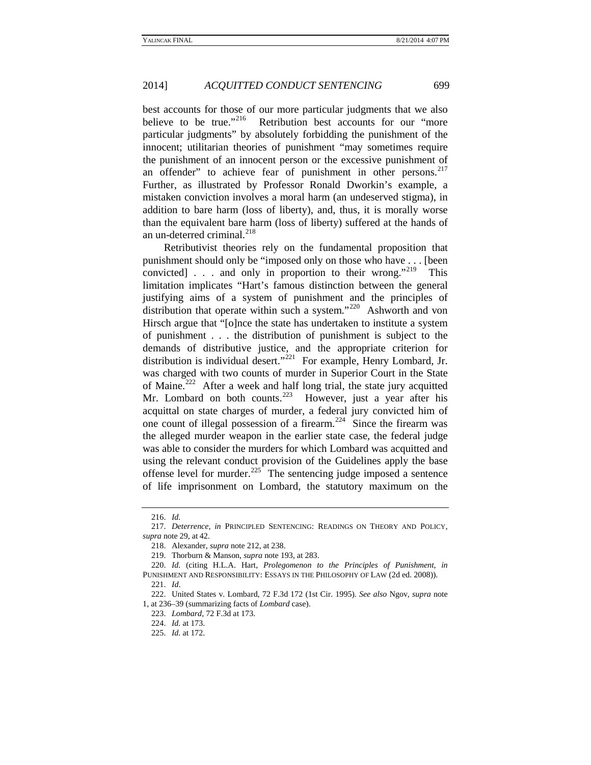best accounts for those of our more particular judgments that we also believe to be true."<sup>[216](#page-25-0)</sup> Retribution best accounts for our "more particular judgments" by absolutely forbidding the punishment of the innocent; utilitarian theories of punishment "may sometimes require the punishment of an innocent person or the excessive punishment of an offender" to achieve fear of punishment in other persons.<sup>[217](#page-25-1)</sup> Further, as illustrated by Professor Ronald Dworkin's example, a mistaken conviction involves a moral harm (an undeserved stigma), in addition to bare harm (loss of liberty), and, thus, it is morally worse than the equivalent bare harm (loss of liberty) suffered at the hands of an un-deterred criminal. $^{218}$  $^{218}$  $^{218}$ 

Retributivist theories rely on the fundamental proposition that punishment should only be "imposed only on those who have . . . [been convicted]  $\ldots$  and only in proportion to their wrong."<sup>[219](#page-25-3)</sup> This limitation implicates "Hart's famous distinction between the general justifying aims of a system of punishment and the principles of distribution that operate within such a system."<sup>[220](#page-25-4)</sup> Ashworth and von Hirsch argue that "[o]nce the state has undertaken to institute a system of punishment . . . the distribution of punishment is subject to the demands of distributive justice, and the appropriate criterion for distribution is individual desert."<sup>[221](#page-25-5)</sup> For example, Henry Lombard, Jr. was charged with two counts of murder in Superior Court in the State of Maine.<sup>[222](#page-25-6)</sup> After a week and half long trial, the state jury acquitted Mr. Lombard on both counts.<sup>[223](#page-25-7)</sup> However, just a year after his acquittal on state charges of murder, a federal jury convicted him of one count of illegal possession of a firearm.[224](#page-25-8) Since the firearm was the alleged murder weapon in the earlier state case, the federal judge was able to consider the murders for which Lombard was acquitted and using the relevant conduct provision of the Guidelines apply the base offense level for murder. $225$  The sentencing judge imposed a sentence of life imprisonment on Lombard, the statutory maximum on the

<sup>216.</sup> *Id.*

<span id="page-25-2"></span><span id="page-25-1"></span><span id="page-25-0"></span><sup>217.</sup> *Deterrence*, *in* PRINCIPLED SENTENCING: READINGS ON THEORY AND POLICY, *supra* note 29, at 42.

<sup>218.</sup> Alexander, *supra* note 212, at 238.

<sup>219.</sup> Thorburn & Manson, *supra* note 193, at 283.

<span id="page-25-5"></span><span id="page-25-4"></span><span id="page-25-3"></span><sup>220.</sup> *Id.* (citing H.L.A. Hart, *Prolegomenon to the Principles of Punishment*, *in* PUNISHMENT AND RESPONSIBILITY: ESSAYS IN THE PHILOSOPHY OF LAW (2d ed. 2008)).

<sup>221.</sup> *Id*.

<span id="page-25-9"></span><span id="page-25-8"></span><span id="page-25-7"></span><span id="page-25-6"></span><sup>222.</sup> United States v. Lombard, 72 F.3d 172 (1st Cir. 1995). *See also* Ngov, *supra* note 1, at 236–39 (summarizing facts of *Lombard* case).

<sup>223.</sup> *Lombard*, 72 F.3d at 173.

<sup>224.</sup> *Id.* at 173.

<sup>225.</sup> *Id.* at 172.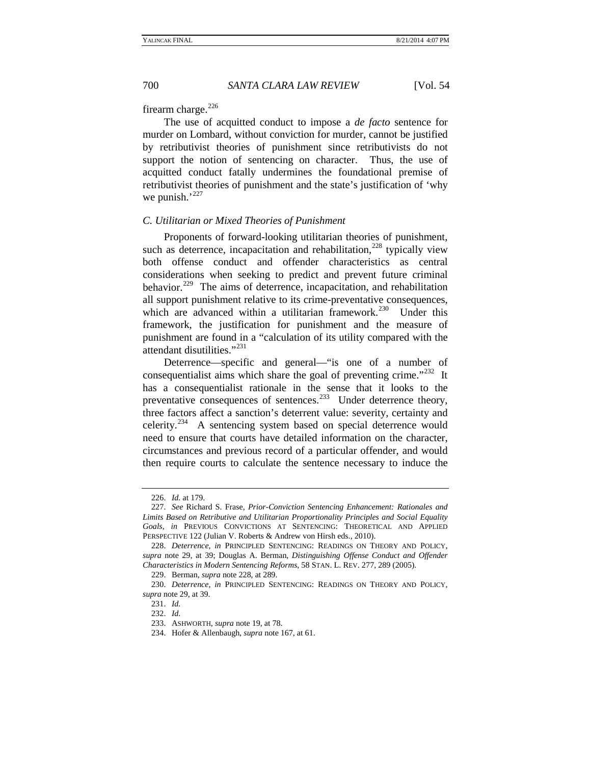firearm charge.<sup>[226](#page-26-0)</sup>

The use of acquitted conduct to impose a *de facto* sentence for murder on Lombard, without conviction for murder, cannot be justified by retributivist theories of punishment since retributivists do not support the notion of sentencing on character. Thus, the use of acquitted conduct fatally undermines the foundational premise of retributivist theories of punishment and the state's justification of 'why we punish. $^{227}$  $^{227}$  $^{227}$ 

#### *C. Utilitarian or Mixed Theories of Punishment*

Proponents of forward-looking utilitarian theories of punishment, such as deterrence, incapacitation and rehabilitation, $^{228}$  $^{228}$  $^{228}$  typically view both offense conduct and offender characteristics as central considerations when seeking to predict and prevent future criminal behavior.<sup>[229](#page-26-3)</sup> The aims of deterrence, incapacitation, and rehabilitation all support punishment relative to its crime-preventative consequences, which are advanced within a utilitarian framework.<sup>[230](#page-26-4)</sup> Under this framework, the justification for punishment and the measure of punishment are found in a "calculation of its utility compared with the attendant disutilities."[231](#page-26-5)

Deterrence—specific and general—"is one of a number of consequentialist aims which share the goal of preventing crime."<sup>[232](#page-26-6)</sup> It has a consequentialist rationale in the sense that it looks to the preventative consequences of sentences.<sup>[233](#page-26-7)</sup> Under deterrence theory, three factors affect a sanction's deterrent value: severity, certainty and celerity.<sup>[234](#page-26-8)</sup> A sentencing system based on special deterrence would need to ensure that courts have detailed information on the character, circumstances and previous record of a particular offender, and would then require courts to calculate the sentence necessary to induce the

<sup>226.</sup> *Id.* at 179.

<span id="page-26-1"></span><span id="page-26-0"></span><sup>227.</sup> *See* Richard S. Frase, *Prior-Conviction Sentencing Enhancement: Rationales and Limits Based on Retributive and Utilitarian Proportionality Principles and Social Equality Goals*, *in* PREVIOUS CONVICTIONS AT SENTENCING: THEORETICAL AND APPLIED PERSPECTIVE 122 (Julian V. Roberts & Andrew von Hirsh eds., 2010).

<span id="page-26-2"></span><sup>228.</sup> *Deterrence*, *in* PRINCIPLED SENTENCING: READINGS ON THEORY AND POLICY, *supra* note 29, at 39; Douglas A. Berman, *Distinguishing Offense Conduct and Offender Characteristics in Modern Sentencing Reforms*, 58 STAN. L. REV. 277, 289 (2005).

<sup>229.</sup> Berman, *supra* note 228, at 289.

<span id="page-26-8"></span><span id="page-26-7"></span><span id="page-26-6"></span><span id="page-26-5"></span><span id="page-26-4"></span><span id="page-26-3"></span><sup>230.</sup> *Deterrence*, *in* PRINCIPLED SENTENCING: READINGS ON THEORY AND POLICY, *supra* note 29, at 39.

<sup>231.</sup> *Id.*

<sup>232.</sup> *Id.*

<sup>233.</sup> ASHWORTH, *supra* note 19, at 78.

<sup>234.</sup> Hofer & Allenbaugh, *supra* note 167, at 61.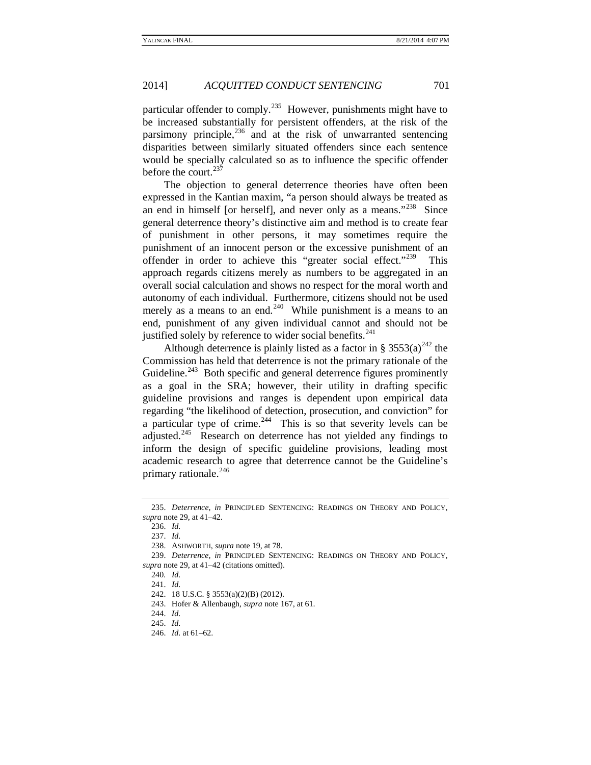particular offender to comply.<sup>[235](#page-27-0)</sup> However, punishments might have to be increased substantially for persistent offenders, at the risk of the parsimony principle, $^{236}$  $^{236}$  $^{236}$  and at the risk of unwarranted sentencing disparities between similarly situated offenders since each sentence would be specially calculated so as to influence the specific offender before the court. $237$ 

The objection to general deterrence theories have often been expressed in the Kantian maxim, "a person should always be treated as an end in himself [or herself], and never only as a means."<sup>[238](#page-27-3)</sup> Since general deterrence theory's distinctive aim and method is to create fear of punishment in other persons, it may sometimes require the punishment of an innocent person or the excessive punishment of an offender in order to achieve this "greater social effect."<sup>[239](#page-27-4)</sup> This approach regards citizens merely as numbers to be aggregated in an overall social calculation and shows no respect for the moral worth and autonomy of each individual. Furthermore, citizens should not be used merely as a means to an end.<sup>[240](#page-27-5)</sup> While punishment is a means to an end, punishment of any given individual cannot and should not be justified solely by reference to wider social benefits.<sup>[241](#page-27-6)</sup>

Although deterrence is plainly listed as a factor in § 3553(a)<sup>[242](#page-27-7)</sup> the Commission has held that deterrence is not the primary rationale of the Guideline.<sup>[243](#page-27-8)</sup> Both specific and general deterrence figures prominently as a goal in the SRA; however, their utility in drafting specific guideline provisions and ranges is dependent upon empirical data regarding "the likelihood of detection, prosecution, and conviction" for a particular type of crime. $244$  This is so that severity levels can be adjusted.<sup>[245](#page-27-10)</sup> Research on deterrence has not yielded any findings to inform the design of specific guideline provisions, leading most academic research to agree that deterrence cannot be the Guideline's primary rationale. $^{246}$  $^{246}$  $^{246}$ 

<span id="page-27-1"></span><span id="page-27-0"></span><sup>235.</sup> *Deterrence*, *in* PRINCIPLED SENTENCING: READINGS ON THEORY AND POLICY, *supra* note 29, at 41–42.

<sup>236.</sup> *Id.*

<sup>237.</sup> *Id.*

<sup>238.</sup> ASHWORTH, *supra* note 19, at 78.

<span id="page-27-8"></span><span id="page-27-7"></span><span id="page-27-6"></span><span id="page-27-5"></span><span id="page-27-4"></span><span id="page-27-3"></span><span id="page-27-2"></span><sup>239.</sup> *Deterrence*, *in* PRINCIPLED SENTENCING: READINGS ON THEORY AND POLICY, *supra* note 29, at 41–42 (citations omitted).

<sup>240</sup>*. Id.*

<sup>241.</sup> *Id.*

<sup>242.</sup> 18 U.S.C. § 3553(a)(2)(B) (2012).

<sup>243.</sup> Hofer & Allenbaugh, *supra* note 167, at 61.

<span id="page-27-10"></span><span id="page-27-9"></span><sup>244.</sup> *Id.*

<sup>245.</sup> *Id.*

<span id="page-27-11"></span><sup>246.</sup> *Id.* at 61–62.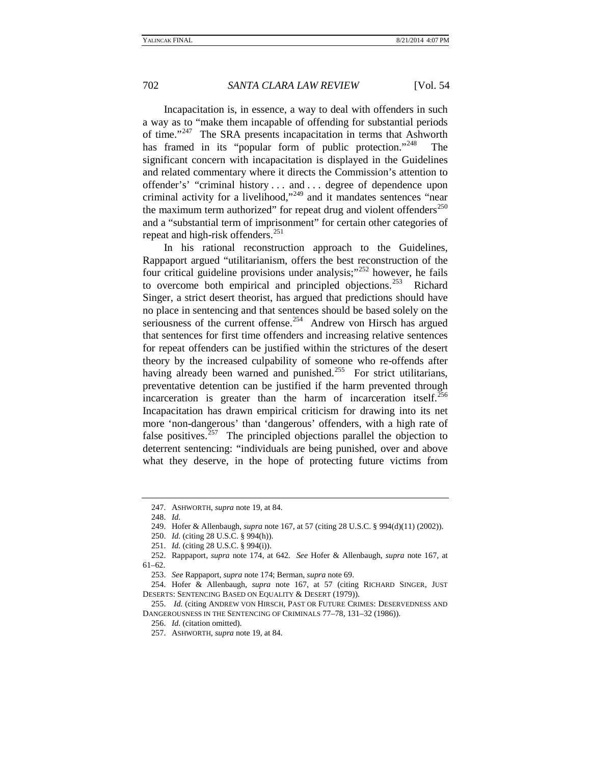Incapacitation is, in essence, a way to deal with offenders in such a way as to "make them incapable of offending for substantial periods of time."<sup>[247](#page-28-0)</sup> The SRA presents incapacitation in terms that Ashworth has framed in its "popular form of public protection."<sup>[248](#page-28-1)</sup> The significant concern with incapacitation is displayed in the Guidelines and related commentary where it directs the Commission's attention to offender's' "criminal history . . . and . . . degree of dependence upon criminal activity for a livelihood,"[249](#page-28-2) and it mandates sentences "near the maximum term authorized" for repeat drug and violent offenders $^{250}$  $^{250}$  $^{250}$ and a "substantial term of imprisonment" for certain other categories of repeat and high-risk offenders.<sup>[251](#page-28-4)</sup>

In his rational reconstruction approach to the Guidelines, Rappaport argued "utilitarianism, offers the best reconstruction of the four critical guideline provisions under analysis;" $^{252}$  $^{252}$  $^{252}$  however, he fails to overcome both empirical and principled objections.<sup>[253](#page-28-6)</sup> Richard Singer, a strict desert theorist, has argued that predictions should have no place in sentencing and that sentences should be based solely on the seriousness of the current offense.<sup>[254](#page-28-7)</sup> Andrew von Hirsch has argued that sentences for first time offenders and increasing relative sentences for repeat offenders can be justified within the strictures of the desert theory by the increased culpability of someone who re-offends after having already been warned and punished.<sup>[255](#page-28-8)</sup> For strict utilitarians, preventative detention can be justified if the harm prevented through incarceration is greater than the harm of incarceration itself. $256$ Incapacitation has drawn empirical criticism for drawing into its net more 'non-dangerous' than 'dangerous' offenders, with a high rate of false positives.<sup> $257$ </sup> The principled objections parallel the objection to deterrent sentencing: "individuals are being punished, over and above what they deserve, in the hope of protecting future victims from

<sup>247.</sup> ASHWORTH, *supra* note 19, at 84.

<sup>248.</sup> *Id.*

<sup>249.</sup> Hofer & Allenbaugh, *supra* note 167, at 57 (citing 28 U.S.C. § 994(d)(11) (2002)).

<sup>250.</sup> *Id.* (citing 28 U.S.C. § 994(h)).

<sup>251.</sup> *Id.* (citing 28 U.S.C. § 994(i)).

<span id="page-28-5"></span><span id="page-28-4"></span><span id="page-28-3"></span><span id="page-28-2"></span><span id="page-28-1"></span><span id="page-28-0"></span><sup>252.</sup> Rappaport, *supra* note 174, at 642. *See* Hofer & Allenbaugh, *supra* note 167, at 61–62.

<sup>253.</sup> *See* Rappaport, *supra* note 174; Berman, *supra* note 69.

<span id="page-28-7"></span><span id="page-28-6"></span><sup>254.</sup> Hofer & Allenbaugh, *supra* note 167, at 57 (citing RICHARD SINGER, JUST DESERTS: SENTENCING BASED ON EQUALITY & DESERT (1979)).

<span id="page-28-10"></span><span id="page-28-9"></span><span id="page-28-8"></span><sup>255.</sup> *Id.* (citing ANDREW VON HIRSCH, PAST OR FUTURE CRIMES: DESERVEDNESS AND DANGEROUSNESS IN THE SENTENCING OF CRIMINALS 77–78, 131–32 (1986)).

<sup>256.</sup> *Id.* (citation omitted).

<sup>257.</sup> ASHWORTH, *supra* note 19, at 84.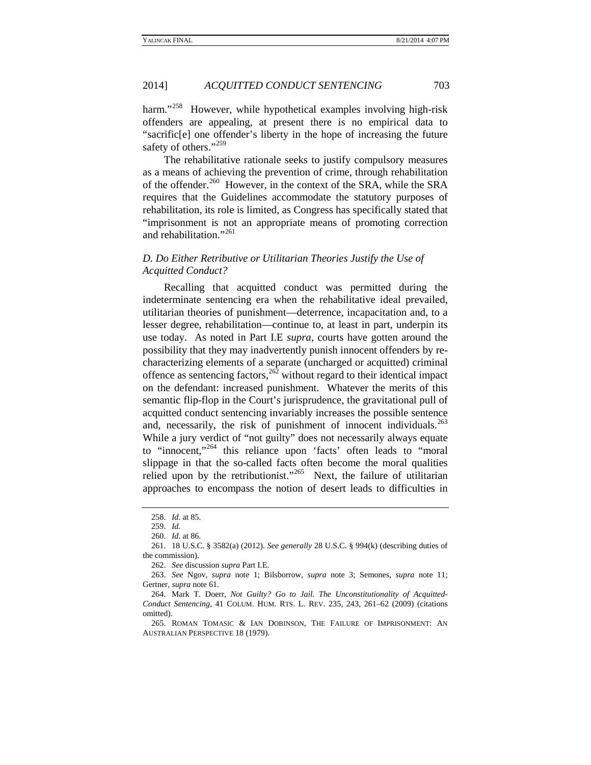harm."<sup>[258](#page-29-0)</sup> However, while hypothetical examples involving high-risk offenders are appealing, at present there is no empirical data to "sacrific[e] one offender's liberty in the hope of increasing the future safety of others."<sup>[259](#page-29-1)</sup>

The rehabilitative rationale seeks to justify compulsory measures as a means of achieving the prevention of crime, through rehabilitation of the offender.<sup>[260](#page-29-2)</sup> However, in the context of the SRA, while the SRA requires that the Guidelines accommodate the statutory purposes of rehabilitation, its role is limited, as Congress has specifically stated that "imprisonment is not an appropriate means of promoting correction and rehabilitation."<sup>[261](#page-29-3)</sup>

# *D. Do Either Retributive or Utilitarian Theories Justify the Use of Acquitted Conduct?*

Recalling that acquitted conduct was permitted during the indeterminate sentencing era when the rehabilitative ideal prevailed, utilitarian theories of punishment—deterrence, incapacitation and, to a lesser degree, rehabilitation—continue to, at least in part, underpin its use today. As noted in Part I.E *supra*, courts have gotten around the possibility that they may inadvertently punish innocent offenders by recharacterizing elements of a separate (uncharged or acquitted) criminal offence as sentencing factors,  $262$  without regard to their identical impact on the defendant: increased punishment. Whatever the merits of this semantic flip-flop in the Court's jurisprudence, the gravitational pull of acquitted conduct sentencing invariably increases the possible sentence and, necessarily, the risk of punishment of innocent individuals.<sup>[263](#page-29-5)</sup> While a jury verdict of "not guilty" does not necessarily always equate to "innocent,"[264](#page-29-6) this reliance upon 'facts' often leads to "moral slippage in that the so-called facts often become the moral qualities relied upon by the retributionist."<sup>[265](#page-29-7)</sup> Next, the failure of utilitarian approaches to encompass the notion of desert leads to difficulties in

<sup>258.</sup> *Id.* at 85.

<sup>259.</sup> *Id.*

<sup>260.</sup> *Id.* at 86.

<span id="page-29-4"></span><span id="page-29-3"></span><span id="page-29-2"></span><span id="page-29-1"></span><span id="page-29-0"></span><sup>261.</sup> 18 U.S.C. § 3582(a) (2012). *See generally* 28 U.S.C. § 994(k) (describing duties of the commission).

<sup>262.</sup> *See* discussion *supra* Part I.E.

<span id="page-29-5"></span><sup>263.</sup> *See* Ngov, *supra* note 1; Bilsborrow, *supra* note 3; Semones, *supra* note 11; Gertner, *supra* note 61.

<span id="page-29-6"></span><sup>264.</sup> Mark T. Doerr, *Not Guilty? Go to Jail. The Unconstitutionality of Acquitted-Conduct Sentencing*, 41 COLUM. HUM. RTS. L. REV. 235, 243, 261–62 (2009) (citations omitted).

<span id="page-29-7"></span><sup>265.</sup> ROMAN TOMASIC & IAN DOBINSON, THE FAILURE OF IMPRISONMENT: AN AUSTRALIAN PERSPECTIVE 18 (1979).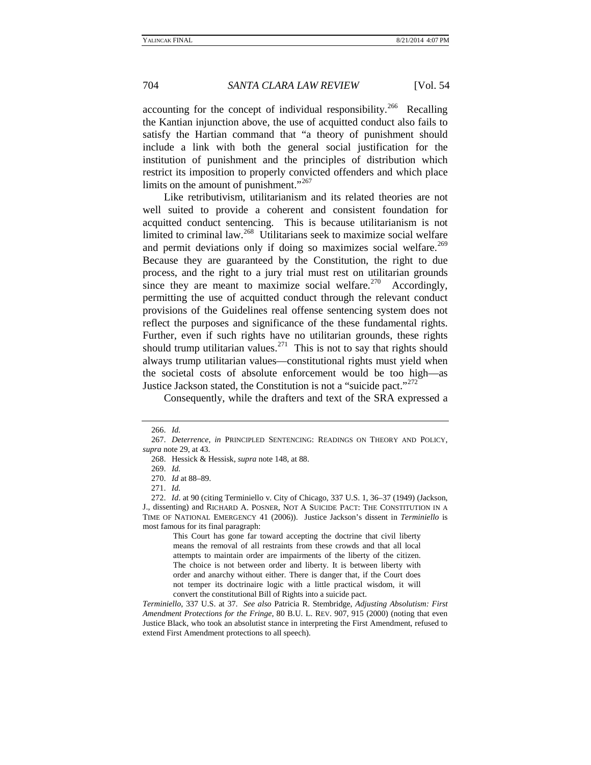accounting for the concept of individual responsibility.<sup>[266](#page-30-0)</sup> Recalling the Kantian injunction above, the use of acquitted conduct also fails to satisfy the Hartian command that "a theory of punishment should include a link with both the general social justification for the institution of punishment and the principles of distribution which restrict its imposition to properly convicted offenders and which place limits on the amount of punishment."<sup>[267](#page-30-1)</sup>

Like retributivism, utilitarianism and its related theories are not well suited to provide a coherent and consistent foundation for acquitted conduct sentencing. This is because utilitarianism is not limited to criminal law.<sup>[268](#page-30-2)</sup> Utilitarians seek to maximize social welfare and permit deviations only if doing so maximizes social welfare.<sup>[269](#page-30-3)</sup> Because they are guaranteed by the Constitution, the right to due process, and the right to a jury trial must rest on utilitarian grounds since they are meant to maximize social welfare.<sup>[270](#page-30-4)</sup> Accordingly, permitting the use of acquitted conduct through the relevant conduct provisions of the Guidelines real offense sentencing system does not reflect the purposes and significance of the these fundamental rights. Further, even if such rights have no utilitarian grounds, these rights should trump utilitarian values.<sup>[271](#page-30-5)</sup> This is not to say that rights should always trump utilitarian values—constitutional rights must yield when the societal costs of absolute enforcement would be too high—as Justice Jackson stated, the Constitution is not a "suicide pact." $272$ 

Consequently, while the drafters and text of the SRA expressed a

This Court has gone far toward accepting the doctrine that civil liberty means the removal of all restraints from these crowds and that all local attempts to maintain order are impairments of the liberty of the citizen. The choice is not between order and liberty. It is between liberty with order and anarchy without either. There is danger that, if the Court does not temper its doctrinaire logic with a little practical wisdom, it will convert the constitutional Bill of Rights into a suicide pact.

*Terminiello*, 337 U.S. at 37. *See also* Patricia R. Stembridge, *Adjusting Absolutism: First Amendment Protections for the Fringe*, 80 B.U. L. REV. 907, 915 (2000) (noting that even Justice Black, who took an absolutist stance in interpreting the First Amendment, refused to extend First Amendment protections to all speech).

<sup>266.</sup> *Id.*

<span id="page-30-3"></span><span id="page-30-2"></span><span id="page-30-1"></span><span id="page-30-0"></span><sup>267.</sup> *Deterrence*, *in* PRINCIPLED SENTENCING: READINGS ON THEORY AND POLICY, *supra* note 29, at 43.

<sup>268.</sup> Hessick & Hessisk, *supra* note 148, at 88.

<sup>269.</sup> *Id.*

<sup>270.</sup> *Id* at 88–89.

<sup>271.</sup> *Id.*

<span id="page-30-6"></span><span id="page-30-5"></span><span id="page-30-4"></span><sup>272.</sup> *Id*. at 90 (citing Terminiello v. City of Chicago, 337 U.S. 1, 36–37 (1949) (Jackson, J., dissenting) and RICHARD A. POSNER, NOT A SUICIDE PACT: THE CONSTITUTION IN A TIME OF NATIONAL EMERGENCY 41 (2006)). Justice Jackson's dissent in *Terminiello* is most famous for its final paragraph: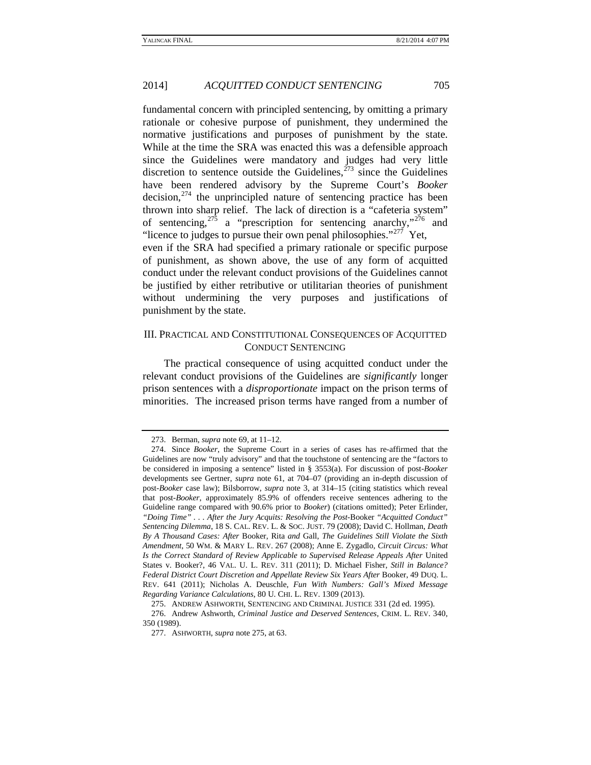fundamental concern with principled sentencing, by omitting a primary rationale or cohesive purpose of punishment, they undermined the normative justifications and purposes of punishment by the state. While at the time the SRA was enacted this was a defensible approach since the Guidelines were mandatory and judges had very little discretion to sentence outside the Guidelines,  $273$  since the Guidelines have been rendered advisory by the Supreme Court's *Booker*  decision, $^{274}$  $^{274}$  $^{274}$  the unprincipled nature of sentencing practice has been thrown into sharp relief. The lack of direction is a "cafeteria system" of sentencing,  $275$  a "prescription for sentencing anarchy,"  $276$  and "licence to judges to pursue their own penal philosophies."<sup>[277](#page-31-4)</sup> Yet,

even if the SRA had specified a primary rationale or specific purpose of punishment, as shown above, the use of any form of acquitted conduct under the relevant conduct provisions of the Guidelines cannot be justified by either retributive or utilitarian theories of punishment without undermining the very purposes and justifications of punishment by the state.

# III. PRACTICAL AND CONSTITUTIONAL CONSEQUENCES OF ACQUITTED CONDUCT SENTENCING

The practical consequence of using acquitted conduct under the relevant conduct provisions of the Guidelines are *significantly* longer prison sentences with a *disproportionate* impact on the prison terms of minorities. The increased prison terms have ranged from a number of

<sup>273.</sup> Berman, *supra* note 69, at 11–12.

<span id="page-31-1"></span><span id="page-31-0"></span><sup>274.</sup> Since *Booker*, the Supreme Court in a series of cases has re-affirmed that the Guidelines are now "truly advisory" and that the touchstone of sentencing are the "factors to be considered in imposing a sentence" listed in § 3553(a). For discussion of post-*Booker* developments see Gertner, *supra* note 61, at 704–07 (providing an in-depth discussion of post-*Booker* case law); Bilsborrow, *supra* note 3, at 314–15 (citing statistics which reveal that post-*Booker*, approximately 85.9% of offenders receive sentences adhering to the Guideline range compared with 90.6% prior to *Booker*) (citations omitted); Peter Erlinder, *"Doing Time" . . . After the Jury Acquits: Resolving the Post-*Booker *"Acquitted Conduct" Sentencing Dilemma*, 18 S. CAL. REV. L. & SOC. JUST. 79 (2008); David C. Hollman, *Death By A Thousand Cases: After* Booker*,* Rita *and* Gall*, The Guidelines Still Violate the Sixth Amendment*, 50 WM. & MARY L. REV. 267 (2008); Anne E. Zygadlo, *Circuit Circus: What Is the Correct Standard of Review Applicable to Supervised Release Appeals After United* States v. Booker?, 46 VAL. U. L. REV. 311 (2011); D. Michael Fisher, *Still in Balance? Federal District Court Discretion and Appellate Review Six Years After* Booker, 49 DUQ. L. REV. 641 (2011); Nicholas A. Deuschle, *Fun With Numbers: Gall's Mixed Message Regarding Variance Calculations*, 80 U. CHI. L. REV. 1309 (2013).

<sup>275.</sup> ANDREW ASHWORTH, SENTENCING AND CRIMINAL JUSTICE 331 (2d ed. 1995).

<span id="page-31-4"></span><span id="page-31-3"></span><span id="page-31-2"></span><sup>276.</sup> Andrew Ashworth, *Criminal Justice and Deserved Sentences*, CRIM. L. REV. 340, 350 (1989).

<sup>277.</sup> ASHWORTH, *supra* note 275, at 63.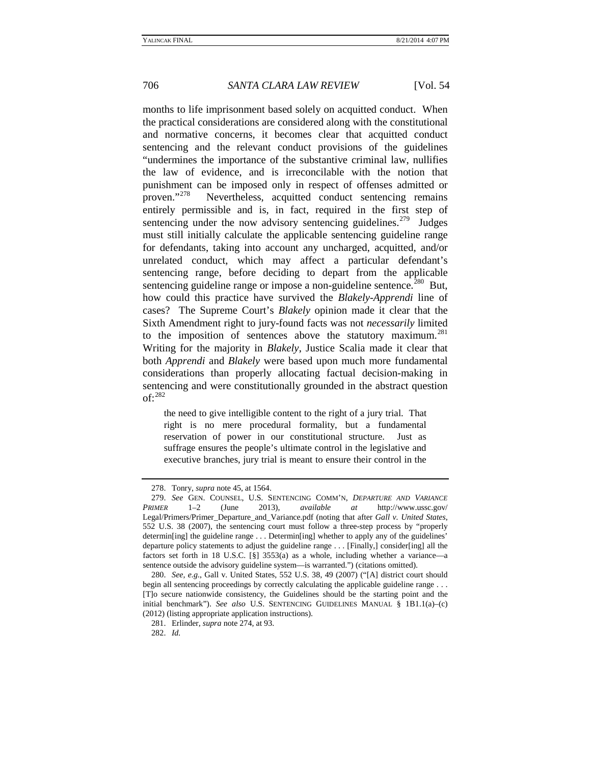months to life imprisonment based solely on acquitted conduct. When the practical considerations are considered along with the constitutional and normative concerns, it becomes clear that acquitted conduct sentencing and the relevant conduct provisions of the guidelines "undermines the importance of the substantive criminal law, nullifies the law of evidence, and is irreconcilable with the notion that punishment can be imposed only in respect of offenses admitted or proven."<sup> $278$ </sup> Nevertheless, acquitted conduct sentencing remains entirely permissible and is, in fact, required in the first step of sentencing under the now advisory sentencing guidelines.<sup>[279](#page-32-1)</sup> Judges must still initially calculate the applicable sentencing guideline range for defendants, taking into account any uncharged, acquitted, and/or unrelated conduct, which may affect a particular defendant's sentencing range, before deciding to depart from the applicable sentencing guideline range or impose a non-guideline sentence.<sup>[280](#page-32-2)</sup> But, how could this practice have survived the *Blakely-Apprendi* line of cases? The Supreme Court's *Blakely* opinion made it clear that the Sixth Amendment right to jury-found facts was not *necessarily* limited to the imposition of sentences above the statutory maximum.<sup>[281](#page-32-3)</sup> Writing for the majority in *Blakely*, Justice Scalia made it clear that both *Apprendi* and *Blakely* were based upon much more fundamental considerations than properly allocating factual decision-making in sentencing and were constitutionally grounded in the abstract question of:[282](#page-32-4)

the need to give intelligible content to the right of a jury trial. That right is no mere procedural formality, but a fundamental reservation of power in our constitutional structure. Just as suffrage ensures the people's ultimate control in the legislative and executive branches, jury trial is meant to ensure their control in the

<sup>278.</sup> Tonry, *supra* note 45, at 1564.

<span id="page-32-1"></span><span id="page-32-0"></span><sup>279.</sup> *See* GEN. COUNSEL, U.S. SENTENCING COMM'N, *DEPARTURE AND VARIANCE PRIMER* 1–2 (June 2013), *available at* http://www.ussc.gov/ Legal/Primers/Primer\_Departure\_and\_Variance.pdf (noting that after *Gall v. United States*, 552 U.S. 38 (2007), the sentencing court must follow a three-step process by "properly determin[ing] the guideline range . . . Determin[ing] whether to apply any of the guidelines' departure policy statements to adjust the guideline range . . . [Finally,] consider[ing] all the factors set forth in 18 U.S.C.  $[\S]$  3553(a) as a whole, including whether a variance—a sentence outside the advisory guideline system—is warranted.") (citations omitted).

<span id="page-32-2"></span><sup>280.</sup> *See, e.g.*, Gall v. United States, 552 U.S. 38, 49 (2007) ("[A] district court should begin all sentencing proceedings by correctly calculating the applicable guideline range . . . [T]o secure nationwide consistency, the Guidelines should be the starting point and the initial benchmark"). *See also* U.S. SENTENCING GUIDELINES MANUAL § 1B1.1(a)–(c) (2012) (listing appropriate application instructions).

<span id="page-32-4"></span><span id="page-32-3"></span><sup>281.</sup> Erlinder, *supra* note 274, at 93.

<sup>282.</sup> *Id.*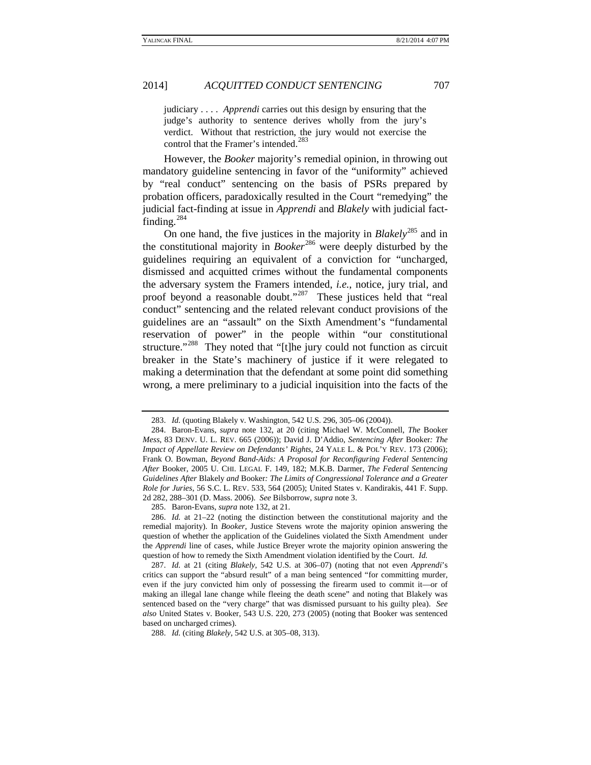judiciary . . . . *Apprendi* carries out this design by ensuring that the judge's authority to sentence derives wholly from the jury's verdict. Without that restriction, the jury would not exercise the control that the Framer's intended.<sup>[283](#page-33-0)</sup>

However, the *Booker* majority's remedial opinion, in throwing out mandatory guideline sentencing in favor of the "uniformity" achieved by "real conduct" sentencing on the basis of PSRs prepared by probation officers, paradoxically resulted in the Court "remedying" the judicial fact-finding at issue in *Apprendi* and *Blakely* with judicial factfinding.[284](#page-33-1)

On one hand, the five justices in the majority in *Blakely*[285](#page-33-2) and in the constitutional majority in *Booker*[286](#page-33-3) were deeply disturbed by the guidelines requiring an equivalent of a conviction for "uncharged, dismissed and acquitted crimes without the fundamental components the adversary system the Framers intended, *i.e.*, notice, jury trial, and proof beyond a reasonable doubt."<sup>[287](#page-33-4)</sup> These justices held that "real conduct" sentencing and the related relevant conduct provisions of the guidelines are an "assault" on the Sixth Amendment's "fundamental reservation of power" in the people within "our constitutional structure."<sup>[288](#page-33-5)</sup> They noted that "[t]he jury could not function as circuit breaker in the State's machinery of justice if it were relegated to making a determination that the defendant at some point did something wrong, a mere preliminary to a judicial inquisition into the facts of the

<sup>283.</sup> *Id.* (quoting Blakely v. Washington, 542 U.S. 296, 305–06 (2004)).

<span id="page-33-1"></span><span id="page-33-0"></span><sup>284.</sup> Baron-Evans, *supra* note 132, at 20 (citing Michael W. McConnell, *The* Booker *Mess*, 83 DENV. U. L. REV. 665 (2006)); David J. D'Addio, *Sentencing After* Booker*: The Impact of Appellate Review on Defendants' Rights*, 24 YALE L. & POL'Y REV. 173 (2006); Frank O. Bowman, *Beyond Band-Aids: A Proposal for Reconfiguring Federal Sentencing After* Booker, 2005 U. CHI. LEGAL F. 149, 182; M.K.B. Darmer, *The Federal Sentencing Guidelines After* Blakely *and* Booker*: The Limits of Congressional Tolerance and a Greater Role for Juries*, 56 S.C. L. REV. 533, 564 (2005); United States v. Kandirakis, 441 F. Supp. 2d 282, 288–301 (D. Mass. 2006). *See* Bilsborrow, *supra* note 3.

<sup>285.</sup> Baron-Evans, *supra* note 132, at 21.

<span id="page-33-3"></span><span id="page-33-2"></span><sup>286.</sup> *Id.* at 21–22 (noting the distinction between the constitutional majority and the remedial majority). In *Booker*, Justice Stevens wrote the majority opinion answering the question of whether the application of the Guidelines violated the Sixth Amendment under the *Apprendi* line of cases, while Justice Breyer wrote the majority opinion answering the question of how to remedy the Sixth Amendment violation identified by the Court. *Id.*

<span id="page-33-4"></span><sup>287.</sup> *Id.* at 21 (citing *Blakely*, 542 U.S. at 306–07) (noting that not even *Apprendi*'s critics can support the "absurd result" of a man being sentenced "for committing murder, even if the jury convicted him only of possessing the firearm used to commit it—or of making an illegal lane change while fleeing the death scene" and noting that Blakely was sentenced based on the "very charge" that was dismissed pursuant to his guilty plea). *See also* United States v. Booker, 543 U.S. 220, 273 (2005) (noting that Booker was sentenced based on uncharged crimes).

<span id="page-33-5"></span><sup>288.</sup> *Id.* (citing *Blakely*, 542 U.S. at 305–08, 313).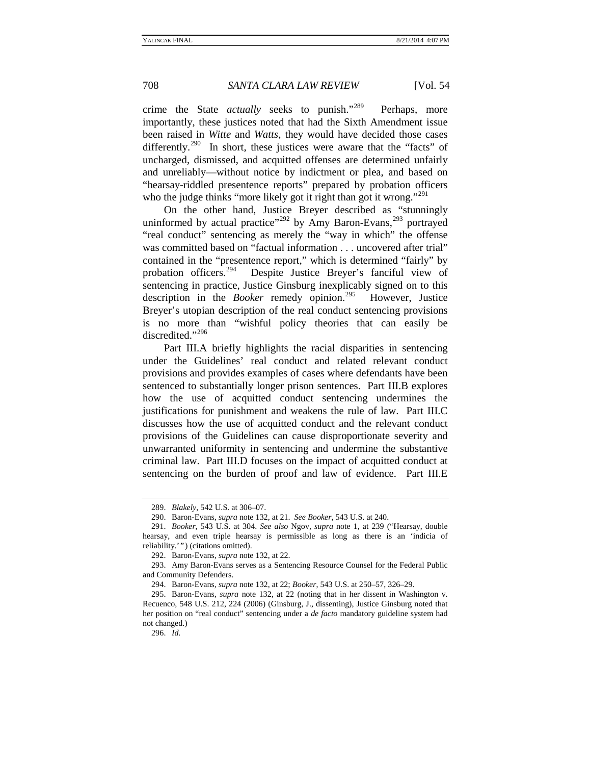crime the State *actually* seeks to punish."<sup>[289](#page-34-0)</sup> Perhaps, more importantly, these justices noted that had the Sixth Amendment issue been raised in *Witte* and *Watts*, they would have decided those cases differently.<sup>[290](#page-34-1)</sup> In short, these justices were aware that the "facts" of uncharged, dismissed, and acquitted offenses are determined unfairly and unreliably—without notice by indictment or plea, and based on "hearsay-riddled presentence reports" prepared by probation officers who the judge thinks "more likely got it right than got it wrong."<sup>[291](#page-34-2)</sup>

On the other hand, Justice Breyer described as "stunningly uninformed by actual practice"<sup>[292](#page-34-3)</sup> by Amy Baron-Evans,<sup>[293](#page-34-4)</sup> portrayed "real conduct" sentencing as merely the "way in which" the offense was committed based on "factual information . . . uncovered after trial" contained in the "presentence report," which is determined "fairly" by probation officers.[294](#page-34-5) Despite Justice Breyer's fanciful view of sentencing in practice, Justice Ginsburg inexplicably signed on to this description in the *Booker* remedy opinion.<sup>[295](#page-34-6)</sup> However, Justice Breyer's utopian description of the real conduct sentencing provisions is no more than "wishful policy theories that can easily be discredited."<sup>[296](#page-34-7)</sup>

Part III.A briefly highlights the racial disparities in sentencing under the Guidelines' real conduct and related relevant conduct provisions and provides examples of cases where defendants have been sentenced to substantially longer prison sentences. Part III.B explores how the use of acquitted conduct sentencing undermines the justifications for punishment and weakens the rule of law. Part III.C discusses how the use of acquitted conduct and the relevant conduct provisions of the Guidelines can cause disproportionate severity and unwarranted uniformity in sentencing and undermine the substantive criminal law. Part III.D focuses on the impact of acquitted conduct at sentencing on the burden of proof and law of evidence. Part III.E

<sup>289.</sup> *Blakely*, 542 U.S. at 306–07.

<sup>290.</sup> Baron-Evans, *supra* note 132, at 21. *See Booker*, 543 U.S. at 240.

<span id="page-34-2"></span><span id="page-34-1"></span><span id="page-34-0"></span><sup>291.</sup> *Booker*, 543 U.S. at 304. *See also* Ngov, *supra* note 1, at 239 ("Hearsay, double hearsay, and even triple hearsay is permissible as long as there is an 'indicia of reliability.'") (citations omitted).

<sup>292.</sup> Baron-Evans, *supra* note 132, at 22.

<span id="page-34-4"></span><span id="page-34-3"></span><sup>293.</sup> Amy Baron-Evans serves as a Sentencing Resource Counsel for the Federal Public and Community Defenders.

<sup>294.</sup> Baron-Evans, *supra* note 132, at 22; *Booker*, 543 U.S. at 250–57, 326–29.

<span id="page-34-7"></span><span id="page-34-6"></span><span id="page-34-5"></span><sup>295.</sup> Baron-Evans, *supra* note 132, at 22 (noting that in her dissent in Washington v. Recuenco, 548 U.S. 212, 224 (2006) (Ginsburg, J., dissenting), Justice Ginsburg noted that her position on "real conduct" sentencing under a *de facto* mandatory guideline system had not changed.)

<sup>296.</sup> *Id.*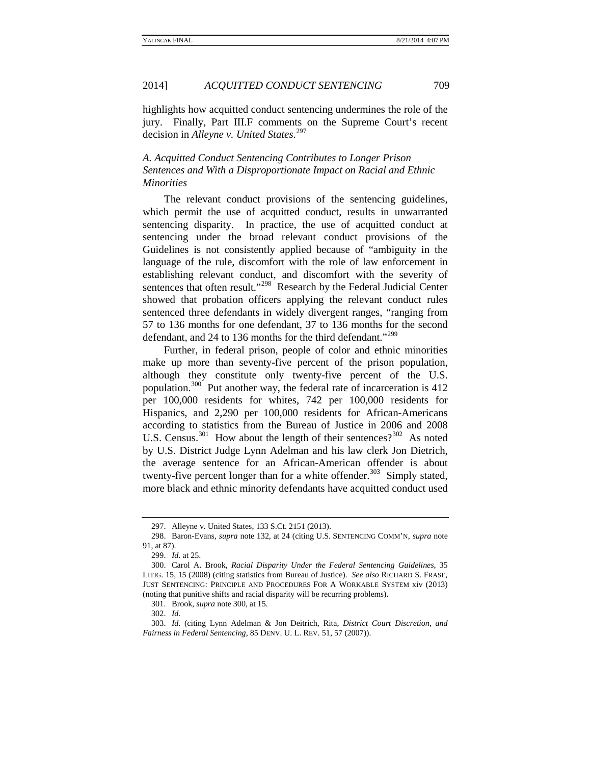highlights how acquitted conduct sentencing undermines the role of the jury. Finally, Part III.F comments on the Supreme Court's recent decision in *Alleyne v. United States*. [297](#page-35-0)

# *A. Acquitted Conduct Sentencing Contributes to Longer Prison Sentences and With a Disproportionate Impact on Racial and Ethnic Minorities*

The relevant conduct provisions of the sentencing guidelines, which permit the use of acquitted conduct, results in unwarranted sentencing disparity. In practice, the use of acquitted conduct at sentencing under the broad relevant conduct provisions of the Guidelines is not consistently applied because of "ambiguity in the language of the rule, discomfort with the role of law enforcement in establishing relevant conduct, and discomfort with the severity of sentences that often result."<sup>[298](#page-35-1)</sup> Research by the Federal Judicial Center showed that probation officers applying the relevant conduct rules sentenced three defendants in widely divergent ranges, "ranging from 57 to 136 months for one defendant, 37 to 136 months for the second defendant, and 24 to 136 months for the third defendant."<sup>[299](#page-35-2)</sup>

Further, in federal prison, people of color and ethnic minorities make up more than seventy-five percent of the prison population, although they constitute only twenty-five percent of the U.S. population.[300](#page-35-3) Put another way, the federal rate of incarceration is 412 per 100,000 residents for whites, 742 per 100,000 residents for Hispanics, and 2,290 per 100,000 residents for African-Americans according to statistics from the Bureau of Justice in 2006 and 2008 U.S. Census.<sup>[301](#page-35-4)</sup> How about the length of their sentences?<sup>[302](#page-35-5)</sup> As noted by U.S. District Judge Lynn Adelman and his law clerk Jon Dietrich, the average sentence for an African-American offender is about twenty-five percent longer than for a white offender.<sup>[303](#page-35-6)</sup> Simply stated, more black and ethnic minority defendants have acquitted conduct used

302. *Id.*

<sup>297.</sup> Alleyne v. United States, 133 S.Ct. 2151 (2013).

<span id="page-35-1"></span><span id="page-35-0"></span><sup>298.</sup> Baron-Evans, *supra* note 132, at 24 (citing U.S. SENTENCING COMM'N, *supra* note 91, at 87).

<sup>299.</sup> *Id.* at 25.

<span id="page-35-3"></span><span id="page-35-2"></span><sup>300.</sup> Carol A. Brook, *Racial Disparity Under the Federal Sentencing Guidelines*, 35 LITIG. 15, 15 (2008) (citing statistics from Bureau of Justice). *See also* RICHARD S. FRASE, JUST SENTENCING: PRINCIPLE AND PROCEDURES FOR A WORKABLE SYSTEM xiv (2013) (noting that punitive shifts and racial disparity will be recurring problems).

<sup>301.</sup> Brook, *supra* note 300, at 15.

<span id="page-35-6"></span><span id="page-35-5"></span><span id="page-35-4"></span><sup>303.</sup> *Id.* (citing Lynn Adelman & Jon Deitrich, Rita*, District Court Discretion, and Fairness in Federal Sentencing*, 85 DENV. U. L. REV. 51, 57 (2007)).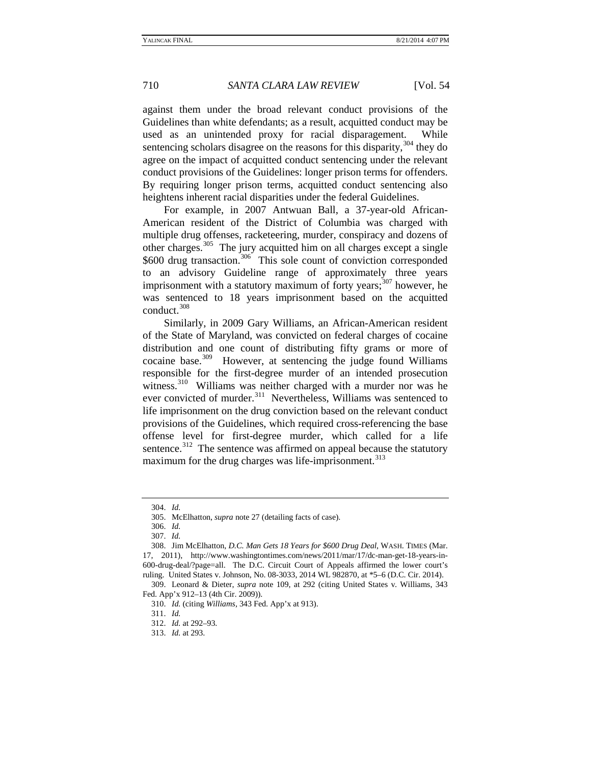against them under the broad relevant conduct provisions of the Guidelines than white defendants; as a result, acquitted conduct may be used as an unintended proxy for racial disparagement. While sentencing scholars disagree on the reasons for this disparity,  $304$  they do agree on the impact of acquitted conduct sentencing under the relevant conduct provisions of the Guidelines: longer prison terms for offenders. By requiring longer prison terms, acquitted conduct sentencing also heightens inherent racial disparities under the federal Guidelines.

For example, in 2007 Antwuan Ball, a 37-year-old African-American resident of the District of Columbia was charged with multiple drug offenses, racketeering, murder, conspiracy and dozens of other charges.[305](#page-36-1) The jury acquitted him on all charges except a single \$600 drug transaction.<sup>[306](#page-36-2)</sup> This sole count of conviction corresponded to an advisory Guideline range of approximately three years imprisonment with a statutory maximum of forty years; $307$  however, he was sentenced to 18 years imprisonment based on the acquitted conduct.<sup>[308](#page-36-4)</sup>

Similarly, in 2009 Gary Williams, an African-American resident of the State of Maryland, was convicted on federal charges of cocaine distribution and one count of distributing fifty grams or more of cocaine base.<sup>[309](#page-36-5)</sup> However, at sentencing the judge found Williams responsible for the first-degree murder of an intended prosecution witness.<sup>[310](#page-36-6)</sup> Williams was neither charged with a murder nor was he ever convicted of murder.<sup>[311](#page-36-7)</sup> Nevertheless, Williams was sentenced to life imprisonment on the drug conviction based on the relevant conduct provisions of the Guidelines, which required cross-referencing the base offense level for first-degree murder, which called for a life sentence.<sup>[312](#page-36-8)</sup> The sentence was affirmed on appeal because the statutory maximum for the drug charges was life-imprisonment. $313$ 

<sup>304.</sup> *Id.*

<sup>305.</sup> McElhatton, *supra* note 27 (detailing facts of case).

<sup>306.</sup> *Id.*

<sup>307.</sup> *Id.*

<span id="page-36-4"></span><span id="page-36-3"></span><span id="page-36-2"></span><span id="page-36-1"></span><span id="page-36-0"></span><sup>308.</sup> Jim McElhatton, *D.C. Man Gets 18 Years for \$600 Drug Deal*, WASH. TIMES (Mar. 17, 2011), http://www.washingtontimes.com/news/2011/mar/17/dc-man-get-18-years-in-600-drug-deal/?page=all. The D.C. Circuit Court of Appeals affirmed the lower court's ruling. United States v. Johnson, No. 08-3033, 2014 WL 982870, at \*5–6 (D.C. Cir. 2014).

<span id="page-36-9"></span><span id="page-36-8"></span><span id="page-36-7"></span><span id="page-36-6"></span><span id="page-36-5"></span><sup>309.</sup> Leonard & Dieter, *supra* note 109, at 292 (citing United States v. Williams, 343 Fed. App'x 912–13 (4th Cir. 2009)).

<sup>310.</sup> *Id.* (citing *Williams,* 343 Fed. App'x at 913).

<sup>311.</sup> *Id.*

<sup>312.</sup> *Id.* at 292–93.

<sup>313.</sup> *Id.* at 293.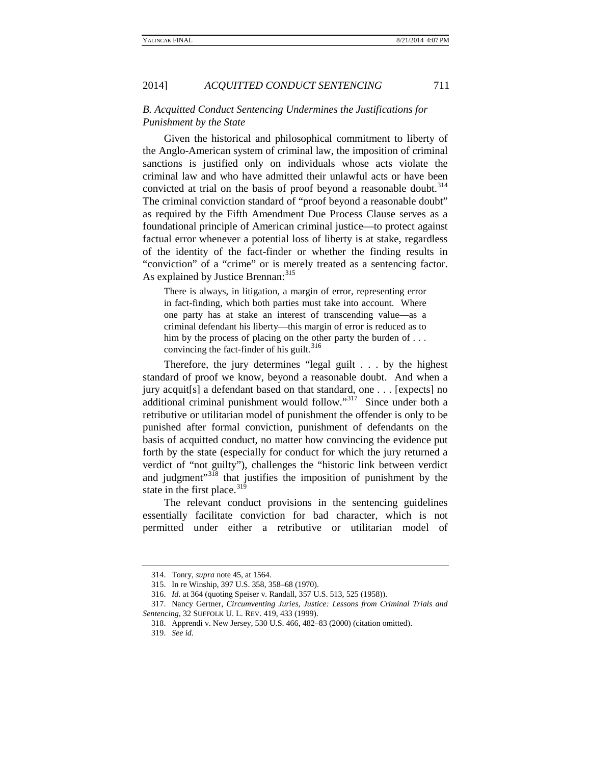# *B. Acquitted Conduct Sentencing Undermines the Justifications for Punishment by the State*

Given the historical and philosophical commitment to liberty of the Anglo-American system of criminal law, the imposition of criminal sanctions is justified only on individuals whose acts violate the criminal law and who have admitted their unlawful acts or have been convicted at trial on the basis of proof beyond a reasonable doubt.<sup>[314](#page-37-0)</sup> The criminal conviction standard of "proof beyond a reasonable doubt" as required by the Fifth Amendment Due Process Clause serves as a foundational principle of American criminal justice—to protect against factual error whenever a potential loss of liberty is at stake, regardless of the identity of the fact-finder or whether the finding results in "conviction" of a "crime" or is merely treated as a sentencing factor. As explained by Justice Brennan: [315](#page-37-1)

There is always, in litigation, a margin of error, representing error in fact-finding, which both parties must take into account. Where one party has at stake an interest of transcending value—as a criminal defendant his liberty—this margin of error is reduced as to him by the process of placing on the other party the burden of . . . convincing the fact-finder of his guilt. $316$ 

Therefore, the jury determines "legal guilt . . . by the highest standard of proof we know, beyond a reasonable doubt. And when a jury acquit[s] a defendant based on that standard, one . . . [expects] no additional criminal punishment would follow."[317](#page-37-3) Since under both a retributive or utilitarian model of punishment the offender is only to be punished after formal conviction, punishment of defendants on the basis of acquitted conduct, no matter how convincing the evidence put forth by the state (especially for conduct for which the jury returned a verdict of "not guilty"), challenges the "historic link between verdict and judgment"<sup>[318](#page-37-4)</sup> that justifies the imposition of punishment by the state in the first place. $319$ 

The relevant conduct provisions in the sentencing guidelines essentially facilitate conviction for bad character, which is not permitted under either a retributive or utilitarian model of

<sup>314.</sup> Tonry, *supra* note 45, at 1564.

<sup>315.</sup> In re Winship, 397 U.S. 358, 358–68 (1970).

<sup>316.</sup> *Id.* at 364 (quoting Speiser v. Randall, 357 U.S. 513, 525 (1958)).

<span id="page-37-5"></span><span id="page-37-4"></span><span id="page-37-3"></span><span id="page-37-2"></span><span id="page-37-1"></span><span id="page-37-0"></span><sup>317.</sup> Nancy Gertner, *Circumventing Juries, Justice: Lessons from Criminal Trials and Sentencing*, 32 SUFFOLK U. L. REV. 419, 433 (1999).

<sup>318.</sup> Apprendi v. New Jersey, 530 U.S. 466, 482–83 (2000) (citation omitted).

<sup>319.</sup> *See id.*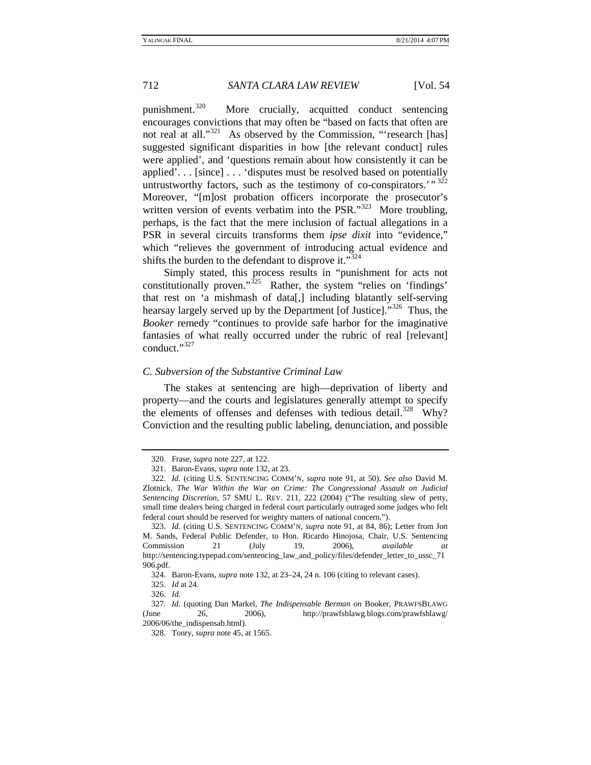punishment. $320$  More crucially, acquitted conduct sentencing encourages convictions that may often be "based on facts that often are not real at all."<sup>[321](#page-38-1)</sup> As observed by the Commission, "research [has] suggested significant disparities in how [the relevant conduct] rules were applied', and 'questions remain about how consistently it can be applied'. . . [since] . . . 'disputes must be resolved based on potentially untrustworthy factors, such as the testimony of co-conspirators.'"  $322$ Moreover, "[m]ost probation officers incorporate the prosecutor's written version of events verbatim into the PSR."<sup>[323](#page-38-3)</sup> More troubling, perhaps, is the fact that the mere inclusion of factual allegations in a PSR in several circuits transforms them *ipse dixit* into "evidence," which "relieves the government of introducing actual evidence and shifts the burden to the defendant to disprove it."<sup>[324](#page-38-4)</sup>

Simply stated, this process results in "punishment for acts not constitutionally proven." $325$  Rather, the system "relies on 'findings' that rest on 'a mishmash of data[,] including blatantly self-serving hearsay largely served up by the Department [of Justice]."<sup>[326](#page-38-6)</sup> Thus, the *Booker* remedy "continues to provide safe harbor for the imaginative fantasies of what really occurred under the rubric of real [relevant] conduct."<sup>[327](#page-38-7)</sup>

#### *C. Subversion of the Substantive Criminal Law*

The stakes at sentencing are high—deprivation of liberty and property—and the courts and legislatures generally attempt to specify the elements of offenses and defenses with tedious detail.<sup>[328](#page-38-8)</sup> Why? Conviction and the resulting public labeling, denunciation, and possible

<sup>320.</sup> Frase, *supra* note 227, at 122.

<sup>321.</sup> Baron-Evans, *supra* note 132, at 23.

<span id="page-38-2"></span><span id="page-38-1"></span><span id="page-38-0"></span><sup>322.</sup> *Id.* (citing U.S. SENTENCING COMM'N, *supra* note 91, at 50). *See also* David M. Zlotnick, *The War Within the War on Crime: The Congressional Assault on Judicial Sentencing Discretion*, 57 SMU L. REV. 211, 222 (2004) ("The resulting slew of petty, small time dealers being charged in federal court particularly outraged some judges who felt federal court should be reserved for weighty matters of national concern.").

<span id="page-38-3"></span><sup>323.</sup> *Id*. (citing U.S. SENTENCING COMM'N, *supra* note 91, at 84, 86); Letter from Jon M. Sands, Federal Public Defender, to Hon. Ricardo Hinojosa, Chair, U.S. Sentencing Commission 21 (July 19, 2006), *available at* http://sentencing.typepad.com/sentencing\_law\_and\_policy/files/defender\_letter\_to\_ussc\_71 906.pdf.

<sup>324.</sup> Baron-Evans, *supra* note 132, at 23–24, 24 n. 106 (citing to relevant cases).

<sup>325.</sup> *Id* at 24.

<sup>326.</sup> *Id.*

<span id="page-38-8"></span><span id="page-38-7"></span><span id="page-38-6"></span><span id="page-38-5"></span><span id="page-38-4"></span><sup>327</sup>*. Id.* (quoting Dan Markel, *The Indispensable Berman on* Booker, PRAWFSBLAWG (June 26, 2006), http://prawfsblawg.blogs.com/prawfsblawg/ 2006/06/the\_indispensab.html).

<sup>328.</sup> Tonry, *supra* note 45, at 1565.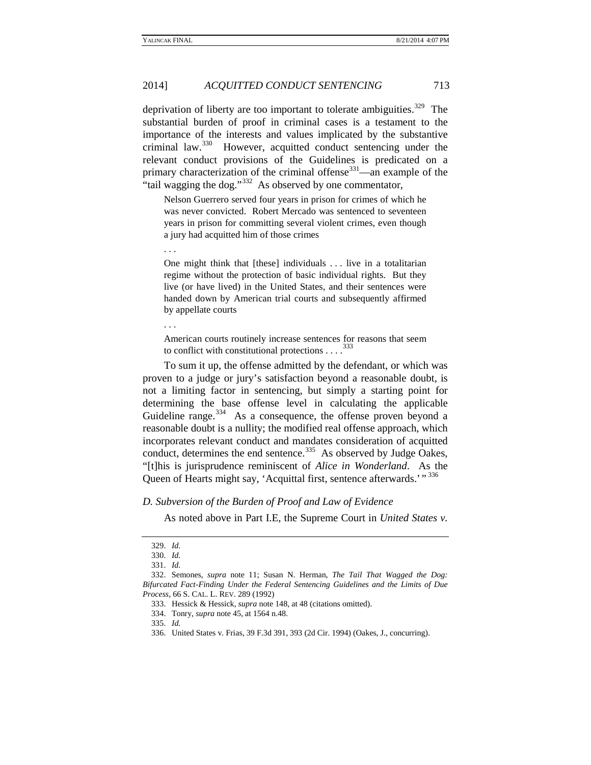deprivation of liberty are too important to tolerate ambiguities.<sup>[329](#page-39-0)</sup> The substantial burden of proof in criminal cases is a testament to the importance of the interests and values implicated by the substantive criminal law.<sup>[330](#page-39-1)</sup> However, acquitted conduct sentencing under the relevant conduct provisions of the Guidelines is predicated on a primary characterization of the criminal offense<sup>[331](#page-39-2)</sup>—an example of the "tail wagging the dog." $332$  As observed by one commentator,

Nelson Guerrero served four years in prison for crimes of which he was never convicted. Robert Mercado was sentenced to seventeen years in prison for committing several violent crimes, even though a jury had acquitted him of those crimes

. . .

One might think that [these] individuals . . . live in a totalitarian regime without the protection of basic individual rights. But they live (or have lived) in the United States, and their sentences were handed down by American trial courts and subsequently affirmed by appellate courts

. . .

American courts routinely increase sentences for reasons that seem to conflict with constitutional protections  $\ldots$ <sup>[333](#page-39-4)</sup>

To sum it up, the offense admitted by the defendant, or which was proven to a judge or jury's satisfaction beyond a reasonable doubt, is not a limiting factor in sentencing, but simply a starting point for determining the base offense level in calculating the applicable Guideline range.<sup>[334](#page-39-5)</sup> As a consequence, the offense proven beyond a reasonable doubt is a nullity; the modified real offense approach, which incorporates relevant conduct and mandates consideration of acquitted conduct, determines the end sentence.<sup>[335](#page-39-6)</sup> As observed by Judge Oakes, "[t]his is jurisprudence reminiscent of *Alice in Wonderland*. As the Queen of Hearts might say, 'Acquittal first, sentence afterwards.'"<sup>[336](#page-39-7)</sup>

#### *D. Subversion of the Burden of Proof and Law of Evidence*

As noted above in Part I.E, the Supreme Court in *United States v.* 

<sup>329.</sup> *Id.*

<sup>330.</sup> *Id.*

<sup>331.</sup> *Id.*

<span id="page-39-6"></span><span id="page-39-5"></span><span id="page-39-4"></span><span id="page-39-3"></span><span id="page-39-2"></span><span id="page-39-1"></span><span id="page-39-0"></span><sup>332.</sup> Semones, *supra* note 11; Susan N. Herman, *The Tail That Wagged the Dog: Bifurcated Fact-Finding Under the Federal Sentencing Guidelines and the Limits of Due Process*, 66 S. CAL. L. REV. 289 (1992)

<sup>333.</sup> Hessick & Hessick, *supra* note 148, at 48 (citations omitted).

<sup>334.</sup> Tonry, *supra* note 45, at 1564 n.48.

<sup>335.</sup> *Id.*

<span id="page-39-7"></span><sup>336.</sup> United States v. Frias, 39 F.3d 391, 393 (2d Cir. 1994) (Oakes, J., concurring).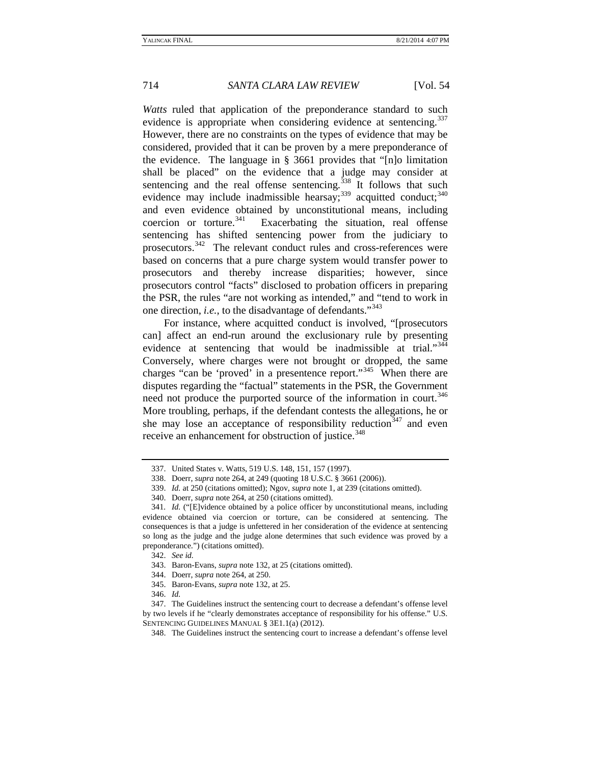*Watts* ruled that application of the preponderance standard to such evidence is appropriate when considering evidence at sentencing.<sup>[337](#page-40-0)</sup> However, there are no constraints on the types of evidence that may be considered, provided that it can be proven by a mere preponderance of the evidence. The language in § 3661 provides that "[n]o limitation shall be placed" on the evidence that a judge may consider at sentencing and the real offense sentencing. $338$  It follows that such evidence may include inadmissible hearsay;<sup>[339](#page-40-2)</sup> acquitted conduct;<sup>[340](#page-40-3)</sup> and even evidence obtained by unconstitutional means, including coercion or torture. $341$  Exacerbating the situation, real offense sentencing has shifted sentencing power from the judiciary to prosecutors.[342](#page-40-5) The relevant conduct rules and cross-references were based on concerns that a pure charge system would transfer power to prosecutors and thereby increase disparities; however, since prosecutors control "facts" disclosed to probation officers in preparing the PSR, the rules "are not working as intended," and "tend to work in one direction, *i.e.*, to the disadvantage of defendants."[343](#page-40-6)

For instance, where acquitted conduct is involved, "[prosecutors can] affect an end-run around the exclusionary rule by presenting evidence at sentencing that would be inadmissible at trial."<sup>[344](#page-40-7)</sup> Conversely, where charges were not brought or dropped, the same charges "can be 'proved' in a presentence report."[345](#page-40-8) When there are disputes regarding the "factual" statements in the PSR, the Government need not produce the purported source of the information in court.<sup>[346](#page-40-9)</sup> More troubling, perhaps, if the defendant contests the allegations, he or she may lose an acceptance of responsibility reduction<sup>[347](#page-40-10)</sup> and even receive an enhancement for obstruction of justice.<sup>[348](#page-40-11)</sup>

- 345. Baron-Evans, *supra* note 132, at 25.
- 346. *Id.*

<sup>337.</sup> United States v. Watts, 519 U.S. 148, 151, 157 (1997).

<sup>338.</sup> Doerr, *supra* note 264, at 249 (quoting 18 U.S.C. § 3661 (2006)).

<sup>339.</sup> *Id.* at 250 (citations omitted); Ngov, *supra* note 1, at 239 (citations omitted).

<sup>340.</sup> Doerr, *supra* note 264, at 250 (citations omitted).

<span id="page-40-5"></span><span id="page-40-4"></span><span id="page-40-3"></span><span id="page-40-2"></span><span id="page-40-1"></span><span id="page-40-0"></span><sup>341</sup>*. Id.* ("[E]vidence obtained by a police officer by unconstitutional means, including evidence obtained via coercion or torture, can be considered at sentencing. The consequences is that a judge is unfettered in her consideration of the evidence at sentencing so long as the judge and the judge alone determines that such evidence was proved by a preponderance.") (citations omitted).

<sup>342.</sup> *See id.*

<sup>343.</sup> Baron-Evans, *supra* note 132, at 25 (citations omitted).

<sup>344.</sup> Doerr, *supra* note 264, at 250.

<span id="page-40-11"></span><span id="page-40-10"></span><span id="page-40-9"></span><span id="page-40-8"></span><span id="page-40-7"></span><span id="page-40-6"></span><sup>347.</sup> The Guidelines instruct the sentencing court to decrease a defendant's offense level by two levels if he "clearly demonstrates acceptance of responsibility for his offense." U.S. SENTENCING GUIDELINES MANUAL § 3E1.1(a) (2012).

<sup>348.</sup> The Guidelines instruct the sentencing court to increase a defendant's offense level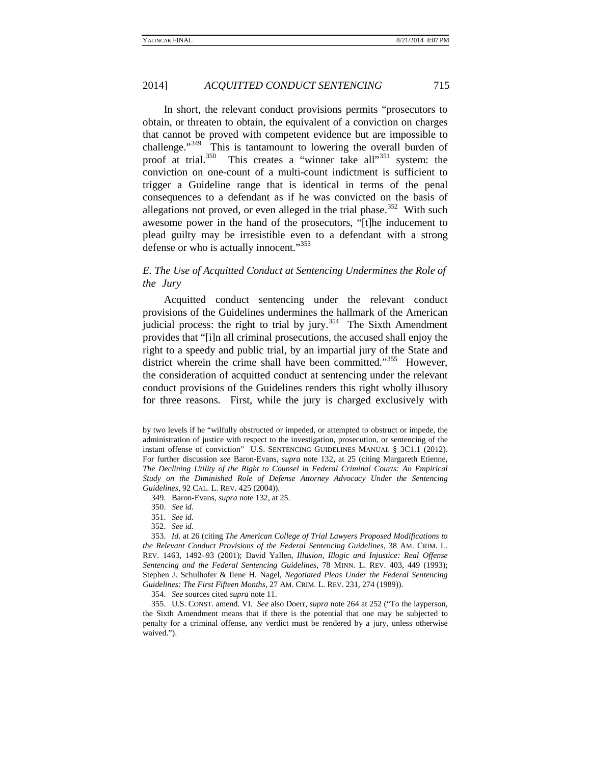In short, the relevant conduct provisions permits "prosecutors to obtain, or threaten to obtain, the equivalent of a conviction on charges that cannot be proved with competent evidence but are impossible to challenge."<sup>[349](#page-41-0)</sup> This is tantamount to lowering the overall burden of proof at trial.<sup>[350](#page-41-1)</sup> This creates a "winner take all"<sup>[351](#page-41-2)</sup> system: the conviction on one-count of a multi-count indictment is sufficient to trigger a Guideline range that is identical in terms of the penal consequences to a defendant as if he was convicted on the basis of allegations not proved, or even alleged in the trial phase.<sup>[352](#page-41-3)</sup> With such awesome power in the hand of the prosecutors, "[t]he inducement to plead guilty may be irresistible even to a defendant with a strong defense or who is actually innocent."<sup>[353](#page-41-4)</sup>

# *E. The Use of Acquitted Conduct at Sentencing Undermines the Role of the Jury*

Acquitted conduct sentencing under the relevant conduct provisions of the Guidelines undermines the hallmark of the American judicial process: the right to trial by jury.<sup>[354](#page-41-5)</sup> The Sixth Amendment provides that "[i]n all criminal prosecutions, the accused shall enjoy the right to a speedy and public trial, by an impartial jury of the State and district wherein the crime shall have been committed."<sup>[355](#page-41-6)</sup> However, the consideration of acquitted conduct at sentencing under the relevant conduct provisions of the Guidelines renders this right wholly illusory for three reasons. First, while the jury is charged exclusively with

352. *See id.*

354. *See* sources cited *supra* note 11.

by two levels if he "wilfully obstructed or impeded, or attempted to obstruct or impede, the administration of justice with respect to the investigation, prosecution, or sentencing of the instant offense of conviction" U.S. SENTENCING GUIDELINES MANUAL § 3C1.1 (2012). For further discussion *see* Baron-Evans, *supra* note 132, at 25 (citing Margareth Etienne, *The Declining Utility of the Right to Counsel in Federal Criminal Courts: An Empirical Study on the Diminished Role of Defense Attorney Advocacy Under the Sentencing Guidelines*, 92 CAL. L. REV. 425 (2004)).

<sup>349.</sup> Baron-Evans, *supra* note 132, at 25.

<sup>350.</sup> *See id.*

<sup>351.</sup> *See id.*

<span id="page-41-4"></span><span id="page-41-3"></span><span id="page-41-2"></span><span id="page-41-1"></span><span id="page-41-0"></span><sup>353.</sup> *Id.* at 26 (citing *The American College of Trial Lawyers Proposed Modifications to the Relevant Conduct Provisions of the Federal Sentencing Guidelines*, 38 AM. CRIM. L. REV. 1463, 1492–93 (2001); David Yallen, *Illusion, Illogic and Injustice: Real Offense Sentencing and the Federal Sentencing Guidelines*, 78 MINN. L. REV. 403, 449 (1993); Stephen J. Schulhofer & Ilene H. Nagel, *Negotiated Pleas Under the Federal Sentencing Guidelines: The First Fifteen Months*, 27 AM. CRIM. L. REV. 231, 274 (1989)).

<span id="page-41-6"></span><span id="page-41-5"></span><sup>355.</sup> U.S. CONST. amend. VI. *See* also Doerr, *supra* note 264 at 252 ("To the layperson, the Sixth Amendment means that if there is the potential that one may be subjected to penalty for a criminal offense, any verdict must be rendered by a jury, unless otherwise waived.").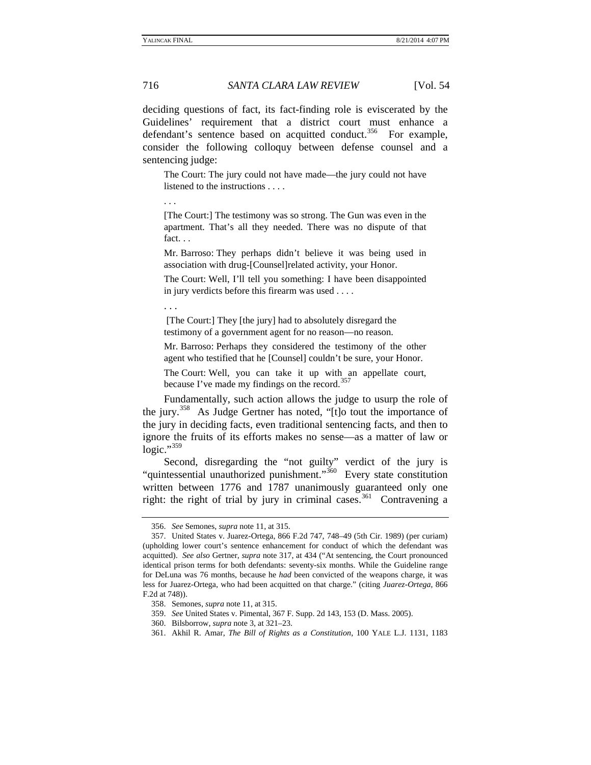deciding questions of fact, its fact-finding role is eviscerated by the Guidelines' requirement that a district court must enhance a defendant's sentence based on acquitted conduct.<sup>[356](#page-42-0)</sup> For example, consider the following colloquy between defense counsel and a sentencing judge:

The Court: The jury could not have made—the jury could not have listened to the instructions . . . .

. . .

[The Court:] The testimony was so strong. The Gun was even in the apartment. That's all they needed. There was no dispute of that fact. . .

Mr. Barroso: They perhaps didn't believe it was being used in association with drug-[Counsel]related activity, your Honor.

The Court: Well, I'll tell you something: I have been disappointed in jury verdicts before this firearm was used . . . .

. . .

[The Court:] They [the jury] had to absolutely disregard the testimony of a government agent for no reason—no reason.

Mr. Barroso: Perhaps they considered the testimony of the other agent who testified that he [Counsel] couldn't be sure, your Honor.

The Court: Well, you can take it up with an appellate court, because I've made my findings on the record. $357$ 

Fundamentally, such action allows the judge to usurp the role of the jury.[358](#page-42-2) As Judge Gertner has noted, "[t]o tout the importance of the jury in deciding facts, even traditional sentencing facts, and then to ignore the fruits of its efforts makes no sense—as a matter of law or logic." $359$ 

Second, disregarding the "not guilty" verdict of the jury is "quintessential unauthorized punishment."<sup>[360](#page-42-4)</sup> Every state constitution written between 1776 and 1787 unanimously guaranteed only one right: the right of trial by jury in criminal cases.<sup>[361](#page-42-5)</sup> Contravening a

<sup>356.</sup> *See* Semones, *supra* note 11, at 315.

<span id="page-42-1"></span><span id="page-42-0"></span><sup>357.</sup> United States v. Juarez-Ortega, 866 F.2d 747, 748–49 (5th Cir. 1989) (per curiam) (upholding lower court's sentence enhancement for conduct of which the defendant was acquitted). *See also* Gertner, *supra* note 317, at 434 ("At sentencing, the Court pronounced identical prison terms for both defendants: seventy-six months. While the Guideline range for DeLuna was 76 months, because he *had* been convicted of the weapons charge, it was less for Juarez-Ortega, who had been acquitted on that charge." (citing *Juarez-Ortega*, 866 F.2d at 748)).

<span id="page-42-3"></span><span id="page-42-2"></span><sup>358.</sup> Semones, *supra* note 11, at 315.

<sup>359.</sup> *See* United States v. Pimental, 367 F. Supp. 2d 143, 153 (D. Mass. 2005).

<sup>360.</sup> Bilsborrow, *supra* note 3, at 321–23.

<span id="page-42-5"></span><span id="page-42-4"></span><sup>361.</sup> Akhil R. Amar, *The Bill of Rights as a Constitution*, 100 YALE L.J. 1131, 1183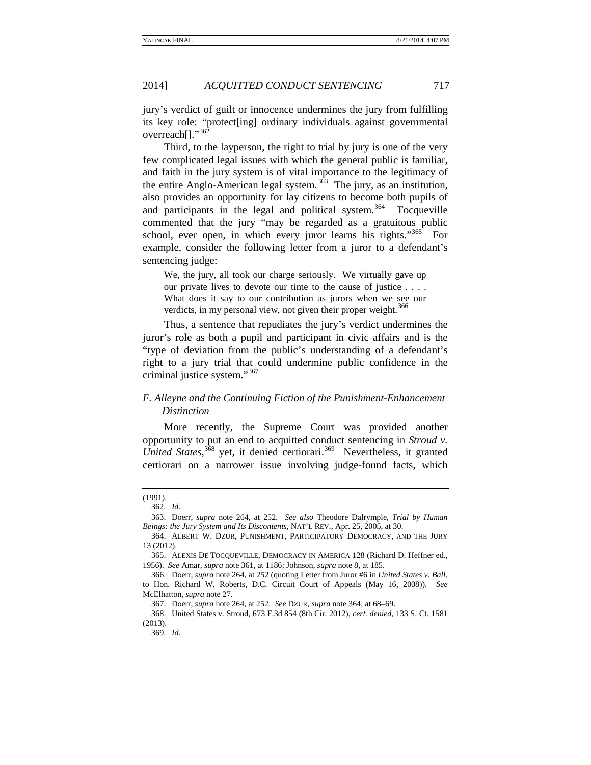jury's verdict of guilt or innocence undermines the jury from fulfilling its key role: "protect[ing] ordinary individuals against governmental overreach<sup>[]</sup>."<sup>[362](#page-43-0)</sup>

Third, to the layperson, the right to trial by jury is one of the very few complicated legal issues with which the general public is familiar, and faith in the jury system is of vital importance to the legitimacy of the entire Anglo-American legal system.<sup>[363](#page-43-1)</sup> The jury, as an institution, also provides an opportunity for lay citizens to become both pupils of and participants in the legal and political system.<sup>[364](#page-43-2)</sup> Tocqueville commented that the jury "may be regarded as a gratuitous public school, ever open, in which every juror learns his rights."<sup>[365](#page-43-3)</sup> For example, consider the following letter from a juror to a defendant's sentencing judge:

We, the jury, all took our charge seriously. We virtually gave up our private lives to devote our time to the cause of justice . . . . What does it say to our contribution as jurors when we see our verdicts, in my personal view, not given their proper weight.<sup>[366](#page-43-4)</sup>

Thus, a sentence that repudiates the jury's verdict undermines the juror's role as both a pupil and participant in civic affairs and is the "type of deviation from the public's understanding of a defendant's right to a jury trial that could undermine public confidence in the criminal justice system."[367](#page-43-5)

# *F. Alleyne and the Continuing Fiction of the Punishment-Enhancement Distinction*

More recently, the Supreme Court was provided another opportunity to put an end to acquitted conduct sentencing in *Stroud v.*  United States,<sup>[368](#page-43-6)</sup> yet, it denied certiorari.<sup>[369](#page-43-7)</sup> Nevertheless, it granted certiorari on a narrower issue involving judge-found facts, which

<sup>(1991).</sup> 362*. Id.*

<span id="page-43-1"></span><span id="page-43-0"></span><sup>363.</sup> Doerr, *supra* note 264, at 252. *See also* Theodore Dalrymple, *Trial by Human Beings: the Jury System and Its Discontents,* NAT'L REV., Apr. 25, 2005, at 30.

<span id="page-43-2"></span><sup>364.</sup> ALBERT W. DZUR, PUNISHMENT, PARTICIPATORY DEMOCRACY, AND THE JURY 13 (2012).

<span id="page-43-3"></span><sup>365.</sup> ALEXIS DE TOCQUEVILLE, DEMOCRACY IN AMERICA 128 (Richard D. Heffner ed., 1956). *See* Amar, *supra* note 361, at 1186; Johnson, *supra* note 8, at 185.

<span id="page-43-4"></span><sup>366.</sup> Doerr, *supra* note 264, at 252 (quoting Letter from Juror #6 in *United States v. Ball,* to Hon. Richard W. Roberts, D.C. Circuit Court of Appeals (May 16, 2008)). *See*  McElhatton, *supra* note 27.

<sup>367.</sup> Doerr, *supra* note 264, at 252. *See* DZUR, *supra* note 364, at 68–69.

<span id="page-43-7"></span><span id="page-43-6"></span><span id="page-43-5"></span><sup>368.</sup> United States v. Stroud, 673 F.3d 854 (8th Cir. 2012), *cert. denied*, 133 S. Ct. 1581 (2013).

<sup>369.</sup> *Id.*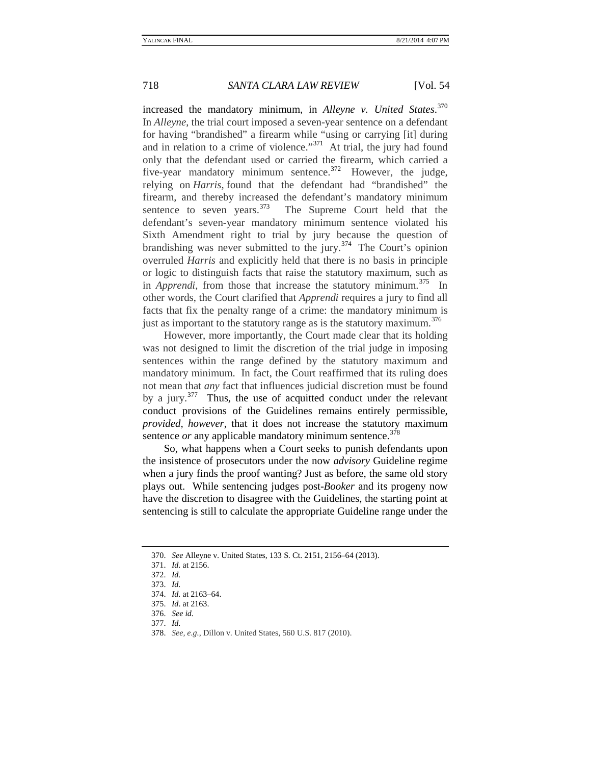increased the mandatory minimum, in *Alleyne v. United States*. [370](#page-44-0) In *Alleyne*, the trial court imposed a seven-year sentence on a defendant for having "brandished" a firearm while "using or carrying [it] during and in relation to a crime of violence." $371$  At trial, the jury had found only that the defendant used or carried the firearm, which carried a five-year mandatory minimum sentence.<sup>[372](#page-44-2)</sup> However, the judge, relying on *Harris,* found that the defendant had "brandished" the firearm, and thereby increased the defendant's mandatory minimum sentence to seven years. $373$  The Supreme Court held that the defendant's seven-year mandatory minimum sentence violated his Sixth Amendment right to trial by jury because the question of brandishing was never submitted to the jury. $374$  The Court's opinion overruled *Harris* and explicitly held that there is no basis in principle or logic to distinguish facts that raise the statutory maximum, such as in *Apprendi*, from those that increase the statutory minimum.<sup>[375](#page-44-5)</sup> In other words, the Court clarified that *Apprendi* requires a jury to find all facts that fix the penalty range of a crime: the mandatory minimum is just as important to the statutory range as is the statutory maximum.<sup>[376](#page-44-6)</sup>

However, more importantly, the Court made clear that its holding was not designed to limit the discretion of the trial judge in imposing sentences within the range defined by the statutory maximum and mandatory minimum. In fact, the Court reaffirmed that its ruling does not mean that *any* fact that influences judicial discretion must be found by a jury.<sup>[377](#page-44-7)</sup> Thus, the use of acquitted conduct under the relevant conduct provisions of the Guidelines remains entirely permissible, *provided, however,* that it does not increase the statutory maximum sentence *or* any applicable mandatory minimum sentence.<sup>[378](#page-44-8)</sup>

So, what happens when a Court seeks to punish defendants upon the insistence of prosecutors under the now *advisory* Guideline regime when a jury finds the proof wanting? Just as before, the same old story plays out. While sentencing judges post-*Booker* and its progeny now have the discretion to disagree with the Guidelines, the starting point at sentencing is still to calculate the appropriate Guideline range under the

<span id="page-44-1"></span><span id="page-44-0"></span><sup>370.</sup> *See* Alleyne v. United States, 133 S. Ct. 2151, 2156–64 (2013).

<sup>371.</sup> *Id.* at 2156.

<span id="page-44-3"></span><span id="page-44-2"></span><sup>372.</sup> *Id.*

<sup>373.</sup> *Id.*

<span id="page-44-4"></span><sup>374.</sup> *Id.* at 2163–64.

<span id="page-44-5"></span><sup>375.</sup> *Id*. at 2163.

<sup>376.</sup> *See id.*

<span id="page-44-8"></span><span id="page-44-7"></span><span id="page-44-6"></span><sup>377.</sup> *Id.*

<sup>378.</sup> *See, e.g.*, Dillon v. United States, 560 U.S. 817 (2010).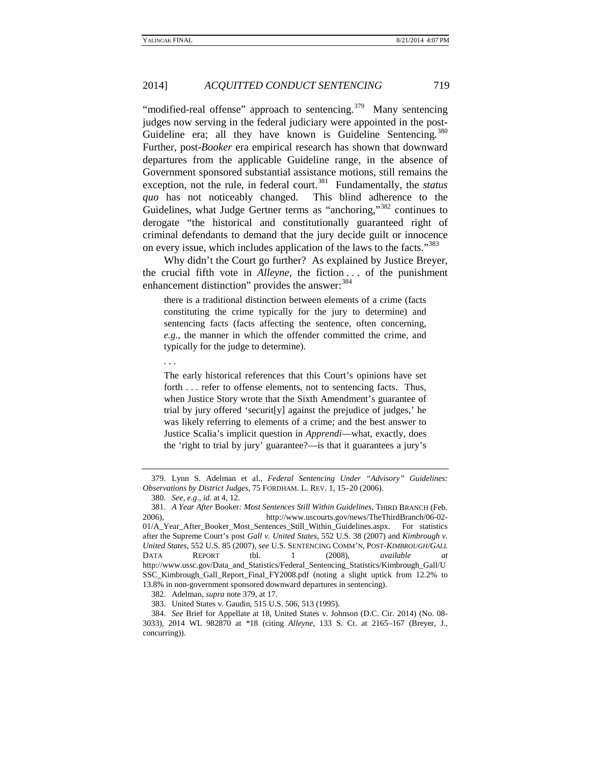"modified-real offense" approach to sentencing.<sup>[379](#page-45-0)</sup> Many sentencing judges now serving in the federal judiciary were appointed in the post-Guideline era; all they have known is Guideline Sentencing.<sup>[380](#page-45-1)</sup> Further, post-*Booker* era empirical research has shown that downward departures from the applicable Guideline range, in the absence of Government sponsored substantial assistance motions, still remains the exception, not the rule, in federal court.<sup>[381](#page-45-2)</sup> Fundamentally, the *status quo* has not noticeably changed. This blind adherence to the Guidelines, what Judge Gertner terms as "anchoring,"<sup>[382](#page-45-3)</sup> continues to derogate "the historical and constitutionally guaranteed right of criminal defendants to demand that the jury decide guilt or innocence on every issue, which includes application of the laws to the facts."[383](#page-45-4)

Why didn't the Court go further? As explained by Justice Breyer, the crucial fifth vote in *Alleyne*, the fiction . . . of the punishment enhancement distinction" provides the answer: [384](#page-45-5)

there is a traditional distinction between elements of a crime (facts constituting the crime typically for the jury to determine) and sentencing facts (facts affecting the sentence, often concerning, *e.g.*, the manner in which the offender committed the crime, and typically for the judge to determine).

. . .

The early historical references that this Court's opinions have set forth . . . refer to offense elements, not to sentencing facts. Thus, when Justice Story wrote that the Sixth Amendment's guarantee of trial by jury offered 'securit[y] against the prejudice of judges,' he was likely referring to elements of a crime; and the best answer to Justice Scalia's implicit question in *Apprendi*—what, exactly, does the 'right to trial by jury' guarantee?—is that it guarantees a jury's

<span id="page-45-0"></span><sup>379.</sup> Lynn S. Adelman et al., *Federal Sentencing Under "Advisory" Guidelines: Observations by District Judges*, 75 FORDHAM. L. REV. 1, 15–20 (2006).

<sup>380.</sup> *See, e.g.*, *id.* at 4, 12.

<span id="page-45-2"></span><span id="page-45-1"></span><sup>381.</sup> *A Year After* Booker*: Most Sentences Still Within Guidelines*, THIRD BRANCH (Feb. 2006), http://www.uscourts.gov/news/TheThirdBranch/06-02- 01/A\_Year\_After\_Booker\_Most\_Sentences\_Still\_Within\_Guidelines.aspx. For statistics after the Supreme Court's post *Gall v. United States*, 552 U.S. 38 (2007) and *Kimbrough v. United States*, 552 U.S. 85 (2007), *see* U.S. SENTENCING COMM'N, POST-*KIMBROUGH/GALL* DATA REPORT tbl. 1 (2008), *available at* http://www.ussc.gov/Data\_and\_Statistics/Federal\_Sentencing\_Statistics/Kimbrough\_Gall/U SSC\_Kimbrough\_Gall\_Report\_Final\_FY2008.pdf (noting a slight uptick from 12.2% to 13.8% in non-government sponsored downward departures in sentencing).

<sup>382.</sup> Adelman, *supra* note 379, at 17.

<sup>383.</sup> United States v. Gaudin, 515 U.S. 506, 513 (1995).

<span id="page-45-5"></span><span id="page-45-4"></span><span id="page-45-3"></span><sup>384.</sup> *See* Brief for Appellate at 18, United States v. Johnson (D.C. Cir. 2014) (No. 08- 3033), 2014 WL 982870 at \*18 (citing *Alleyne*, 133 S. Ct. at 2165–167 (Breyer, J., concurring)).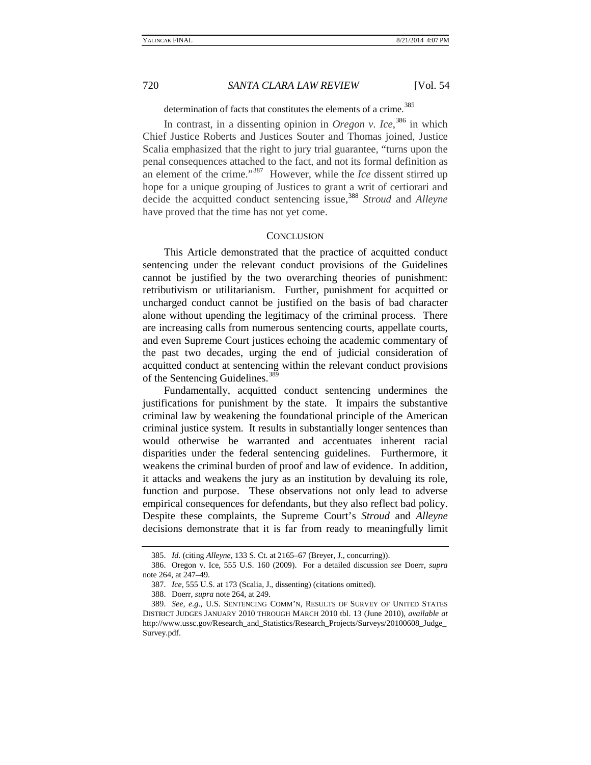determination of facts that constitutes the elements of a crime.<sup>[385](#page-46-0)</sup>

In contrast, in a dissenting opinion in *Oregon v. Ice*, [386](#page-46-1) in which Chief Justice Roberts and Justices Souter and Thomas joined, Justice Scalia emphasized that the right to jury trial guarantee, "turns upon the penal consequences attached to the fact, and not its formal definition as an element of the crime."[387](#page-46-2) However, while the *Ice* dissent stirred up hope for a unique grouping of Justices to grant a writ of certiorari and decide the acquitted conduct sentencing issue,[388](#page-46-3) *Stroud* and *Alleyne* have proved that the time has not yet come.

#### **CONCLUSION**

This Article demonstrated that the practice of acquitted conduct sentencing under the relevant conduct provisions of the Guidelines cannot be justified by the two overarching theories of punishment: retributivism or utilitarianism. Further, punishment for acquitted or uncharged conduct cannot be justified on the basis of bad character alone without upending the legitimacy of the criminal process. There are increasing calls from numerous sentencing courts, appellate courts, and even Supreme Court justices echoing the academic commentary of the past two decades, urging the end of judicial consideration of acquitted conduct at sentencing within the relevant conduct provisions of the Sentencing Guidelines.<sup>[389](#page-46-4)</sup>

Fundamentally, acquitted conduct sentencing undermines the justifications for punishment by the state. It impairs the substantive criminal law by weakening the foundational principle of the American criminal justice system. It results in substantially longer sentences than would otherwise be warranted and accentuates inherent racial disparities under the federal sentencing guidelines. Furthermore, it weakens the criminal burden of proof and law of evidence. In addition, it attacks and weakens the jury as an institution by devaluing its role, function and purpose. These observations not only lead to adverse empirical consequences for defendants, but they also reflect bad policy. Despite these complaints, the Supreme Court's *Stroud* and *Alleyne* decisions demonstrate that it is far from ready to meaningfully limit

<sup>385.</sup> *Id.* (citing *Alleyne*, 133 S. Ct. at 2165–67 (Breyer, J., concurring)).

<span id="page-46-2"></span><span id="page-46-1"></span><span id="page-46-0"></span><sup>386.</sup> Oregon v. Ice, 555 U.S. 160 (2009). For a detailed discussion *see* Doerr, *supra*  note 264, at 247–49.

<sup>387.</sup> *Ice,* 555 U.S. at 173 (Scalia, J., dissenting) (citations omitted).

<sup>388.</sup> Doerr, *supra* note 264, at 249.

<span id="page-46-4"></span><span id="page-46-3"></span><sup>389.</sup> *See, e.g.*, U.S. SENTENCING COMM'N, RESULTS OF SURVEY OF UNITED STATES DISTRICT JUDGES JANUARY 2010 THROUGH MARCH 2010 tbl. 13 (June 2010), *available at*  http://www.ussc.gov/Research\_and\_Statistics/Research\_Projects/Surveys/20100608\_Judge\_ Survey.pdf.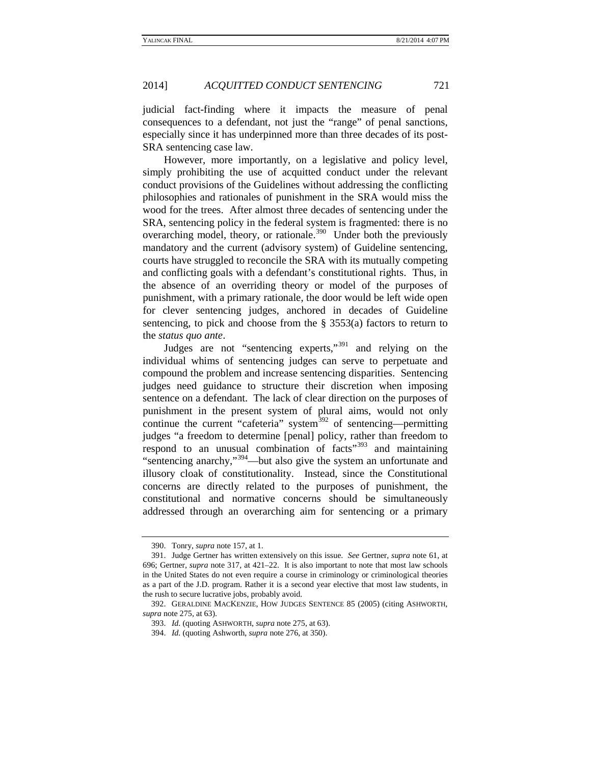judicial fact-finding where it impacts the measure of penal consequences to a defendant, not just the "range" of penal sanctions, especially since it has underpinned more than three decades of its post-SRA sentencing case law.

However, more importantly, on a legislative and policy level, simply prohibiting the use of acquitted conduct under the relevant conduct provisions of the Guidelines without addressing the conflicting philosophies and rationales of punishment in the SRA would miss the wood for the trees. After almost three decades of sentencing under the SRA, sentencing policy in the federal system is fragmented: there is no overarching model, theory, or rationale.<sup>[390](#page-47-0)</sup> Under both the previously mandatory and the current (advisory system) of Guideline sentencing, courts have struggled to reconcile the SRA with its mutually competing and conflicting goals with a defendant's constitutional rights. Thus, in the absence of an overriding theory or model of the purposes of punishment, with a primary rationale, the door would be left wide open for clever sentencing judges, anchored in decades of Guideline sentencing, to pick and choose from the  $\S$  3553(a) factors to return to the *status quo ante*.

Judges are not "sentencing experts,"<sup>[391](#page-47-1)</sup> and relying on the individual whims of sentencing judges can serve to perpetuate and compound the problem and increase sentencing disparities. Sentencing judges need guidance to structure their discretion when imposing sentence on a defendant. The lack of clear direction on the purposes of punishment in the present system of plural aims, would not only continue the current "cafeteria" system $392$  of sentencing—permitting judges "a freedom to determine [penal] policy, rather than freedom to respond to an unusual combination of facts"<sup>[393](#page-47-3)</sup> and maintaining "sentencing anarchy,"[394—](#page-47-4)but also give the system an unfortunate and illusory cloak of constitutionality. Instead, since the Constitutional concerns are directly related to the purposes of punishment, the constitutional and normative concerns should be simultaneously addressed through an overarching aim for sentencing or a primary

<sup>390.</sup> Tonry, *supra* note 157, at 1.

<span id="page-47-1"></span><span id="page-47-0"></span><sup>391.</sup> Judge Gertner has written extensively on this issue. *See* Gertner, *supra* note 61, at 696; Gertner, *supra* note 317, at 421–22. It is also important to note that most law schools in the United States do not even require a course in criminology or criminological theories as a part of the J.D. program. Rather it is a second year elective that most law students, in the rush to secure lucrative jobs, probably avoid.

<span id="page-47-4"></span><span id="page-47-3"></span><span id="page-47-2"></span><sup>392.</sup> GERALDINE MACKENZIE, HOW JUDGES SENTENCE 85 (2005) (citing ASHWORTH, *supra* note 275, at 63).

<sup>393.</sup> *Id.* (quoting ASHWORTH, *supra* note 275, at 63).

<sup>394.</sup> *Id.* (quoting Ashworth, *supra* note 276, at 350).